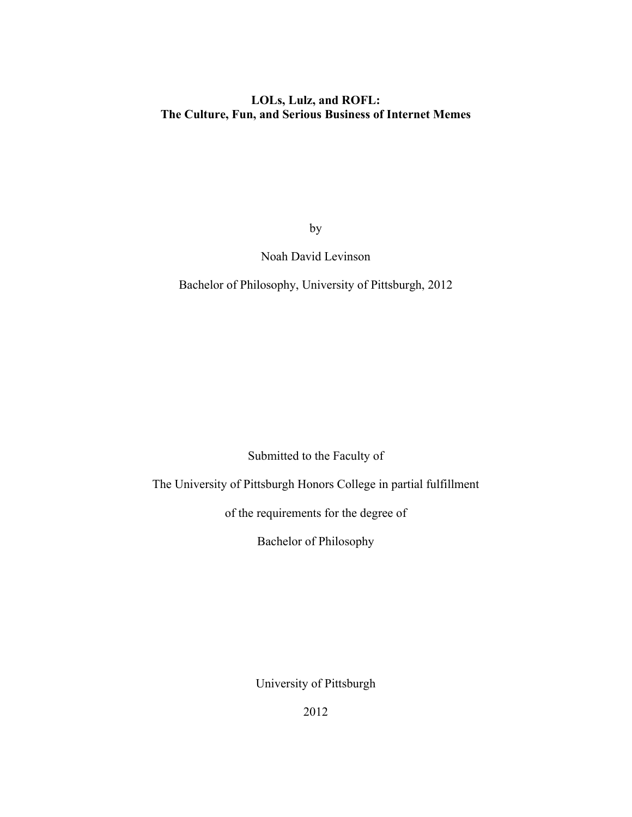# **LOLs, Lulz, and ROFL: The Culture, Fun, and Serious Business of Internet Memes**

by

# Noah David Levinson

Bachelor of Philosophy, University of Pittsburgh, 2012

Submitted to the Faculty of

The University of Pittsburgh Honors College in partial fulfillment

of the requirements for the degree of

Bachelor of Philosophy

University of Pittsburgh

2012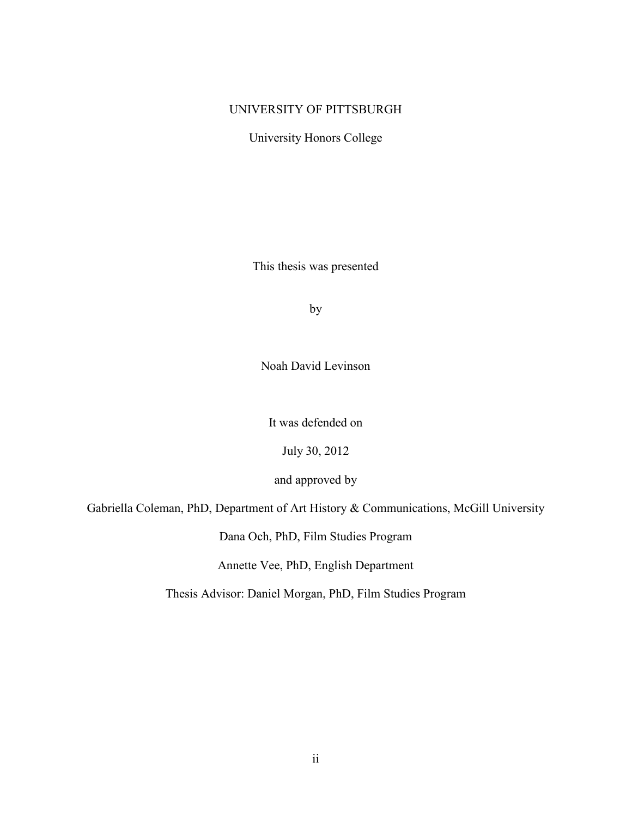## UNIVERSITY OF PITTSBURGH

University Honors College

This thesis was presented

by

Noah David Levinson

It was defended on

July 30, 2012

and approved by

Gabriella Coleman, PhD, Department of Art History & Communications, McGill University

Dana Och, PhD, Film Studies Program

Annette Vee, PhD, English Department

Thesis Advisor: Daniel Morgan, PhD, Film Studies Program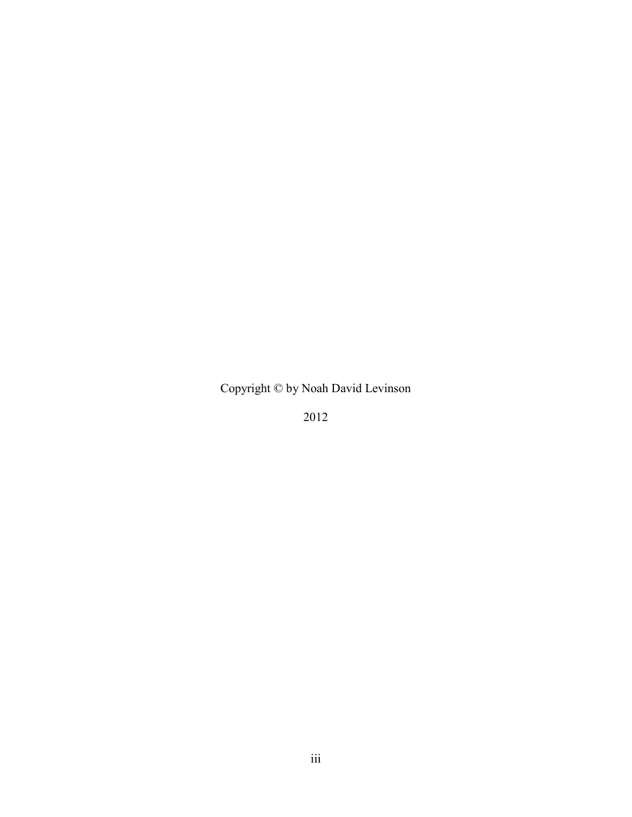Copyright © by Noah David Levinson

2012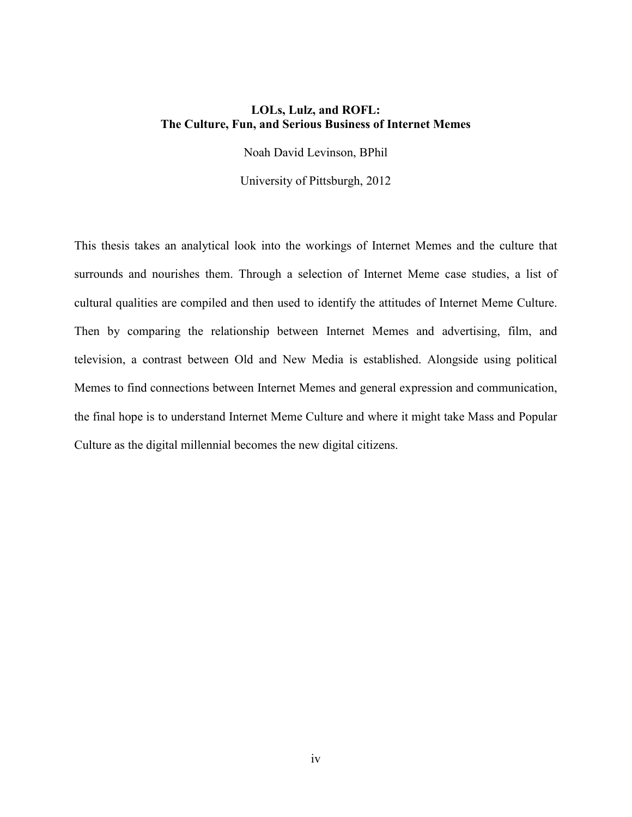## **LOLs, Lulz, and ROFL: The Culture, Fun, and Serious Business of Internet Memes**

Noah David Levinson, BPhil

University of Pittsburgh, 2012

This thesis takes an analytical look into the workings of Internet Memes and the culture that surrounds and nourishes them. Through a selection of Internet Meme case studies, a list of cultural qualities are compiled and then used to identify the attitudes of Internet Meme Culture. Then by comparing the relationship between Internet Memes and advertising, film, and television, a contrast between Old and New Media is established. Alongside using political Memes to find connections between Internet Memes and general expression and communication, the final hope is to understand Internet Meme Culture and where it might take Mass and Popular Culture as the digital millennial becomes the new digital citizens.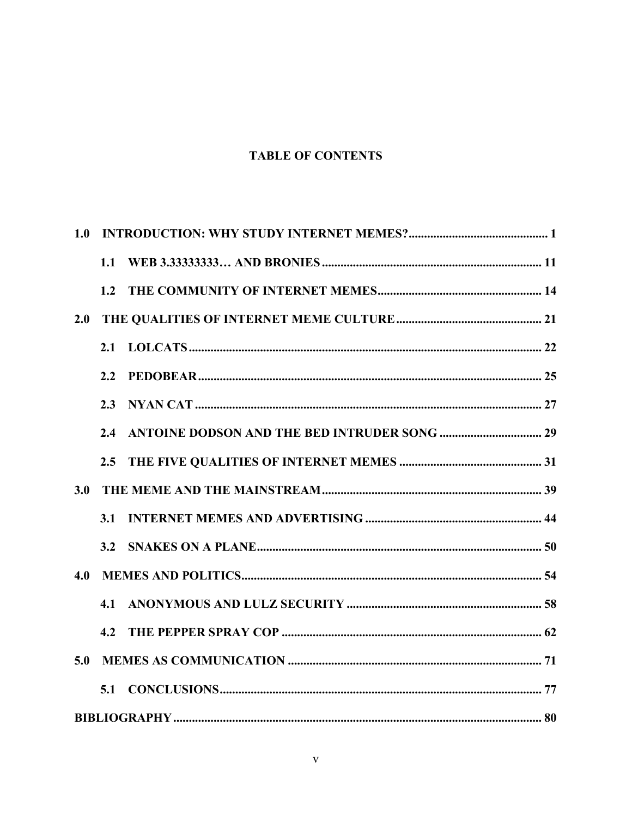# **TABLE OF CONTENTS**

| 1.0 |     |  |
|-----|-----|--|
|     | 1.1 |  |
|     | 1.2 |  |
| 2.0 |     |  |
|     | 2.1 |  |
|     | 2.2 |  |
|     | 2.3 |  |
|     | 2.4 |  |
|     | 2.5 |  |
| 3.0 |     |  |
|     | 3.1 |  |
|     | 3.2 |  |
| 4.0 |     |  |
|     | 4.1 |  |
|     | 4.2 |  |
| 5.0 |     |  |
|     | 5.1 |  |
|     |     |  |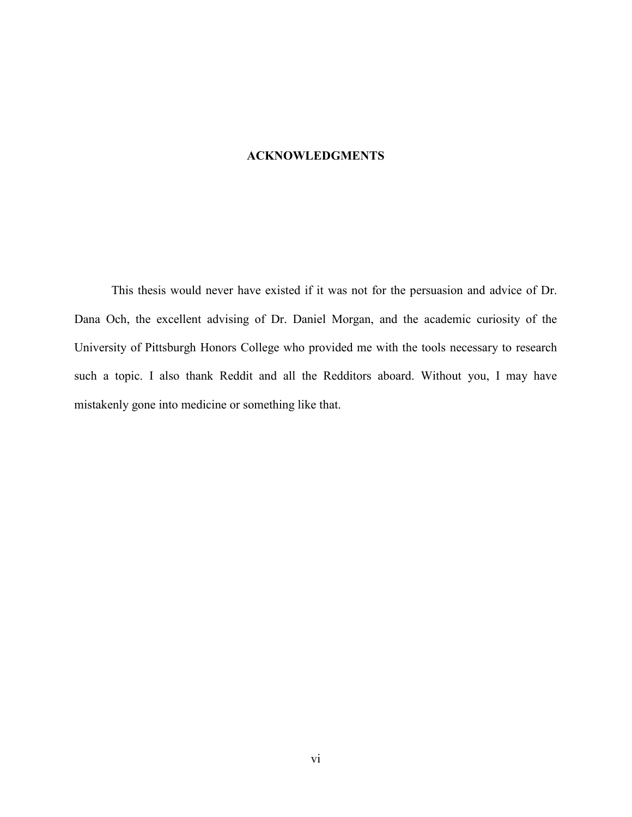## **ACKNOWLEDGMENTS**

This thesis would never have existed if it was not for the persuasion and advice of Dr. Dana Och, the excellent advising of Dr. Daniel Morgan, and the academic curiosity of the University of Pittsburgh Honors College who provided me with the tools necessary to research such a topic. I also thank Reddit and all the Redditors aboard. Without you, I may have mistakenly gone into medicine or something like that.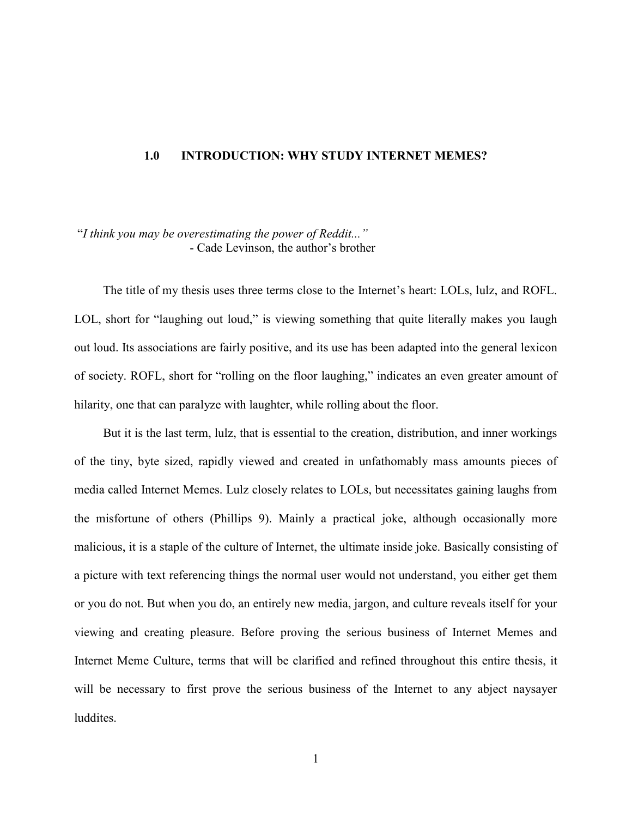#### <span id="page-6-0"></span>**1.0 INTRODUCTION: WHY STUDY INTERNET MEMES?**

## "*I think you may be overestimating the power of Reddit..."* - Cade Levinson, the author's brother

The title of my thesis uses three terms close to the Internet's heart: LOLs, lulz, and ROFL. LOL, short for "laughing out loud," is viewing something that quite literally makes you laugh out loud. Its associations are fairly positive, and its use has been adapted into the general lexicon of society. ROFL, short for "rolling on the floor laughing," indicates an even greater amount of hilarity, one that can paralyze with laughter, while rolling about the floor.

But it is the last term, lulz, that is essential to the creation, distribution, and inner workings of the tiny, byte sized, rapidly viewed and created in unfathomably mass amounts pieces of media called Internet Memes. Lulz closely relates to LOLs, but necessitates gaining laughs from the misfortune of others (Phillips 9). Mainly a practical joke, although occasionally more malicious, it is a staple of the culture of Internet, the ultimate inside joke. Basically consisting of a picture with text referencing things the normal user would not understand, you either get them or you do not. But when you do, an entirely new media, jargon, and culture reveals itself for your viewing and creating pleasure. Before proving the serious business of Internet Memes and Internet Meme Culture, terms that will be clarified and refined throughout this entire thesis, it will be necessary to first prove the serious business of the Internet to any abject naysayer luddites.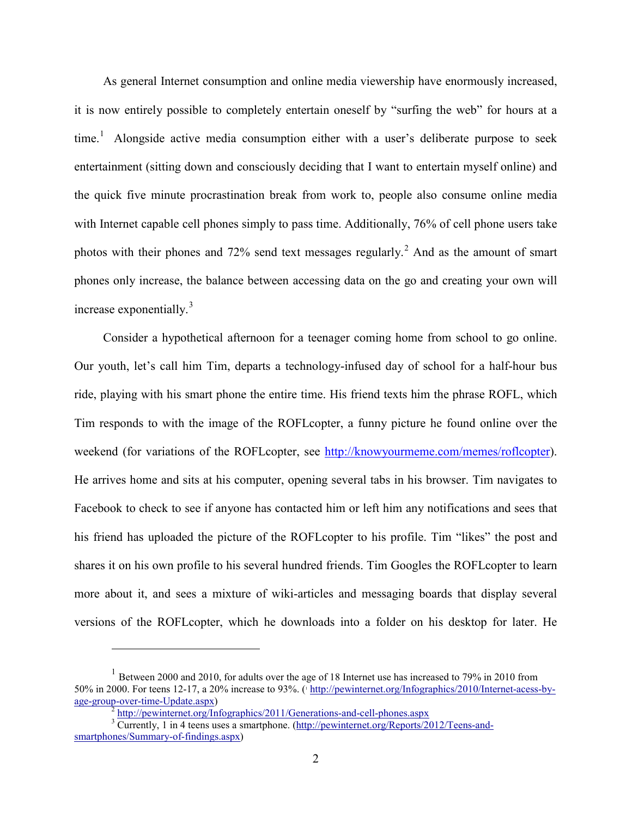As general Internet consumption and online media viewership have enormously increased, it is now entirely possible to completely entertain oneself by "surfing the web" for hours at a  $time<sup>1</sup>$  $time<sup>1</sup>$  $time<sup>1</sup>$  Alongside active media consumption either with a user's deliberate purpose to seek entertainment (sitting down and consciously deciding that I want to entertain myself online) and the quick five minute procrastination break from work to, people also consume online media with Internet capable cell phones simply to pass time. Additionally, 76% of cell phone users take photos with their phones and 72% send text messages regularly.[2](#page-7-1) And as the amount of smart phones only increase, the balance between accessing data on the go and creating your own will increase exponentially.[3](#page-7-2)

Consider a hypothetical afternoon for a teenager coming home from school to go online. Our youth, let's call him Tim, departs a technology-infused day of school for a half-hour bus ride, playing with his smart phone the entire time. His friend texts him the phrase ROFL, which Tim responds to with the image of the ROFLcopter, a funny picture he found online over the weekend (for variations of the ROFLcopter, see [http://knowyourmeme.com/memes/roflcopter\)](http://knowyourmeme.com/memes/roflcopter). He arrives home and sits at his computer, opening several tabs in his browser. Tim navigates to Facebook to check to see if anyone has contacted him or left him any notifications and sees that his friend has uploaded the picture of the ROFLcopter to his profile. Tim "likes" the post and shares it on his own profile to his several hundred friends. Tim Googles the ROFLcopter to learn more about it, and sees a mixture of wiki-articles and messaging boards that display several versions of the ROFLcopter, which he downloads into a folder on his desktop for later. He

 $\overline{a}$ 

<span id="page-7-0"></span> $1$  Between 2000 and 2010, for adults over the age of 18 Internet use has increased to 79% in 2010 from 50% in 2000. For teens 12-17, a 20% increase to 93%. (1 [http://pewinternet.org/Infographics/2010/Internet-acess-by](http://pewinternet.org/Infographics/2010/Internet-acess-by-age-group-over-time-Update.aspx)[age-group-over-time-Update.aspx\)](http://pewinternet.org/Infographics/2010/Internet-acess-by-age-group-over-time-Update.aspx)<br>
<sup>2</sup> <http://pewinternet.org/Infographics/2011/Generations-and-cell-phones.aspx><br>
<sup>3</sup> Currently, 1 in 4 teens uses a smartphone. [\(http://pewinternet.org/Reports/2012/Teens-and-](http://pewinternet.org/Reports/2012/Teens-and-smartphones/Summary-of-findings.aspx)

<span id="page-7-2"></span><span id="page-7-1"></span>[smartphones/Summary-of-findings.aspx\)](http://pewinternet.org/Reports/2012/Teens-and-smartphones/Summary-of-findings.aspx)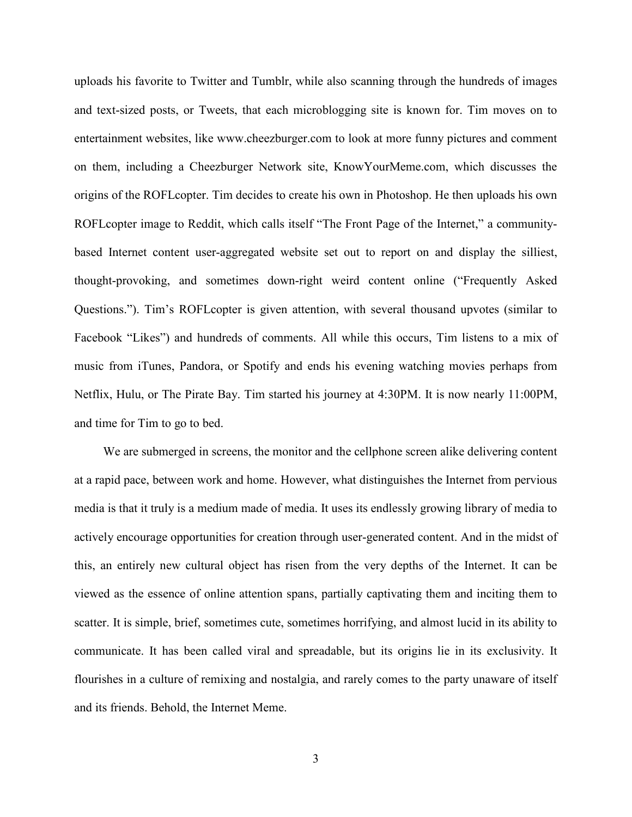uploads his favorite to Twitter and Tumblr, while also scanning through the hundreds of images and text-sized posts, or Tweets, that each microblogging site is known for. Tim moves on to entertainment websites, like www.cheezburger.com to look at more funny pictures and comment on them, including a Cheezburger Network site, KnowYourMeme.com, which discusses the origins of the ROFLcopter. Tim decides to create his own in Photoshop. He then uploads his own ROFLcopter image to Reddit, which calls itself "The Front Page of the Internet," a communitybased Internet content user-aggregated website set out to report on and display the silliest, thought-provoking, and sometimes down-right weird content online ("Frequently Asked Questions."). Tim's ROFLcopter is given attention, with several thousand upvotes (similar to Facebook "Likes") and hundreds of comments. All while this occurs, Tim listens to a mix of music from iTunes, Pandora, or Spotify and ends his evening watching movies perhaps from Netflix, Hulu, or The Pirate Bay. Tim started his journey at 4:30PM. It is now nearly 11:00PM, and time for Tim to go to bed.

We are submerged in screens, the monitor and the cellphone screen alike delivering content at a rapid pace, between work and home. However, what distinguishes the Internet from pervious media is that it truly is a medium made of media. It uses its endlessly growing library of media to actively encourage opportunities for creation through user-generated content. And in the midst of this, an entirely new cultural object has risen from the very depths of the Internet. It can be viewed as the essence of online attention spans, partially captivating them and inciting them to scatter. It is simple, brief, sometimes cute, sometimes horrifying, and almost lucid in its ability to communicate. It has been called viral and spreadable, but its origins lie in its exclusivity. It flourishes in a culture of remixing and nostalgia, and rarely comes to the party unaware of itself and its friends. Behold, the Internet Meme.

3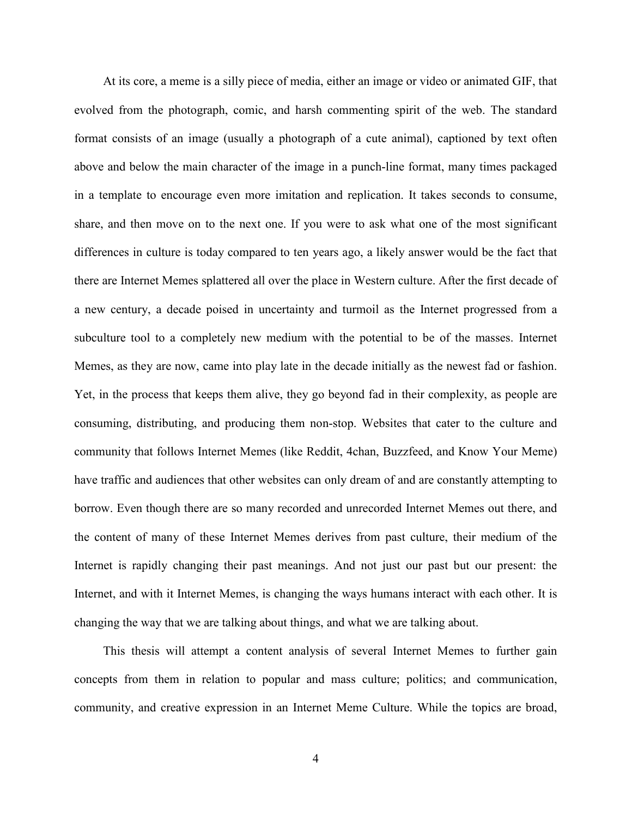At its core, a meme is a silly piece of media, either an image or video or animated GIF, that evolved from the photograph, comic, and harsh commenting spirit of the web. The standard format consists of an image (usually a photograph of a cute animal), captioned by text often above and below the main character of the image in a punch-line format, many times packaged in a template to encourage even more imitation and replication. It takes seconds to consume, share, and then move on to the next one. If you were to ask what one of the most significant differences in culture is today compared to ten years ago, a likely answer would be the fact that there are Internet Memes splattered all over the place in Western culture. After the first decade of a new century, a decade poised in uncertainty and turmoil as the Internet progressed from a subculture tool to a completely new medium with the potential to be of the masses. Internet Memes, as they are now, came into play late in the decade initially as the newest fad or fashion. Yet, in the process that keeps them alive, they go beyond fad in their complexity, as people are consuming, distributing, and producing them non-stop. Websites that cater to the culture and community that follows Internet Memes (like Reddit, 4chan, Buzzfeed, and Know Your Meme) have traffic and audiences that other websites can only dream of and are constantly attempting to borrow. Even though there are so many recorded and unrecorded Internet Memes out there, and the content of many of these Internet Memes derives from past culture, their medium of the Internet is rapidly changing their past meanings. And not just our past but our present: the Internet, and with it Internet Memes, is changing the ways humans interact with each other. It is changing the way that we are talking about things, and what we are talking about.

This thesis will attempt a content analysis of several Internet Memes to further gain concepts from them in relation to popular and mass culture; politics; and communication, community, and creative expression in an Internet Meme Culture. While the topics are broad,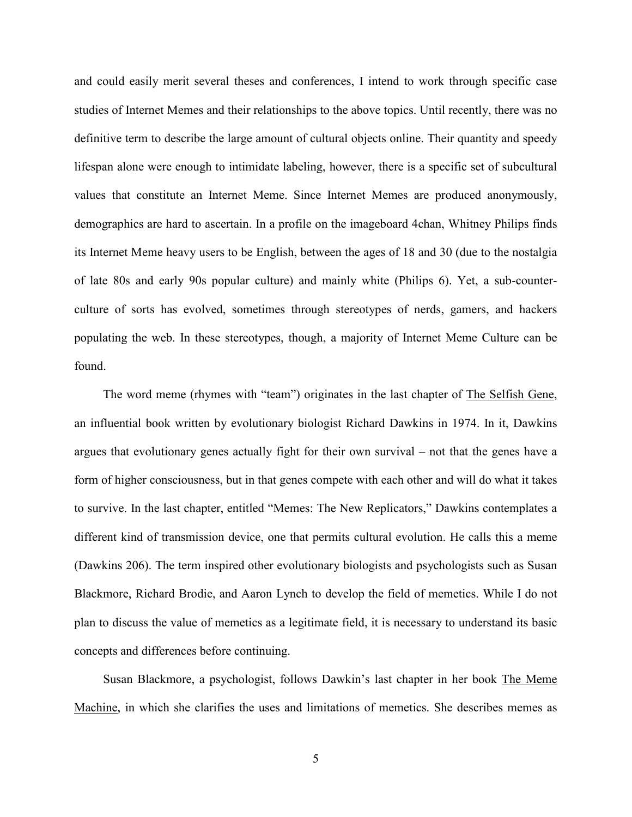and could easily merit several theses and conferences, I intend to work through specific case studies of Internet Memes and their relationships to the above topics. Until recently, there was no definitive term to describe the large amount of cultural objects online. Their quantity and speedy lifespan alone were enough to intimidate labeling, however, there is a specific set of subcultural values that constitute an Internet Meme. Since Internet Memes are produced anonymously, demographics are hard to ascertain. In a profile on the imageboard 4chan, Whitney Philips finds its Internet Meme heavy users to be English, between the ages of 18 and 30 (due to the nostalgia of late 80s and early 90s popular culture) and mainly white (Philips 6). Yet, a sub-counterculture of sorts has evolved, sometimes through stereotypes of nerds, gamers, and hackers populating the web. In these stereotypes, though, a majority of Internet Meme Culture can be found.

The word meme (rhymes with "team") originates in the last chapter of The Selfish Gene, an influential book written by evolutionary biologist Richard Dawkins in 1974. In it, Dawkins argues that evolutionary genes actually fight for their own survival – not that the genes have a form of higher consciousness, but in that genes compete with each other and will do what it takes to survive. In the last chapter, entitled "Memes: The New Replicators," Dawkins contemplates a different kind of transmission device, one that permits cultural evolution. He calls this a meme (Dawkins 206). The term inspired other evolutionary biologists and psychologists such as Susan Blackmore, Richard Brodie, and Aaron Lynch to develop the field of memetics. While I do not plan to discuss the value of memetics as a legitimate field, it is necessary to understand its basic concepts and differences before continuing.

Susan Blackmore, a psychologist, follows Dawkin's last chapter in her book The Meme Machine, in which she clarifies the uses and limitations of memetics. She describes memes as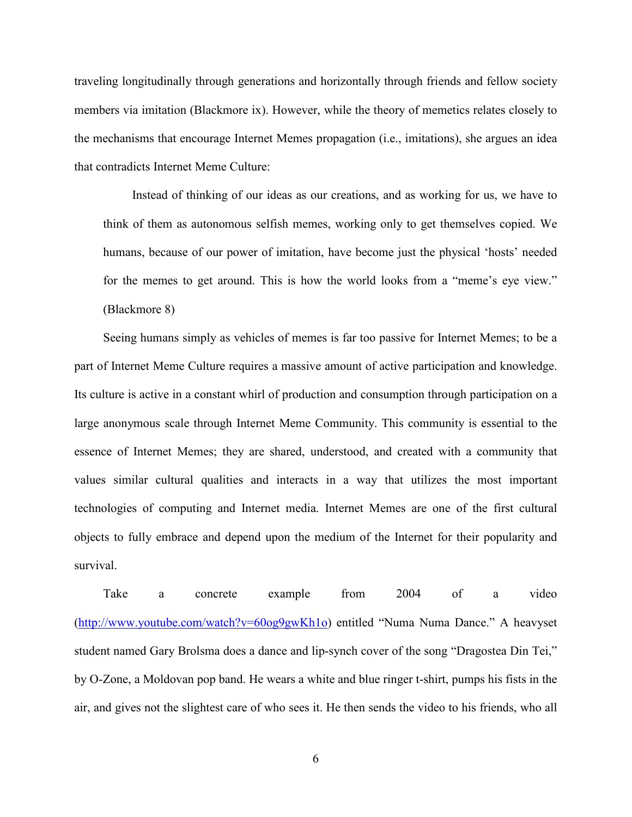traveling longitudinally through generations and horizontally through friends and fellow society members via imitation (Blackmore ix). However, while the theory of memetics relates closely to the mechanisms that encourage Internet Memes propagation (i.e., imitations), she argues an idea that contradicts Internet Meme Culture:

Instead of thinking of our ideas as our creations, and as working for us, we have to think of them as autonomous selfish memes, working only to get themselves copied. We humans, because of our power of imitation, have become just the physical 'hosts' needed for the memes to get around. This is how the world looks from a "meme's eye view." (Blackmore 8)

Seeing humans simply as vehicles of memes is far too passive for Internet Memes; to be a part of Internet Meme Culture requires a massive amount of active participation and knowledge. Its culture is active in a constant whirl of production and consumption through participation on a large anonymous scale through Internet Meme Community. This community is essential to the essence of Internet Memes; they are shared, understood, and created with a community that values similar cultural qualities and interacts in a way that utilizes the most important technologies of computing and Internet media. Internet Memes are one of the first cultural objects to fully embrace and depend upon the medium of the Internet for their popularity and survival.

Take a concrete example from 2004 of a video [\(http://www.youtube.com/watch?v=60og9gwKh1o\)](http://www.youtube.com/watch?v=60og9gwKh1o) entitled "Numa Numa Dance." A heavyset student named Gary Brolsma does a dance and lip-synch cover of the song "Dragostea Din Tei," by O-Zone, a Moldovan pop band. He wears a white and blue ringer t-shirt, pumps his fists in the air, and gives not the slightest care of who sees it. He then sends the video to his friends, who all

6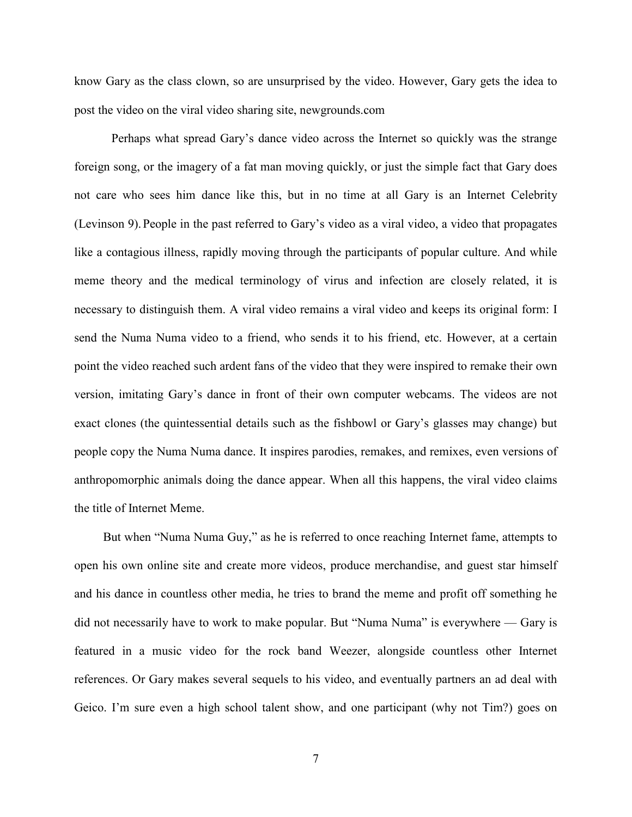know Gary as the class clown, so are unsurprised by the video. However, Gary gets the idea to post the video on the viral video sharing site, newgrounds.com

Perhaps what spread Gary's dance video across the Internet so quickly was the strange foreign song, or the imagery of a fat man moving quickly, or just the simple fact that Gary does not care who sees him dance like this, but in no time at all Gary is an Internet Celebrity (Levinson 9).People in the past referred to Gary's video as a viral video, a video that propagates like a contagious illness, rapidly moving through the participants of popular culture. And while meme theory and the medical terminology of virus and infection are closely related, it is necessary to distinguish them. A viral video remains a viral video and keeps its original form: I send the Numa Numa video to a friend, who sends it to his friend, etc. However, at a certain point the video reached such ardent fans of the video that they were inspired to remake their own version, imitating Gary's dance in front of their own computer webcams. The videos are not exact clones (the quintessential details such as the fishbowl or Gary's glasses may change) but people copy the Numa Numa dance. It inspires parodies, remakes, and remixes, even versions of anthropomorphic animals doing the dance appear. When all this happens, the viral video claims the title of Internet Meme.

But when "Numa Numa Guy," as he is referred to once reaching Internet fame, attempts to open his own online site and create more videos, produce merchandise, and guest star himself and his dance in countless other media, he tries to brand the meme and profit off something he did not necessarily have to work to make popular. But "Numa Numa" is everywhere — Gary is featured in a music video for the rock band Weezer, alongside countless other Internet references. Or Gary makes several sequels to his video, and eventually partners an ad deal with Geico. I'm sure even a high school talent show, and one participant (why not Tim?) goes on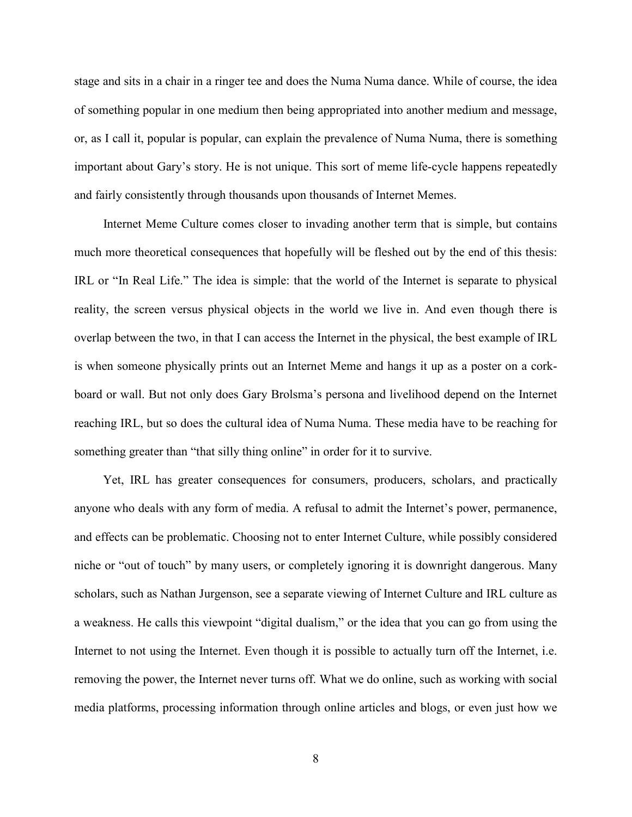stage and sits in a chair in a ringer tee and does the Numa Numa dance. While of course, the idea of something popular in one medium then being appropriated into another medium and message, or, as I call it, popular is popular, can explain the prevalence of Numa Numa, there is something important about Gary's story. He is not unique. This sort of meme life-cycle happens repeatedly and fairly consistently through thousands upon thousands of Internet Memes.

Internet Meme Culture comes closer to invading another term that is simple, but contains much more theoretical consequences that hopefully will be fleshed out by the end of this thesis: IRL or "In Real Life." The idea is simple: that the world of the Internet is separate to physical reality, the screen versus physical objects in the world we live in. And even though there is overlap between the two, in that I can access the Internet in the physical, the best example of IRL is when someone physically prints out an Internet Meme and hangs it up as a poster on a corkboard or wall. But not only does Gary Brolsma's persona and livelihood depend on the Internet reaching IRL, but so does the cultural idea of Numa Numa. These media have to be reaching for something greater than "that silly thing online" in order for it to survive.

Yet, IRL has greater consequences for consumers, producers, scholars, and practically anyone who deals with any form of media. A refusal to admit the Internet's power, permanence, and effects can be problematic. Choosing not to enter Internet Culture, while possibly considered niche or "out of touch" by many users, or completely ignoring it is downright dangerous. Many scholars, such as Nathan Jurgenson, see a separate viewing of Internet Culture and IRL culture as a weakness. He calls this viewpoint "digital dualism," or the idea that you can go from using the Internet to not using the Internet. Even though it is possible to actually turn off the Internet, i.e. removing the power, the Internet never turns off. What we do online, such as working with social media platforms, processing information through online articles and blogs, or even just how we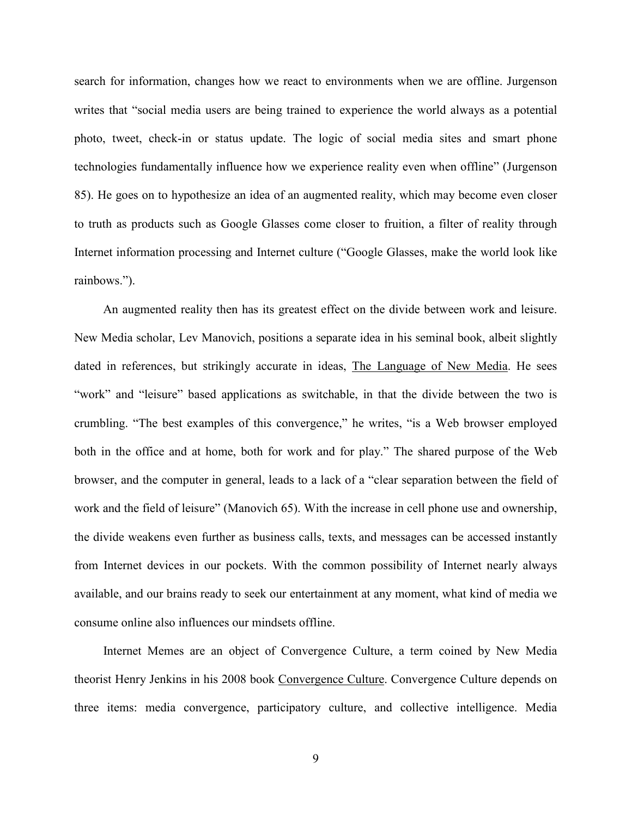search for information, changes how we react to environments when we are offline. Jurgenson writes that "social media users are being trained to experience the world always as a potential photo, tweet, check-in or status update. The logic of social media sites and smart phone technologies fundamentally influence how we experience reality even when offline" (Jurgenson 85). He goes on to hypothesize an idea of an augmented reality, which may become even closer to truth as products such as Google Glasses come closer to fruition, a filter of reality through Internet information processing and Internet culture ("Google Glasses, make the world look like rainbows.").

An augmented reality then has its greatest effect on the divide between work and leisure. New Media scholar, Lev Manovich, positions a separate idea in his seminal book, albeit slightly dated in references, but strikingly accurate in ideas, The Language of New Media. He sees "work" and "leisure" based applications as switchable, in that the divide between the two is crumbling. "The best examples of this convergence," he writes, "is a Web browser employed both in the office and at home, both for work and for play." The shared purpose of the Web browser, and the computer in general, leads to a lack of a "clear separation between the field of work and the field of leisure" (Manovich 65). With the increase in cell phone use and ownership, the divide weakens even further as business calls, texts, and messages can be accessed instantly from Internet devices in our pockets. With the common possibility of Internet nearly always available, and our brains ready to seek our entertainment at any moment, what kind of media we consume online also influences our mindsets offline.

Internet Memes are an object of Convergence Culture, a term coined by New Media theorist Henry Jenkins in his 2008 book Convergence Culture. Convergence Culture depends on three items: media convergence, participatory culture, and collective intelligence. Media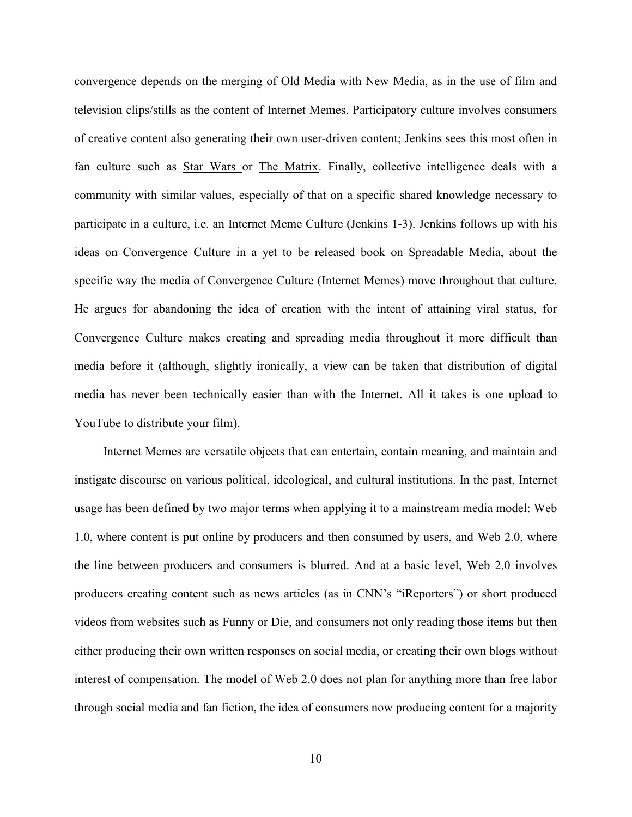convergence depends on the merging of Old Media with New Media, as in the use of film and television clips/stills as the content of Internet Memes. Participatory culture involves consumers of creative content also generating their own user-driven content; Jenkins sees this most often in fan culture such as Star Wars or The Matrix. Finally, collective intelligence deals with a community with similar values, especially of that on a specific shared knowledge necessary to participate in a culture, i.e. an Internet Meme Culture (Jenkins 1-3). Jenkins follows up with his ideas on Convergence Culture in a yet to be released book on Spreadable Media, about the specific way the media of Convergence Culture (Internet Memes) move throughout that culture. He argues for abandoning the idea of creation with the intent of attaining viral status, for Convergence Culture makes creating and spreading media throughout it more difficult than media before it (although, slightly ironically, a view can be taken that distribution of digital media has never been technically easier than with the Internet. All it takes is one upload to YouTube to distribute your film).

Internet Memes are versatile objects that can entertain, contain meaning, and maintain and instigate discourse on various political, ideological, and cultural institutions. In the past, Internet usage has been defined by two major terms when applying it to a mainstream media model: Web 1.0, where content is put online by producers and then consumed by users, and Web 2.0, where the line between producers and consumers is blurred. And at a basic level, Web 2.0 involves producers creating content such as news articles (as in CNN's "iReporters") or short produced videos from websites such as Funny or Die, and consumers not only reading those items but then either producing their own written responses on social media, or creating their own blogs without interest of compensation. The model of Web 2.0 does not plan for anything more than free labor through social media and fan fiction, the idea of consumers now producing content for a majority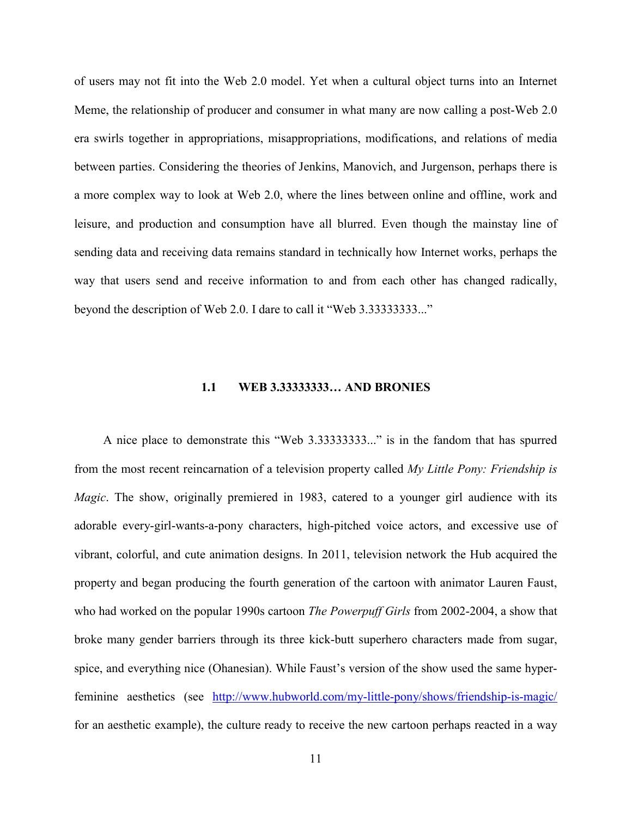<span id="page-16-0"></span>of users may not fit into the Web 2.0 model. Yet when a cultural object turns into an Internet Meme, the relationship of producer and consumer in what many are now calling a post-Web 2.0 era swirls together in appropriations, misappropriations, modifications, and relations of media between parties. Considering the theories of Jenkins, Manovich, and Jurgenson, perhaps there is a more complex way to look at Web 2.0, where the lines between online and offline, work and leisure, and production and consumption have all blurred. Even though the mainstay line of sending data and receiving data remains standard in technically how Internet works, perhaps the way that users send and receive information to and from each other has changed radically, beyond the description of Web 2.0. I dare to call it "Web 3.33333333..."

### **1.1 WEB 3.33333333… AND BRONIES**

A nice place to demonstrate this "Web 3.33333333..." is in the fandom that has spurred from the most recent reincarnation of a television property called *My Little Pony: Friendship is Magic*. The show, originally premiered in 1983, catered to a younger girl audience with its adorable every-girl-wants-a-pony characters, high-pitched voice actors, and excessive use of vibrant, colorful, and cute animation designs. In 2011, television network the Hub acquired the property and began producing the fourth generation of the cartoon with animator Lauren Faust, who had worked on the popular 1990s cartoon *The Powerpuff Girls* from 2002-2004, a show that broke many gender barriers through its three kick-butt superhero characters made from sugar, spice, and everything nice (Ohanesian). While Faust's version of the show used the same hyperfeminine aesthetics (see <http://www.hubworld.com/my-little-pony/shows/friendship-is-magic/> for an aesthetic example), the culture ready to receive the new cartoon perhaps reacted in a way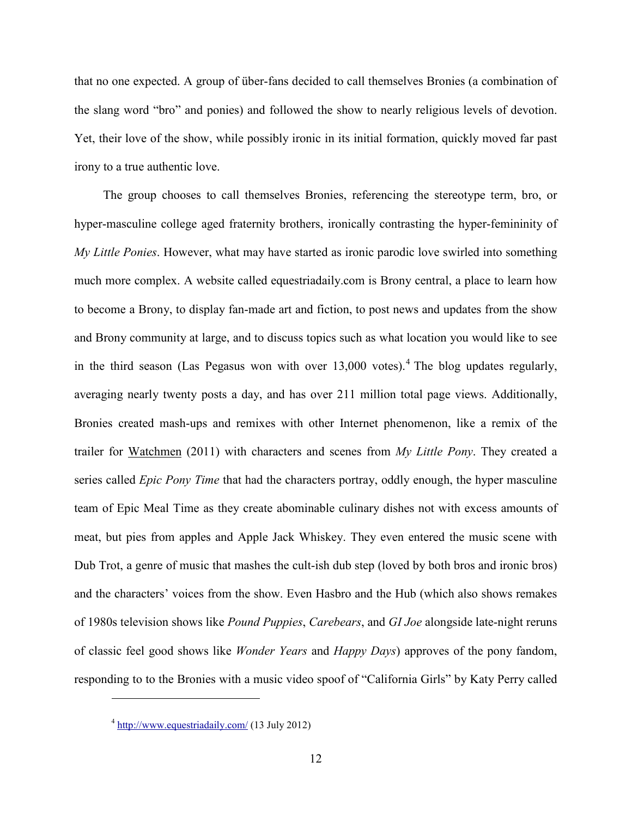that no one expected. A group of über-fans decided to call themselves Bronies (a combination of the slang word "bro" and ponies) and followed the show to nearly religious levels of devotion. Yet, their love of the show, while possibly ironic in its initial formation, quickly moved far past irony to a true authentic love.

The group chooses to call themselves Bronies, referencing the stereotype term, bro, or hyper-masculine college aged fraternity brothers, ironically contrasting the hyper-femininity of *My Little Ponies*. However, what may have started as ironic parodic love swirled into something much more complex. A website called equestriadaily.com is Brony central, a place to learn how to become a Brony, to display fan-made art and fiction, to post news and updates from the show and Brony community at large, and to discuss topics such as what location you would like to see in the third season (Las Pegasus won with over  $13,000$  votes).<sup>[4](#page-17-0)</sup> The blog updates regularly, averaging nearly twenty posts a day, and has over 211 million total page views. Additionally, Bronies created mash-ups and remixes with other Internet phenomenon, like a remix of the trailer for Watchmen (2011) with characters and scenes from *My Little Pony*. They created a series called *Epic Pony Time* that had the characters portray, oddly enough, the hyper masculine team of Epic Meal Time as they create abominable culinary dishes not with excess amounts of meat, but pies from apples and Apple Jack Whiskey. They even entered the music scene with Dub Trot, a genre of music that mashes the cult-ish dub step (loved by both bros and ironic bros) and the characters' voices from the show. Even Hasbro and the Hub (which also shows remakes of 1980s television shows like *Pound Puppies*, *Carebears*, and *GI Joe* alongside late-night reruns of classic feel good shows like *Wonder Years* and *Happy Days*) approves of the pony fandom, responding to to the Bronies with a music video spoof of "California Girls" by Katy Perry called

 $\overline{a}$ 

<span id="page-17-0"></span> $4 \frac{\text{http://www.equestriadaily.com/}}{13 \text{ July } 2012}$  $4 \frac{\text{http://www.equestriadaily.com/}}{13 \text{ July } 2012}$  $4 \frac{\text{http://www.equestriadaily.com/}}{13 \text{ July } 2012}$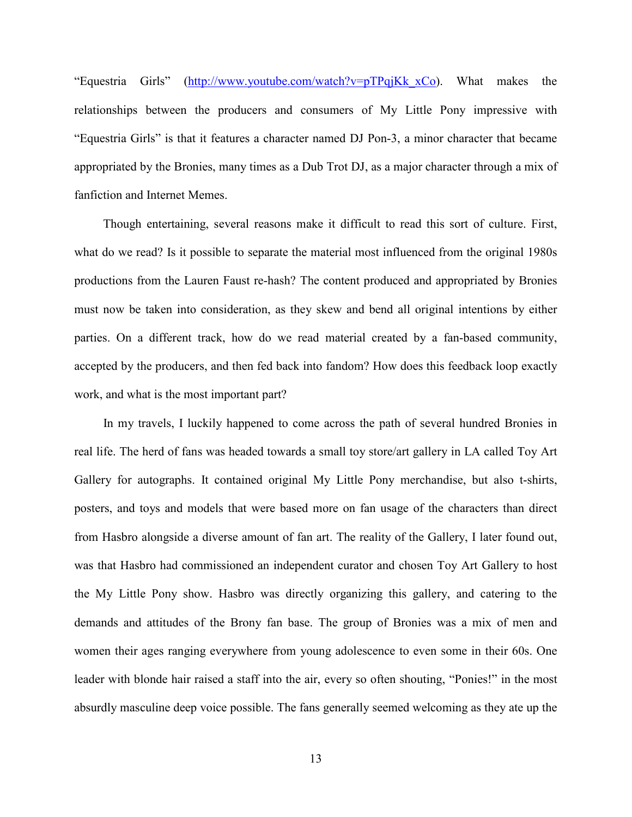"Equestria Girls" [\(http://www.youtube.com/watch?v=pTPqjKk\\_xCo\)](http://www.youtube.com/watch?v=pTPqjKk_xCo). What makes the relationships between the producers and consumers of My Little Pony impressive with "Equestria Girls" is that it features a character named DJ Pon-3, a minor character that became appropriated by the Bronies, many times as a Dub Trot DJ, as a major character through a mix of fanfiction and Internet Memes.

Though entertaining, several reasons make it difficult to read this sort of culture. First, what do we read? Is it possible to separate the material most influenced from the original 1980s productions from the Lauren Faust re-hash? The content produced and appropriated by Bronies must now be taken into consideration, as they skew and bend all original intentions by either parties. On a different track, how do we read material created by a fan-based community, accepted by the producers, and then fed back into fandom? How does this feedback loop exactly work, and what is the most important part?

In my travels, I luckily happened to come across the path of several hundred Bronies in real life. The herd of fans was headed towards a small toy store/art gallery in LA called Toy Art Gallery for autographs. It contained original My Little Pony merchandise, but also t-shirts, posters, and toys and models that were based more on fan usage of the characters than direct from Hasbro alongside a diverse amount of fan art. The reality of the Gallery, I later found out, was that Hasbro had commissioned an independent curator and chosen Toy Art Gallery to host the My Little Pony show. Hasbro was directly organizing this gallery, and catering to the demands and attitudes of the Brony fan base. The group of Bronies was a mix of men and women their ages ranging everywhere from young adolescence to even some in their 60s. One leader with blonde hair raised a staff into the air, every so often shouting, "Ponies!" in the most absurdly masculine deep voice possible. The fans generally seemed welcoming as they ate up the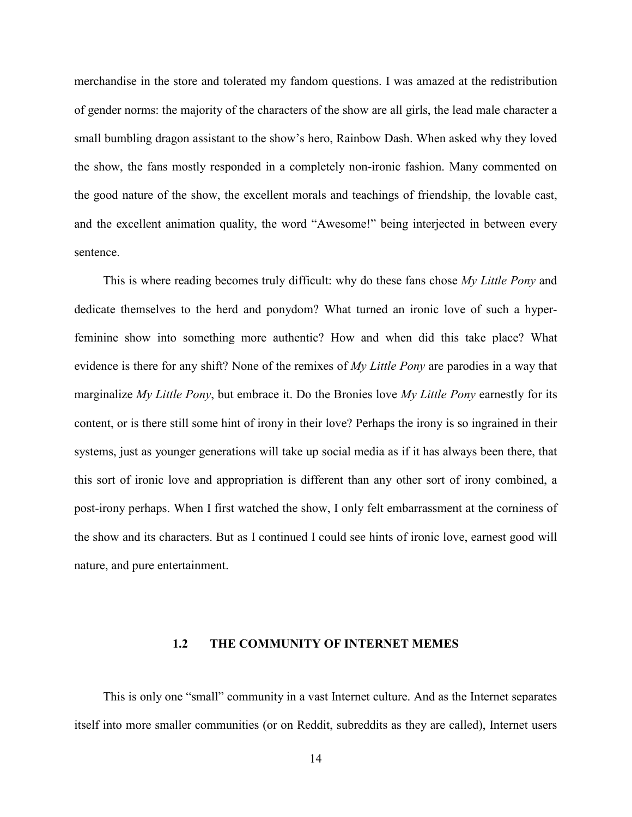<span id="page-19-0"></span>merchandise in the store and tolerated my fandom questions. I was amazed at the redistribution of gender norms: the majority of the characters of the show are all girls, the lead male character a small bumbling dragon assistant to the show's hero, Rainbow Dash. When asked why they loved the show, the fans mostly responded in a completely non-ironic fashion. Many commented on the good nature of the show, the excellent morals and teachings of friendship, the lovable cast, and the excellent animation quality, the word "Awesome!" being interjected in between every sentence.

This is where reading becomes truly difficult: why do these fans chose *My Little Pony* and dedicate themselves to the herd and ponydom? What turned an ironic love of such a hyperfeminine show into something more authentic? How and when did this take place? What evidence is there for any shift? None of the remixes of *My Little Pony* are parodies in a way that marginalize *My Little Pony*, but embrace it. Do the Bronies love *My Little Pony* earnestly for its content, or is there still some hint of irony in their love? Perhaps the irony is so ingrained in their systems, just as younger generations will take up social media as if it has always been there, that this sort of ironic love and appropriation is different than any other sort of irony combined, a post-irony perhaps. When I first watched the show, I only felt embarrassment at the corniness of the show and its characters. But as I continued I could see hints of ironic love, earnest good will nature, and pure entertainment.

#### **1.2 THE COMMUNITY OF INTERNET MEMES**

This is only one "small" community in a vast Internet culture. And as the Internet separates itself into more smaller communities (or on Reddit, subreddits as they are called), Internet users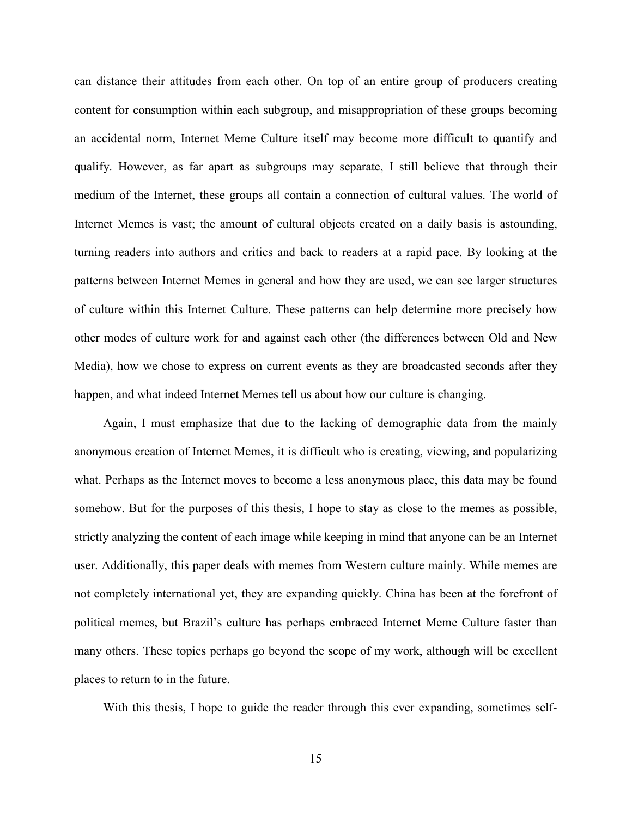can distance their attitudes from each other. On top of an entire group of producers creating content for consumption within each subgroup, and misappropriation of these groups becoming an accidental norm, Internet Meme Culture itself may become more difficult to quantify and qualify. However, as far apart as subgroups may separate, I still believe that through their medium of the Internet, these groups all contain a connection of cultural values. The world of Internet Memes is vast; the amount of cultural objects created on a daily basis is astounding, turning readers into authors and critics and back to readers at a rapid pace. By looking at the patterns between Internet Memes in general and how they are used, we can see larger structures of culture within this Internet Culture. These patterns can help determine more precisely how other modes of culture work for and against each other (the differences between Old and New Media), how we chose to express on current events as they are broadcasted seconds after they happen, and what indeed Internet Memes tell us about how our culture is changing.

Again, I must emphasize that due to the lacking of demographic data from the mainly anonymous creation of Internet Memes, it is difficult who is creating, viewing, and popularizing what. Perhaps as the Internet moves to become a less anonymous place, this data may be found somehow. But for the purposes of this thesis, I hope to stay as close to the memes as possible, strictly analyzing the content of each image while keeping in mind that anyone can be an Internet user. Additionally, this paper deals with memes from Western culture mainly. While memes are not completely international yet, they are expanding quickly. China has been at the forefront of political memes, but Brazil's culture has perhaps embraced Internet Meme Culture faster than many others. These topics perhaps go beyond the scope of my work, although will be excellent places to return to in the future.

With this thesis, I hope to guide the reader through this ever expanding, sometimes self-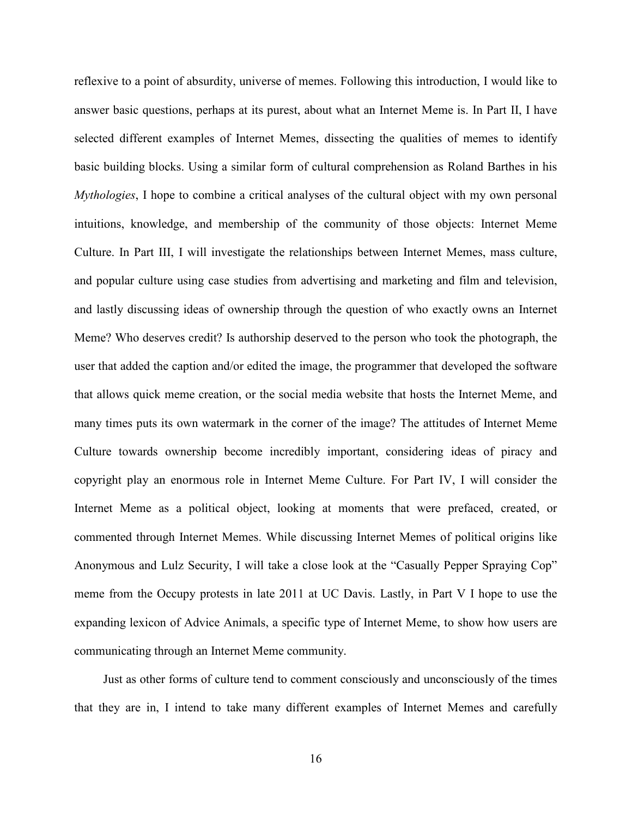reflexive to a point of absurdity, universe of memes. Following this introduction, I would like to answer basic questions, perhaps at its purest, about what an Internet Meme is. In Part II, I have selected different examples of Internet Memes, dissecting the qualities of memes to identify basic building blocks. Using a similar form of cultural comprehension as Roland Barthes in his *Mythologies*, I hope to combine a critical analyses of the cultural object with my own personal intuitions, knowledge, and membership of the community of those objects: Internet Meme Culture. In Part III, I will investigate the relationships between Internet Memes, mass culture, and popular culture using case studies from advertising and marketing and film and television, and lastly discussing ideas of ownership through the question of who exactly owns an Internet Meme? Who deserves credit? Is authorship deserved to the person who took the photograph, the user that added the caption and/or edited the image, the programmer that developed the software that allows quick meme creation, or the social media website that hosts the Internet Meme, and many times puts its own watermark in the corner of the image? The attitudes of Internet Meme Culture towards ownership become incredibly important, considering ideas of piracy and copyright play an enormous role in Internet Meme Culture. For Part IV, I will consider the Internet Meme as a political object, looking at moments that were prefaced, created, or commented through Internet Memes. While discussing Internet Memes of political origins like Anonymous and Lulz Security, I will take a close look at the "Casually Pepper Spraying Cop" meme from the Occupy protests in late 2011 at UC Davis. Lastly, in Part V I hope to use the expanding lexicon of Advice Animals, a specific type of Internet Meme, to show how users are communicating through an Internet Meme community.

Just as other forms of culture tend to comment consciously and unconsciously of the times that they are in, I intend to take many different examples of Internet Memes and carefully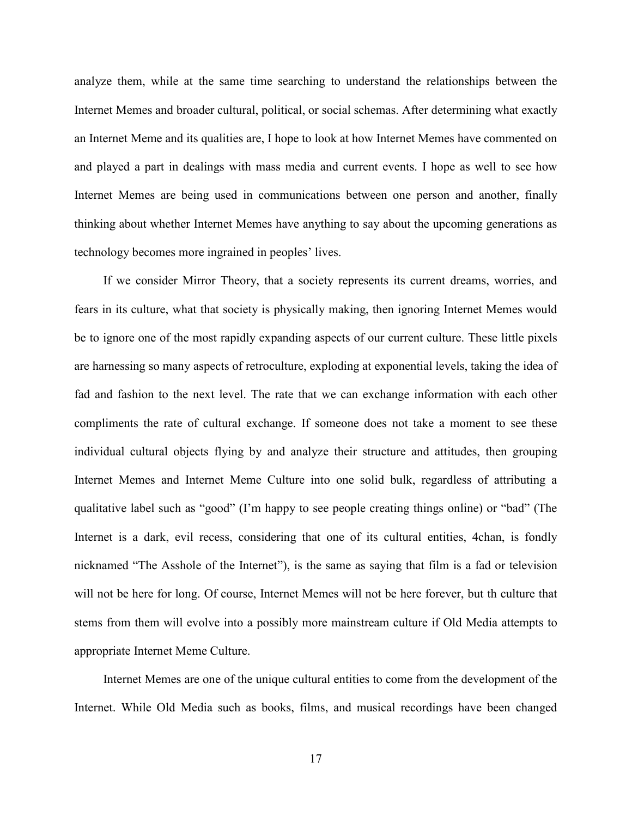analyze them, while at the same time searching to understand the relationships between the Internet Memes and broader cultural, political, or social schemas. After determining what exactly an Internet Meme and its qualities are, I hope to look at how Internet Memes have commented on and played a part in dealings with mass media and current events. I hope as well to see how Internet Memes are being used in communications between one person and another, finally thinking about whether Internet Memes have anything to say about the upcoming generations as technology becomes more ingrained in peoples' lives.

If we consider Mirror Theory, that a society represents its current dreams, worries, and fears in its culture, what that society is physically making, then ignoring Internet Memes would be to ignore one of the most rapidly expanding aspects of our current culture. These little pixels are harnessing so many aspects of retroculture, exploding at exponential levels, taking the idea of fad and fashion to the next level. The rate that we can exchange information with each other compliments the rate of cultural exchange. If someone does not take a moment to see these individual cultural objects flying by and analyze their structure and attitudes, then grouping Internet Memes and Internet Meme Culture into one solid bulk, regardless of attributing a qualitative label such as "good" (I'm happy to see people creating things online) or "bad" (The Internet is a dark, evil recess, considering that one of its cultural entities, 4chan, is fondly nicknamed "The Asshole of the Internet"), is the same as saying that film is a fad or television will not be here for long. Of course, Internet Memes will not be here forever, but th culture that stems from them will evolve into a possibly more mainstream culture if Old Media attempts to appropriate Internet Meme Culture.

Internet Memes are one of the unique cultural entities to come from the development of the Internet. While Old Media such as books, films, and musical recordings have been changed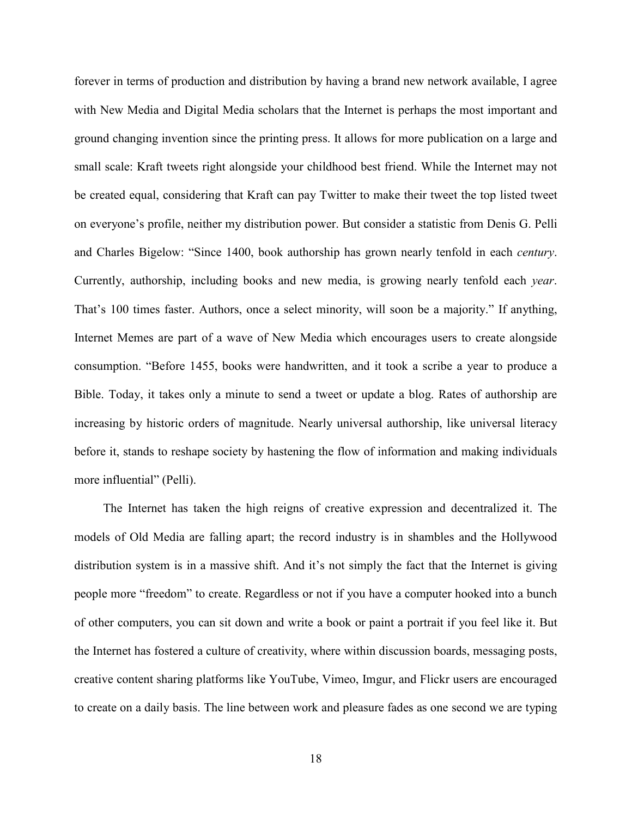forever in terms of production and distribution by having a brand new network available, I agree with New Media and Digital Media scholars that the Internet is perhaps the most important and ground changing invention since the printing press. It allows for more publication on a large and small scale: Kraft tweets right alongside your childhood best friend. While the Internet may not be created equal, considering that Kraft can pay Twitter to make their tweet the top listed tweet on everyone's profile, neither my distribution power. But consider a statistic from Denis G. Pelli and Charles Bigelow: "Since 1400, book authorship has grown nearly tenfold in each *century*. Currently, authorship, including books and new media, is growing nearly tenfold each *year*. That's 100 times faster. Authors, once a select minority, will soon be a majority." If anything, Internet Memes are part of a wave of New Media which encourages users to create alongside consumption. "Before 1455, books were handwritten, and it took a scribe a year to produce a Bible. Today, it takes only a minute to send a tweet or update a blog. Rates of authorship are increasing by historic orders of magnitude. Nearly universal authorship, like universal literacy before it, stands to reshape society by hastening the flow of information and making individuals more influential" (Pelli).

The Internet has taken the high reigns of creative expression and decentralized it. The models of Old Media are falling apart; the record industry is in shambles and the Hollywood distribution system is in a massive shift. And it's not simply the fact that the Internet is giving people more "freedom" to create. Regardless or not if you have a computer hooked into a bunch of other computers, you can sit down and write a book or paint a portrait if you feel like it. But the Internet has fostered a culture of creativity, where within discussion boards, messaging posts, creative content sharing platforms like YouTube, Vimeo, Imgur, and Flickr users are encouraged to create on a daily basis. The line between work and pleasure fades as one second we are typing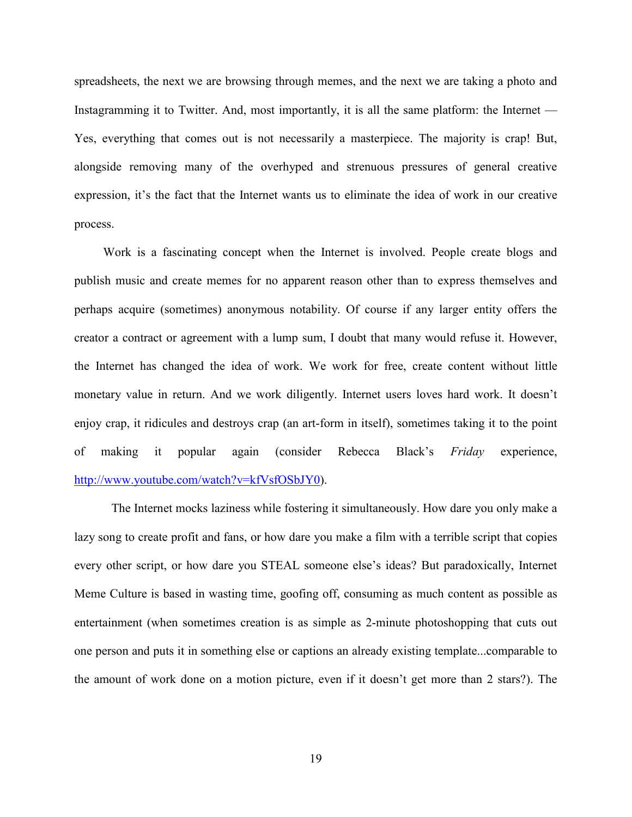spreadsheets, the next we are browsing through memes, and the next we are taking a photo and Instagramming it to Twitter. And, most importantly, it is all the same platform: the Internet — Yes, everything that comes out is not necessarily a masterpiece. The majority is crap! But, alongside removing many of the overhyped and strenuous pressures of general creative expression, it's the fact that the Internet wants us to eliminate the idea of work in our creative process.

Work is a fascinating concept when the Internet is involved. People create blogs and publish music and create memes for no apparent reason other than to express themselves and perhaps acquire (sometimes) anonymous notability. Of course if any larger entity offers the creator a contract or agreement with a lump sum, I doubt that many would refuse it. However, the Internet has changed the idea of work. We work for free, create content without little monetary value in return. And we work diligently. Internet users loves hard work. It doesn't enjoy crap, it ridicules and destroys crap (an art-form in itself), sometimes taking it to the point of making it popular again (consider Rebecca Black's *Friday* experience, [http://www.youtube.com/watch?v=kfVsfOSbJY0\)](http://www.youtube.com/watch?v=kfVsfOSbJY0).

The Internet mocks laziness while fostering it simultaneously. How dare you only make a lazy song to create profit and fans, or how dare you make a film with a terrible script that copies every other script, or how dare you STEAL someone else's ideas? But paradoxically, Internet Meme Culture is based in wasting time, goofing off, consuming as much content as possible as entertainment (when sometimes creation is as simple as 2-minute photoshopping that cuts out one person and puts it in something else or captions an already existing template...comparable to the amount of work done on a motion picture, even if it doesn't get more than 2 stars?). The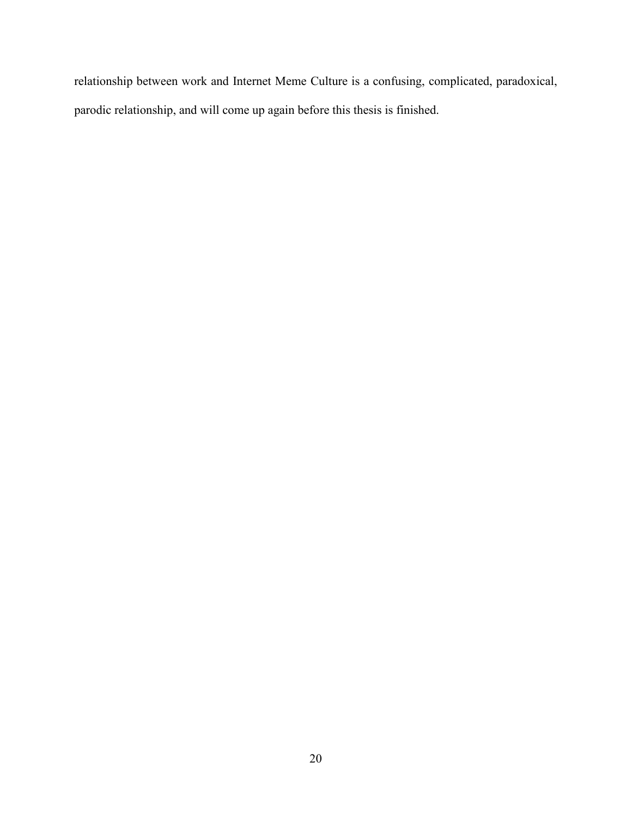relationship between work and Internet Meme Culture is a confusing, complicated, paradoxical, parodic relationship, and will come up again before this thesis is finished.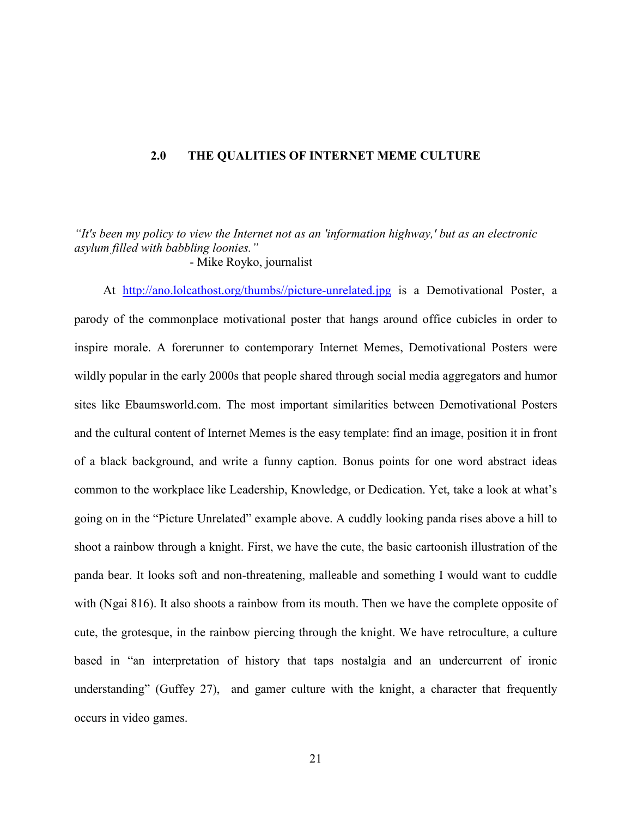#### <span id="page-26-0"></span>**2.0 THE QUALITIES OF INTERNET MEME CULTURE**

*"It's been my policy to view the Internet not as an 'information highway,' but as an electronic asylum filled with babbling loonies."*

- Mike Royko, journalist

At [http://ano.lolcathost.org/thumbs//picture-unrelated.jpg](http://ano.lolcathost.org/thumbs/picture-unrelated.jpg) is a Demotivational Poster, a parody of the commonplace motivational poster that hangs around office cubicles in order to inspire morale. A forerunner to contemporary Internet Memes, Demotivational Posters were wildly popular in the early 2000s that people shared through social media aggregators and humor sites like Ebaumsworld.com. The most important similarities between Demotivational Posters and the cultural content of Internet Memes is the easy template: find an image, position it in front of a black background, and write a funny caption. Bonus points for one word abstract ideas common to the workplace like Leadership, Knowledge, or Dedication. Yet, take a look at what's going on in the "Picture Unrelated" example above. A cuddly looking panda rises above a hill to shoot a rainbow through a knight. First, we have the cute, the basic cartoonish illustration of the panda bear. It looks soft and non-threatening, malleable and something I would want to cuddle with (Ngai 816). It also shoots a rainbow from its mouth. Then we have the complete opposite of cute, the grotesque, in the rainbow piercing through the knight. We have retroculture, a culture based in "an interpretation of history that taps nostalgia and an undercurrent of ironic understanding" (Guffey 27), and gamer culture with the knight, a character that frequently occurs in video games.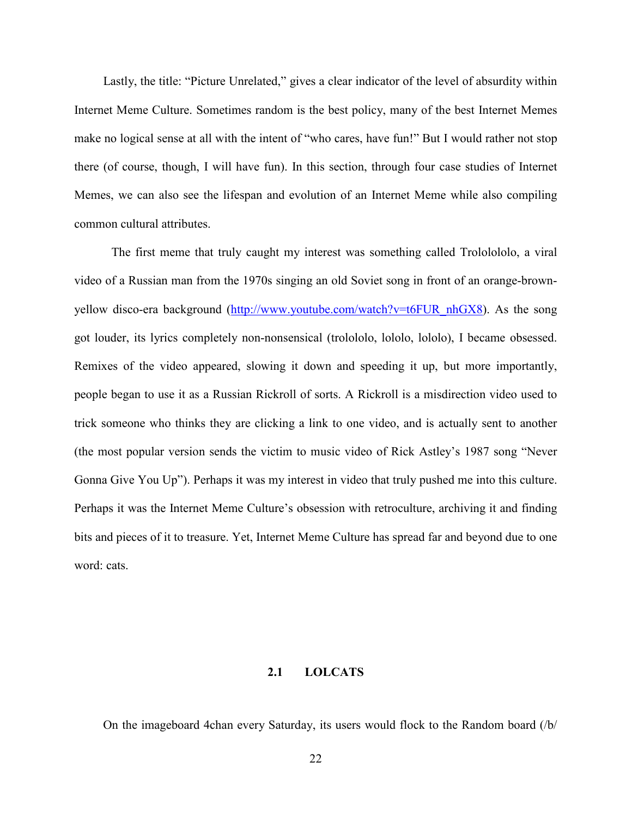<span id="page-27-0"></span>Lastly, the title: "Picture Unrelated," gives a clear indicator of the level of absurdity within Internet Meme Culture. Sometimes random is the best policy, many of the best Internet Memes make no logical sense at all with the intent of "who cares, have fun!" But I would rather not stop there (of course, though, I will have fun). In this section, through four case studies of Internet Memes, we can also see the lifespan and evolution of an Internet Meme while also compiling common cultural attributes.

The first meme that truly caught my interest was something called Trololololo, a viral video of a Russian man from the 1970s singing an old Soviet song in front of an orange-brown-yellow disco-era background [\(http://www.youtube.com/watch?v=t6FUR\\_nhGX8\)](http://www.youtube.com/watch?v=t6FUR_nhGX8). As the song got louder, its lyrics completely non-nonsensical (trolololo, lololo, lololo), I became obsessed. Remixes of the video appeared, slowing it down and speeding it up, but more importantly, people began to use it as a Russian Rickroll of sorts. A Rickroll is a misdirection video used to trick someone who thinks they are clicking a link to one video, and is actually sent to another (the most popular version sends the victim to music video of Rick Astley's 1987 song "Never Gonna Give You Up"). Perhaps it was my interest in video that truly pushed me into this culture. Perhaps it was the Internet Meme Culture's obsession with retroculture, archiving it and finding bits and pieces of it to treasure. Yet, Internet Meme Culture has spread far and beyond due to one word: cats.

#### **2.1 LOLCATS**

On the imageboard 4chan every Saturday, its users would flock to the Random board (/b/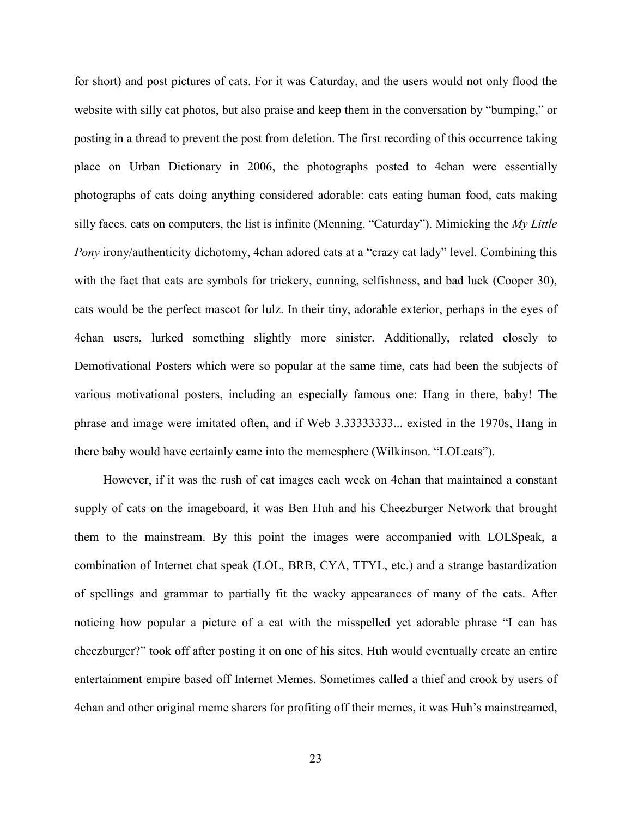for short) and post pictures of cats. For it was Caturday, and the users would not only flood the website with silly cat photos, but also praise and keep them in the conversation by "bumping," or posting in a thread to prevent the post from deletion. The first recording of this occurrence taking place on Urban Dictionary in 2006, the photographs posted to 4chan were essentially photographs of cats doing anything considered adorable: cats eating human food, cats making silly faces, cats on computers, the list is infinite (Menning. "Caturday"). Mimicking the *My Little Pony* irony/authenticity dichotomy, 4chan adored cats at a "crazy cat lady" level. Combining this with the fact that cats are symbols for trickery, cunning, selfishness, and bad luck (Cooper 30), cats would be the perfect mascot for lulz. In their tiny, adorable exterior, perhaps in the eyes of 4chan users, lurked something slightly more sinister. Additionally, related closely to Demotivational Posters which were so popular at the same time, cats had been the subjects of various motivational posters, including an especially famous one: Hang in there, baby! The phrase and image were imitated often, and if Web 3.33333333... existed in the 1970s, Hang in there baby would have certainly came into the memesphere (Wilkinson. "LOLcats").

However, if it was the rush of cat images each week on 4chan that maintained a constant supply of cats on the imageboard, it was Ben Huh and his Cheezburger Network that brought them to the mainstream. By this point the images were accompanied with LOLSpeak, a combination of Internet chat speak (LOL, BRB, CYA, TTYL, etc.) and a strange bastardization of spellings and grammar to partially fit the wacky appearances of many of the cats. After noticing how popular a picture of a cat with the misspelled yet adorable phrase "I can has cheezburger?" took off after posting it on one of his sites, Huh would eventually create an entire entertainment empire based off Internet Memes. Sometimes called a thief and crook by users of 4chan and other original meme sharers for profiting off their memes, it was Huh's mainstreamed,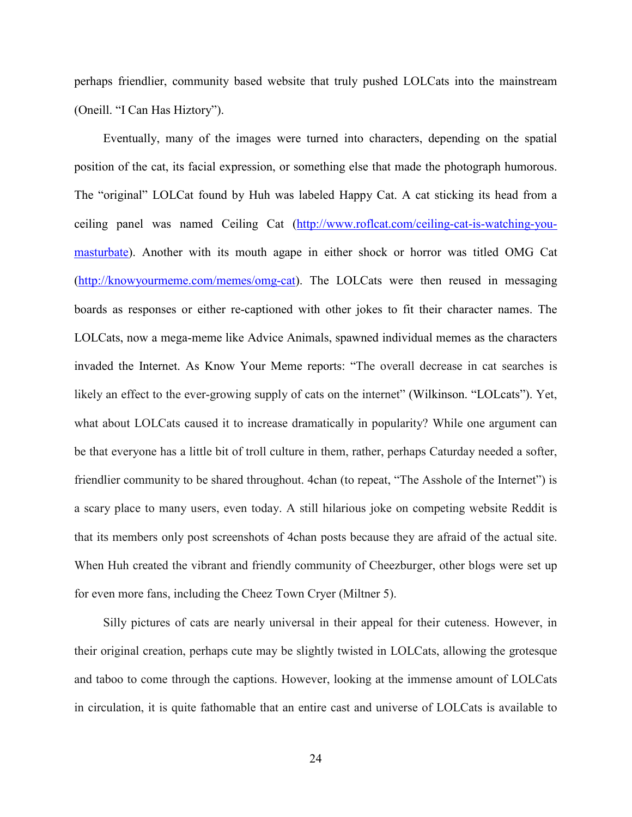perhaps friendlier, community based website that truly pushed LOLCats into the mainstream (Oneill. "I Can Has Hiztory").

Eventually, many of the images were turned into characters, depending on the spatial position of the cat, its facial expression, or something else that made the photograph humorous. The "original" LOLCat found by Huh was labeled Happy Cat. A cat sticking its head from a ceiling panel was named Ceiling Cat [\(http://www.roflcat.com/ceiling-cat-is-watching-you](http://www.roflcat.com/ceiling-cat-is-watching-you-masturbate)[masturbate\)](http://www.roflcat.com/ceiling-cat-is-watching-you-masturbate). Another with its mouth agape in either shock or horror was titled OMG Cat [\(http://knowyourmeme.com/memes/omg-cat\)](http://knowyourmeme.com/memes/omg-cat). The LOLCats were then reused in messaging boards as responses or either re-captioned with other jokes to fit their character names. The LOLCats, now a mega-meme like Advice Animals, spawned individual memes as the characters invaded the Internet. As Know Your Meme reports: "The overall decrease in cat searches is likely an effect to the ever-growing supply of cats on the internet" (Wilkinson. "LOLcats"). Yet, what about LOLCats caused it to increase dramatically in popularity? While one argument can be that everyone has a little bit of troll culture in them, rather, perhaps Caturday needed a softer, friendlier community to be shared throughout. 4chan (to repeat, "The Asshole of the Internet") is a scary place to many users, even today. A still hilarious joke on competing website Reddit is that its members only post screenshots of 4chan posts because they are afraid of the actual site. When Huh created the vibrant and friendly community of Cheezburger, other blogs were set up for even more fans, including the Cheez Town Cryer (Miltner 5).

Silly pictures of cats are nearly universal in their appeal for their cuteness. However, in their original creation, perhaps cute may be slightly twisted in LOLCats, allowing the grotesque and taboo to come through the captions. However, looking at the immense amount of LOLCats in circulation, it is quite fathomable that an entire cast and universe of LOLCats is available to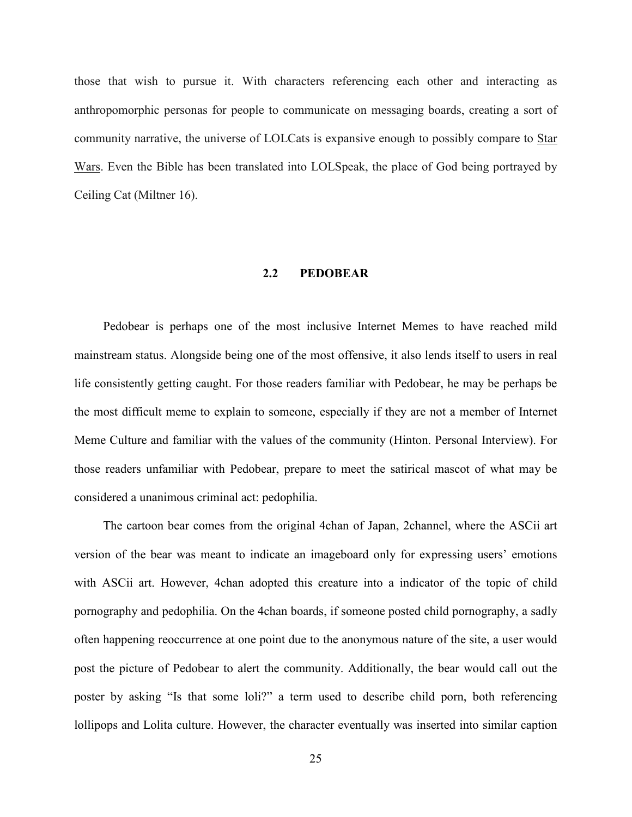<span id="page-30-0"></span>those that wish to pursue it. With characters referencing each other and interacting as anthropomorphic personas for people to communicate on messaging boards, creating a sort of community narrative, the universe of LOLCats is expansive enough to possibly compare to Star Wars. Even the Bible has been translated into LOLSpeak, the place of God being portrayed by Ceiling Cat (Miltner 16).

## **2.2 PEDOBEAR**

Pedobear is perhaps one of the most inclusive Internet Memes to have reached mild mainstream status. Alongside being one of the most offensive, it also lends itself to users in real life consistently getting caught. For those readers familiar with Pedobear, he may be perhaps be the most difficult meme to explain to someone, especially if they are not a member of Internet Meme Culture and familiar with the values of the community (Hinton. Personal Interview). For those readers unfamiliar with Pedobear, prepare to meet the satirical mascot of what may be considered a unanimous criminal act: pedophilia.

The cartoon bear comes from the original 4chan of Japan, 2channel, where the ASCii art version of the bear was meant to indicate an imageboard only for expressing users' emotions with ASCii art. However, 4chan adopted this creature into a indicator of the topic of child pornography and pedophilia. On the 4chan boards, if someone posted child pornography, a sadly often happening reoccurrence at one point due to the anonymous nature of the site, a user would post the picture of Pedobear to alert the community. Additionally, the bear would call out the poster by asking "Is that some loli?" a term used to describe child porn, both referencing lollipops and Lolita culture. However, the character eventually was inserted into similar caption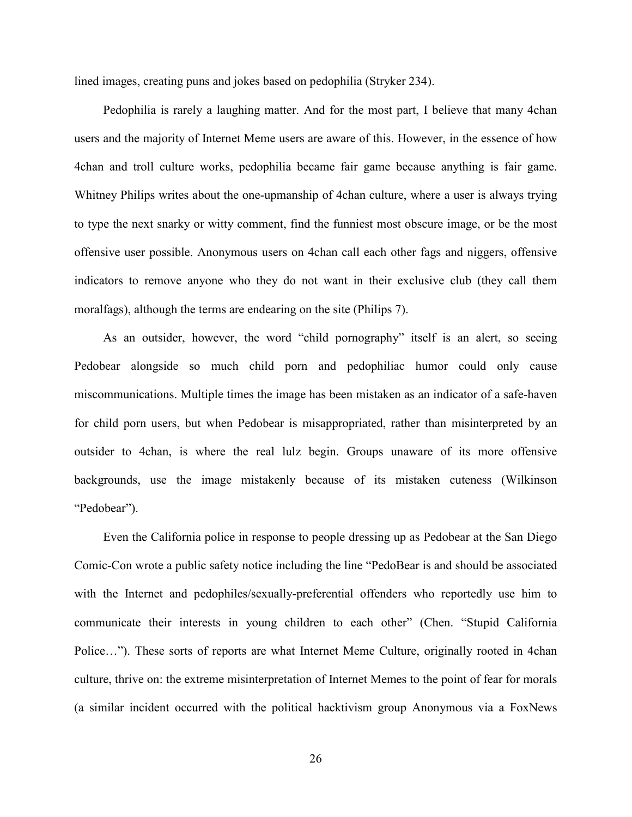lined images, creating puns and jokes based on pedophilia (Stryker 234).

Pedophilia is rarely a laughing matter. And for the most part, I believe that many 4chan users and the majority of Internet Meme users are aware of this. However, in the essence of how 4chan and troll culture works, pedophilia became fair game because anything is fair game. Whitney Philips writes about the one-upmanship of 4chan culture, where a user is always trying to type the next snarky or witty comment, find the funniest most obscure image, or be the most offensive user possible. Anonymous users on 4chan call each other fags and niggers, offensive indicators to remove anyone who they do not want in their exclusive club (they call them moralfags), although the terms are endearing on the site (Philips 7).

As an outsider, however, the word "child pornography" itself is an alert, so seeing Pedobear alongside so much child porn and pedophiliac humor could only cause miscommunications. Multiple times the image has been mistaken as an indicator of a safe-haven for child porn users, but when Pedobear is misappropriated, rather than misinterpreted by an outsider to 4chan, is where the real lulz begin. Groups unaware of its more offensive backgrounds, use the image mistakenly because of its mistaken cuteness (Wilkinson "Pedobear").

Even the California police in response to people dressing up as Pedobear at the San Diego Comic-Con wrote a public safety notice including the line "PedoBear is and should be associated with the Internet and pedophiles/sexually-preferential offenders who reportedly use him to communicate their interests in young children to each other" (Chen. "Stupid California Police…"). These sorts of reports are what Internet Meme Culture, originally rooted in 4chan culture, thrive on: the extreme misinterpretation of Internet Memes to the point of fear for morals (a similar incident occurred with the political hacktivism group Anonymous via a FoxNews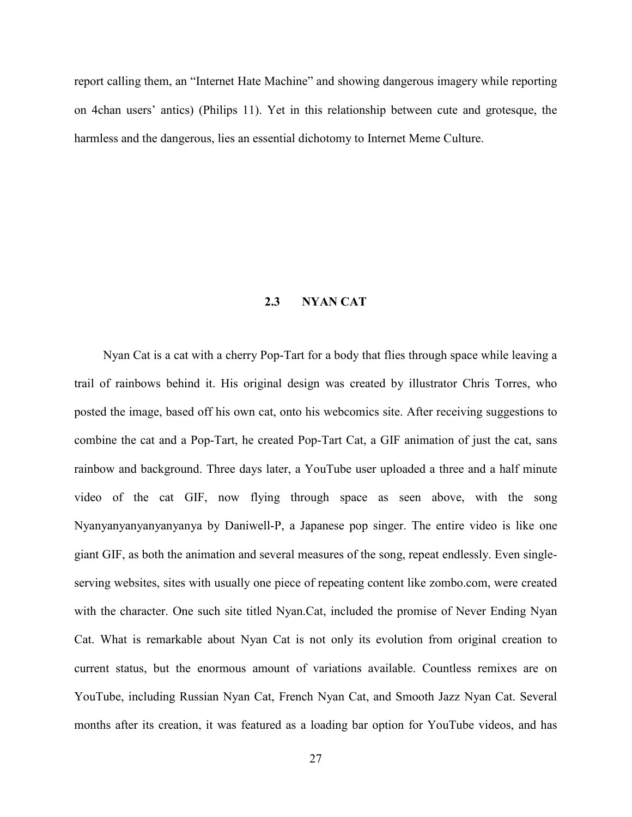<span id="page-32-0"></span>report calling them, an "Internet Hate Machine" and showing dangerous imagery while reporting on 4chan users' antics) (Philips 11). Yet in this relationship between cute and grotesque, the harmless and the dangerous, lies an essential dichotomy to Internet Meme Culture.

# **2.3 NYAN CAT**

Nyan Cat is a cat with a cherry Pop-Tart for a body that flies through space while leaving a trail of rainbows behind it. His original design was created by illustrator Chris Torres, who posted the image, based off his own cat, onto his webcomics site. After receiving suggestions to combine the cat and a Pop-Tart, he created Pop-Tart Cat, a GIF animation of just the cat, sans rainbow and background. Three days later, a YouTube user uploaded a three and a half minute video of the cat GIF, now flying through space as seen above, with the song Nyanyanyanyanyanyanya by Daniwell-P, a Japanese pop singer. The entire video is like one giant GIF, as both the animation and several measures of the song, repeat endlessly. Even singleserving websites, sites with usually one piece of repeating content like zombo.com, were created with the character. One such site titled Nyan.Cat, included the promise of Never Ending Nyan Cat. What is remarkable about Nyan Cat is not only its evolution from original creation to current status, but the enormous amount of variations available. Countless remixes are on YouTube, including Russian Nyan Cat, French Nyan Cat, and Smooth Jazz Nyan Cat. Several months after its creation, it was featured as a loading bar option for YouTube videos, and has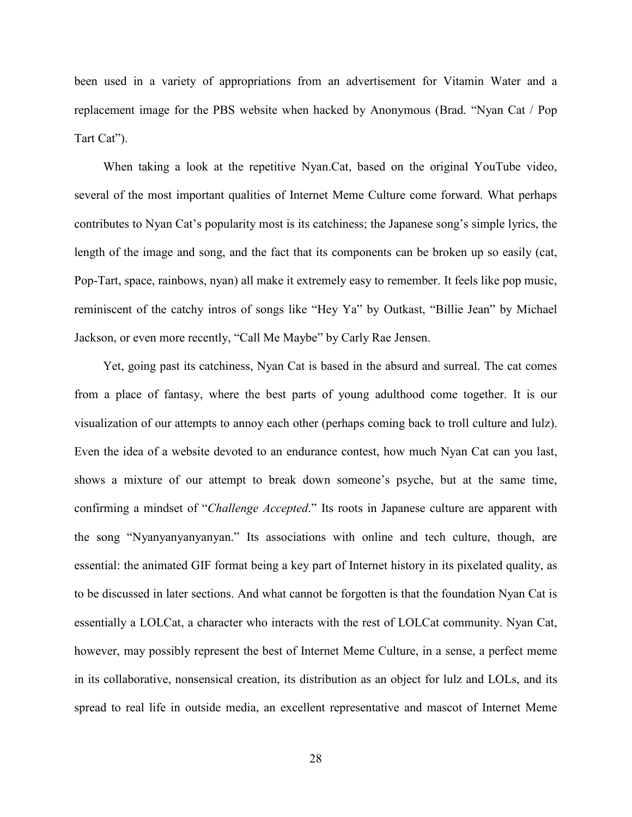been used in a variety of appropriations from an advertisement for Vitamin Water and a replacement image for the PBS website when hacked by Anonymous (Brad. "Nyan Cat / Pop Tart Cat").

When taking a look at the repetitive Nyan.Cat, based on the original YouTube video, several of the most important qualities of Internet Meme Culture come forward. What perhaps contributes to Nyan Cat's popularity most is its catchiness; the Japanese song's simple lyrics, the length of the image and song, and the fact that its components can be broken up so easily (cat, Pop-Tart, space, rainbows, nyan) all make it extremely easy to remember. It feels like pop music, reminiscent of the catchy intros of songs like "Hey Ya" by Outkast, "Billie Jean" by Michael Jackson, or even more recently, "Call Me Maybe" by Carly Rae Jensen.

Yet, going past its catchiness, Nyan Cat is based in the absurd and surreal. The cat comes from a place of fantasy, where the best parts of young adulthood come together. It is our visualization of our attempts to annoy each other (perhaps coming back to troll culture and lulz). Even the idea of a website devoted to an endurance contest, how much Nyan Cat can you last, shows a mixture of our attempt to break down someone's psyche, but at the same time, confirming a mindset of "*Challenge Accepted*." Its roots in Japanese culture are apparent with the song "Nyanyanyanyanyan." Its associations with online and tech culture, though, are essential: the animated GIF format being a key part of Internet history in its pixelated quality, as to be discussed in later sections. And what cannot be forgotten is that the foundation Nyan Cat is essentially a LOLCat, a character who interacts with the rest of LOLCat community. Nyan Cat, however, may possibly represent the best of Internet Meme Culture, in a sense, a perfect meme in its collaborative, nonsensical creation, its distribution as an object for lulz and LOLs, and its spread to real life in outside media, an excellent representative and mascot of Internet Meme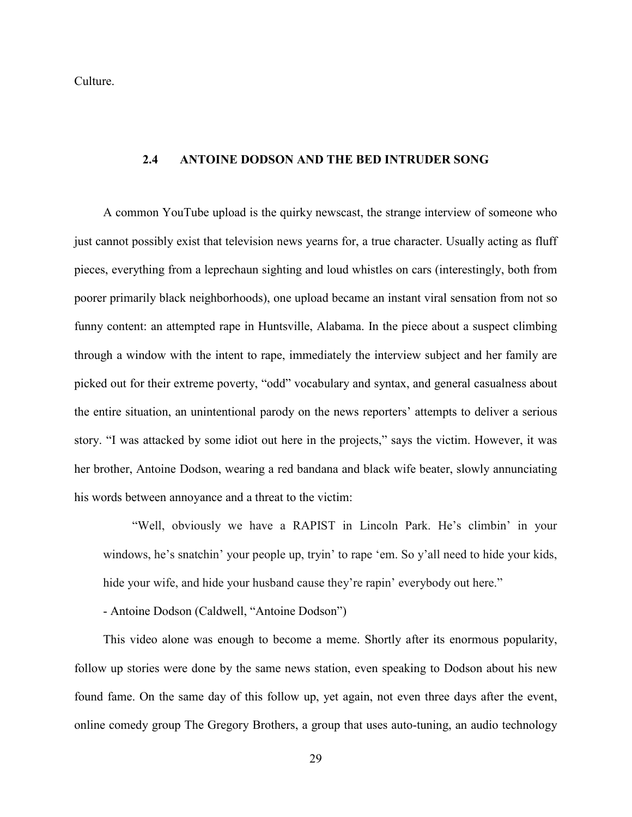<span id="page-34-0"></span>Culture.

## **2.4 ANTOINE DODSON AND THE BED INTRUDER SONG**

A common YouTube upload is the quirky newscast, the strange interview of someone who just cannot possibly exist that television news yearns for, a true character. Usually acting as fluff pieces, everything from a leprechaun sighting and loud whistles on cars (interestingly, both from poorer primarily black neighborhoods), one upload became an instant viral sensation from not so funny content: an attempted rape in Huntsville, Alabama. In the piece about a suspect climbing through a window with the intent to rape, immediately the interview subject and her family are picked out for their extreme poverty, "odd" vocabulary and syntax, and general casualness about the entire situation, an unintentional parody on the news reporters' attempts to deliver a serious story. "I was attacked by some idiot out here in the projects," says the victim. However, it was her brother, Antoine Dodson, wearing a red bandana and black wife beater, slowly annunciating his words between annoyance and a threat to the victim:

"Well, obviously we have a RAPIST in Lincoln Park. He's climbin' in your windows, he's snatchin' your people up, tryin' to rape 'em. So y'all need to hide your kids, hide your wife, and hide your husband cause they're rapin' everybody out here."

- Antoine Dodson (Caldwell, "Antoine Dodson")

This video alone was enough to become a meme. Shortly after its enormous popularity, follow up stories were done by the same news station, even speaking to Dodson about his new found fame. On the same day of this follow up, yet again, not even three days after the event, online comedy group The Gregory Brothers, a group that uses auto-tuning, an audio technology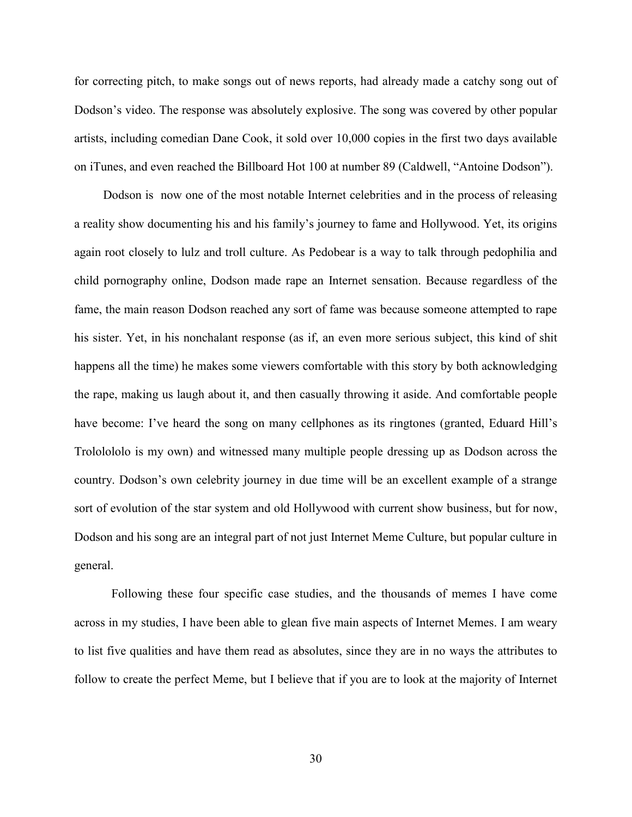for correcting pitch, to make songs out of news reports, had already made a catchy song out of Dodson's video. The response was absolutely explosive. The song was covered by other popular artists, including comedian Dane Cook, it sold over 10,000 copies in the first two days available on iTunes, and even reached the Billboard Hot 100 at number 89 (Caldwell, "Antoine Dodson").

Dodson is now one of the most notable Internet celebrities and in the process of releasing a reality show documenting his and his family's journey to fame and Hollywood. Yet, its origins again root closely to lulz and troll culture. As Pedobear is a way to talk through pedophilia and child pornography online, Dodson made rape an Internet sensation. Because regardless of the fame, the main reason Dodson reached any sort of fame was because someone attempted to rape his sister. Yet, in his nonchalant response (as if, an even more serious subject, this kind of shit happens all the time) he makes some viewers comfortable with this story by both acknowledging the rape, making us laugh about it, and then casually throwing it aside. And comfortable people have become: I've heard the song on many cellphones as its ringtones (granted, Eduard Hill's Trololololo is my own) and witnessed many multiple people dressing up as Dodson across the country. Dodson's own celebrity journey in due time will be an excellent example of a strange sort of evolution of the star system and old Hollywood with current show business, but for now, Dodson and his song are an integral part of not just Internet Meme Culture, but popular culture in general.

Following these four specific case studies, and the thousands of memes I have come across in my studies, I have been able to glean five main aspects of Internet Memes. I am weary to list five qualities and have them read as absolutes, since they are in no ways the attributes to follow to create the perfect Meme, but I believe that if you are to look at the majority of Internet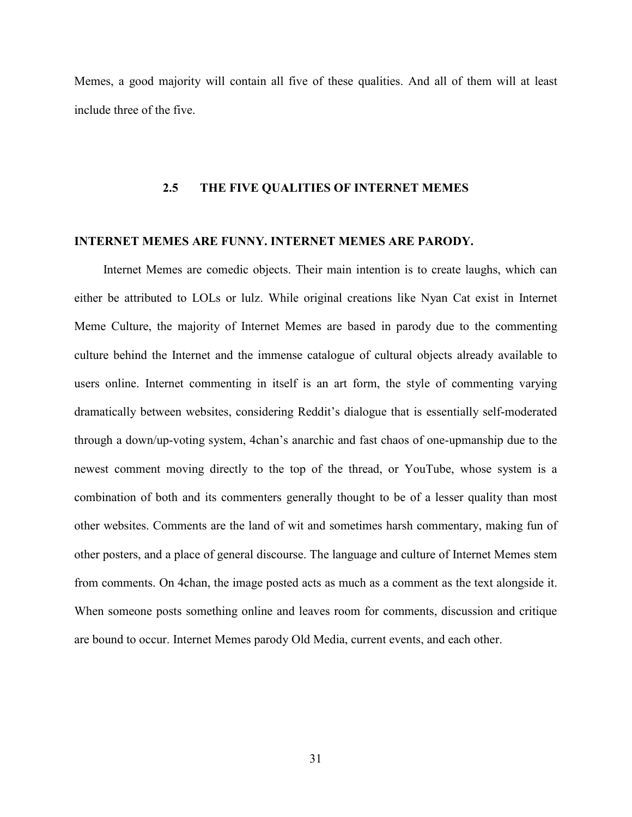Memes, a good majority will contain all five of these qualities. And all of them will at least include three of the five.

# **2.5 THE FIVE QUALITIES OF INTERNET MEMES**

# **INTERNET MEMES ARE FUNNY. INTERNET MEMES ARE PARODY.**

Internet Memes are comedic objects. Their main intention is to create laughs, which can either be attributed to LOLs or lulz. While original creations like Nyan Cat exist in Internet Meme Culture, the majority of Internet Memes are based in parody due to the commenting culture behind the Internet and the immense catalogue of cultural objects already available to users online. Internet commenting in itself is an art form, the style of commenting varying dramatically between websites, considering Reddit's dialogue that is essentially self-moderated through a down/up-voting system, 4chan's anarchic and fast chaos of one-upmanship due to the newest comment moving directly to the top of the thread, or YouTube, whose system is a combination of both and its commenters generally thought to be of a lesser quality than most other websites. Comments are the land of wit and sometimes harsh commentary, making fun of other posters, and a place of general discourse. The language and culture of Internet Memes stem from comments. On 4chan, the image posted acts as much as a comment as the text alongside it. When someone posts something online and leaves room for comments, discussion and critique are bound to occur. Internet Memes parody Old Media, current events, and each other.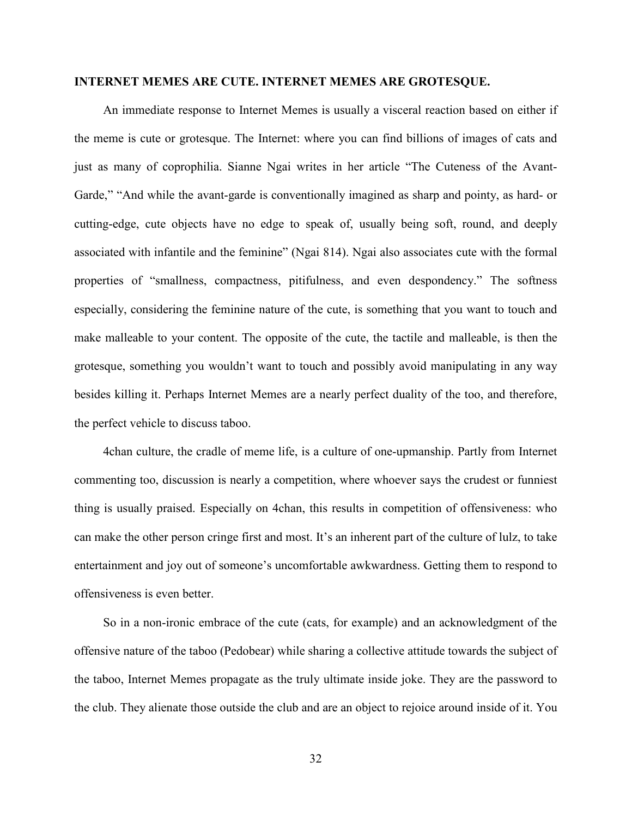## **INTERNET MEMES ARE CUTE. INTERNET MEMES ARE GROTESQUE.**

An immediate response to Internet Memes is usually a visceral reaction based on either if the meme is cute or grotesque. The Internet: where you can find billions of images of cats and just as many of coprophilia. Sianne Ngai writes in her article "The Cuteness of the Avant-Garde," "And while the avant-garde is conventionally imagined as sharp and pointy, as hard- or cutting-edge, cute objects have no edge to speak of, usually being soft, round, and deeply associated with infantile and the feminine" (Ngai 814). Ngai also associates cute with the formal properties of "smallness, compactness, pitifulness, and even despondency." The softness especially, considering the feminine nature of the cute, is something that you want to touch and make malleable to your content. The opposite of the cute, the tactile and malleable, is then the grotesque, something you wouldn't want to touch and possibly avoid manipulating in any way besides killing it. Perhaps Internet Memes are a nearly perfect duality of the too, and therefore, the perfect vehicle to discuss taboo.

4chan culture, the cradle of meme life, is a culture of one-upmanship. Partly from Internet commenting too, discussion is nearly a competition, where whoever says the crudest or funniest thing is usually praised. Especially on 4chan, this results in competition of offensiveness: who can make the other person cringe first and most. It's an inherent part of the culture of lulz, to take entertainment and joy out of someone's uncomfortable awkwardness. Getting them to respond to offensiveness is even better.

So in a non-ironic embrace of the cute (cats, for example) and an acknowledgment of the offensive nature of the taboo (Pedobear) while sharing a collective attitude towards the subject of the taboo, Internet Memes propagate as the truly ultimate inside joke. They are the password to the club. They alienate those outside the club and are an object to rejoice around inside of it. You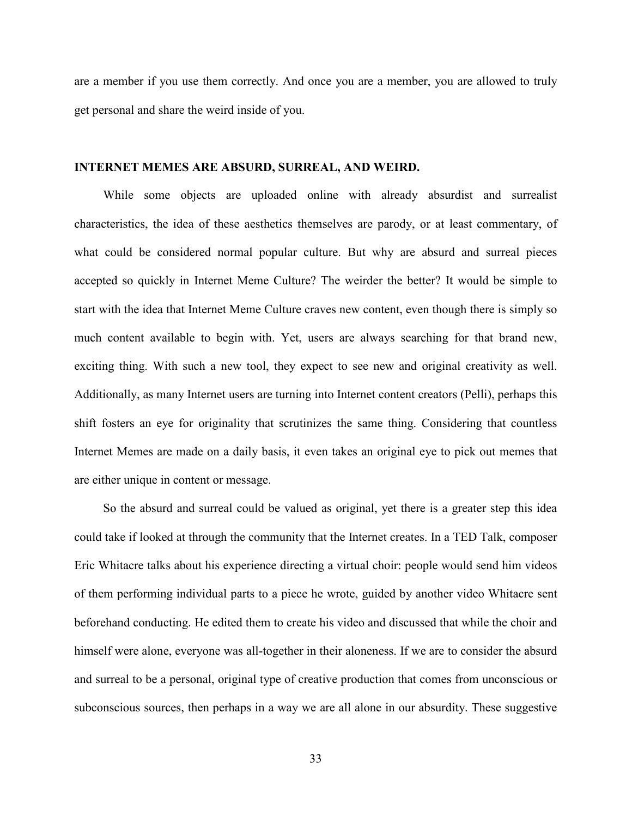are a member if you use them correctly. And once you are a member, you are allowed to truly get personal and share the weird inside of you.

#### **INTERNET MEMES ARE ABSURD, SURREAL, AND WEIRD.**

While some objects are uploaded online with already absurdist and surrealist characteristics, the idea of these aesthetics themselves are parody, or at least commentary, of what could be considered normal popular culture. But why are absurd and surreal pieces accepted so quickly in Internet Meme Culture? The weirder the better? It would be simple to start with the idea that Internet Meme Culture craves new content, even though there is simply so much content available to begin with. Yet, users are always searching for that brand new, exciting thing. With such a new tool, they expect to see new and original creativity as well. Additionally, as many Internet users are turning into Internet content creators (Pelli), perhaps this shift fosters an eye for originality that scrutinizes the same thing. Considering that countless Internet Memes are made on a daily basis, it even takes an original eye to pick out memes that are either unique in content or message.

So the absurd and surreal could be valued as original, yet there is a greater step this idea could take if looked at through the community that the Internet creates. In a TED Talk, composer Eric Whitacre talks about his experience directing a virtual choir: people would send him videos of them performing individual parts to a piece he wrote, guided by another video Whitacre sent beforehand conducting. He edited them to create his video and discussed that while the choir and himself were alone, everyone was all-together in their aloneness. If we are to consider the absurd and surreal to be a personal, original type of creative production that comes from unconscious or subconscious sources, then perhaps in a way we are all alone in our absurdity. These suggestive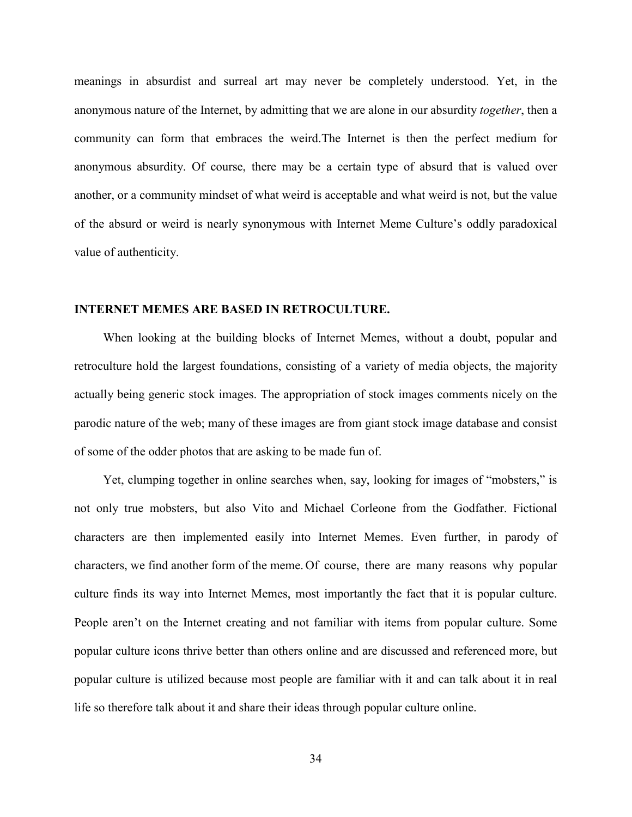meanings in absurdist and surreal art may never be completely understood. Yet, in the anonymous nature of the Internet, by admitting that we are alone in our absurdity *together*, then a community can form that embraces the weird.The Internet is then the perfect medium for anonymous absurdity. Of course, there may be a certain type of absurd that is valued over another, or a community mindset of what weird is acceptable and what weird is not, but the value of the absurd or weird is nearly synonymous with Internet Meme Culture's oddly paradoxical value of authenticity.

# **INTERNET MEMES ARE BASED IN RETROCULTURE.**

When looking at the building blocks of Internet Memes, without a doubt, popular and retroculture hold the largest foundations, consisting of a variety of media objects, the majority actually being generic stock images. The appropriation of stock images comments nicely on the parodic nature of the web; many of these images are from giant stock image database and consist of some of the odder photos that are asking to be made fun of.

Yet, clumping together in online searches when, say, looking for images of "mobsters," is not only true mobsters, but also Vito and Michael Corleone from the Godfather. Fictional characters are then implemented easily into Internet Memes. Even further, in parody of characters, we find another form of the meme. Of course, there are many reasons why popular culture finds its way into Internet Memes, most importantly the fact that it is popular culture. People aren't on the Internet creating and not familiar with items from popular culture. Some popular culture icons thrive better than others online and are discussed and referenced more, but popular culture is utilized because most people are familiar with it and can talk about it in real life so therefore talk about it and share their ideas through popular culture online.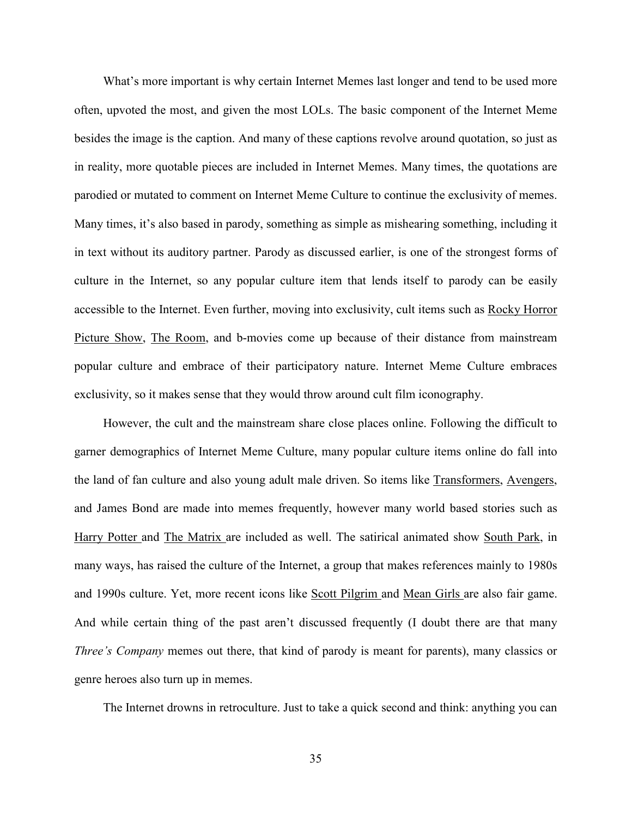What's more important is why certain Internet Memes last longer and tend to be used more often, upvoted the most, and given the most LOLs. The basic component of the Internet Meme besides the image is the caption. And many of these captions revolve around quotation, so just as in reality, more quotable pieces are included in Internet Memes. Many times, the quotations are parodied or mutated to comment on Internet Meme Culture to continue the exclusivity of memes. Many times, it's also based in parody, something as simple as mishearing something, including it in text without its auditory partner. Parody as discussed earlier, is one of the strongest forms of culture in the Internet, so any popular culture item that lends itself to parody can be easily accessible to the Internet. Even further, moving into exclusivity, cult items such as Rocky Horror Picture Show, The Room, and b-movies come up because of their distance from mainstream popular culture and embrace of their participatory nature. Internet Meme Culture embraces exclusivity, so it makes sense that they would throw around cult film iconography.

However, the cult and the mainstream share close places online. Following the difficult to garner demographics of Internet Meme Culture, many popular culture items online do fall into the land of fan culture and also young adult male driven. So items like Transformers, Avengers, and James Bond are made into memes frequently, however many world based stories such as Harry Potter and The Matrix are included as well. The satirical animated show South Park, in many ways, has raised the culture of the Internet, a group that makes references mainly to 1980s and 1990s culture. Yet, more recent icons like Scott Pilgrim and Mean Girls are also fair game. And while certain thing of the past aren't discussed frequently (I doubt there are that many *Three's Company* memes out there, that kind of parody is meant for parents), many classics or genre heroes also turn up in memes.

The Internet drowns in retroculture. Just to take a quick second and think: anything you can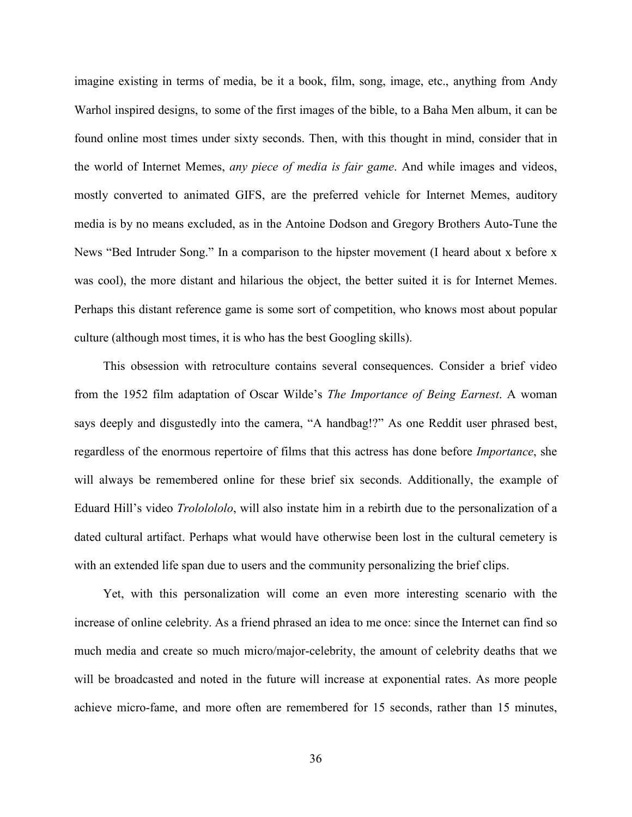imagine existing in terms of media, be it a book, film, song, image, etc., anything from Andy Warhol inspired designs, to some of the first images of the bible, to a Baha Men album, it can be found online most times under sixty seconds. Then, with this thought in mind, consider that in the world of Internet Memes, *any piece of media is fair game*. And while images and videos, mostly converted to animated GIFS, are the preferred vehicle for Internet Memes, auditory media is by no means excluded, as in the Antoine Dodson and Gregory Brothers Auto-Tune the News "Bed Intruder Song." In a comparison to the hipster movement (I heard about x before x was cool), the more distant and hilarious the object, the better suited it is for Internet Memes. Perhaps this distant reference game is some sort of competition, who knows most about popular culture (although most times, it is who has the best Googling skills).

This obsession with retroculture contains several consequences. Consider a brief video from the 1952 film adaptation of Oscar Wilde's *The Importance of Being Earnest*. A woman says deeply and disgustedly into the camera, "A handbag!?" As one Reddit user phrased best, regardless of the enormous repertoire of films that this actress has done before *Importance*, she will always be remembered online for these brief six seconds. Additionally, the example of Eduard Hill's video *Trololololo*, will also instate him in a rebirth due to the personalization of a dated cultural artifact. Perhaps what would have otherwise been lost in the cultural cemetery is with an extended life span due to users and the community personalizing the brief clips.

Yet, with this personalization will come an even more interesting scenario with the increase of online celebrity. As a friend phrased an idea to me once: since the Internet can find so much media and create so much micro/major-celebrity, the amount of celebrity deaths that we will be broadcasted and noted in the future will increase at exponential rates. As more people achieve micro-fame, and more often are remembered for 15 seconds, rather than 15 minutes,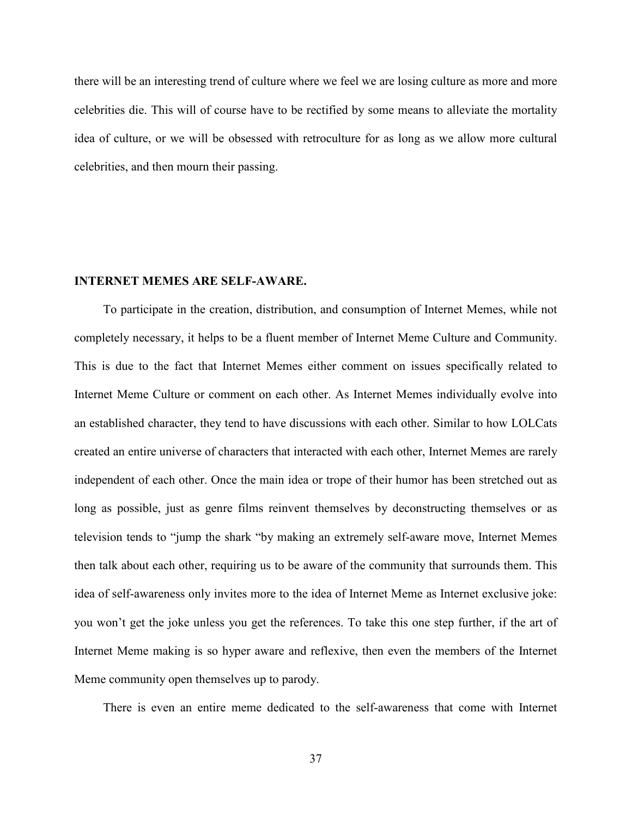there will be an interesting trend of culture where we feel we are losing culture as more and more celebrities die. This will of course have to be rectified by some means to alleviate the mortality idea of culture, or we will be obsessed with retroculture for as long as we allow more cultural celebrities, and then mourn their passing.

# **INTERNET MEMES ARE SELF-AWARE.**

To participate in the creation, distribution, and consumption of Internet Memes, while not completely necessary, it helps to be a fluent member of Internet Meme Culture and Community. This is due to the fact that Internet Memes either comment on issues specifically related to Internet Meme Culture or comment on each other. As Internet Memes individually evolve into an established character, they tend to have discussions with each other. Similar to how LOLCats created an entire universe of characters that interacted with each other, Internet Memes are rarely independent of each other. Once the main idea or trope of their humor has been stretched out as long as possible, just as genre films reinvent themselves by deconstructing themselves or as television tends to "jump the shark "by making an extremely self-aware move, Internet Memes then talk about each other, requiring us to be aware of the community that surrounds them. This idea of self-awareness only invites more to the idea of Internet Meme as Internet exclusive joke: you won't get the joke unless you get the references. To take this one step further, if the art of Internet Meme making is so hyper aware and reflexive, then even the members of the Internet Meme community open themselves up to parody.

There is even an entire meme dedicated to the self-awareness that come with Internet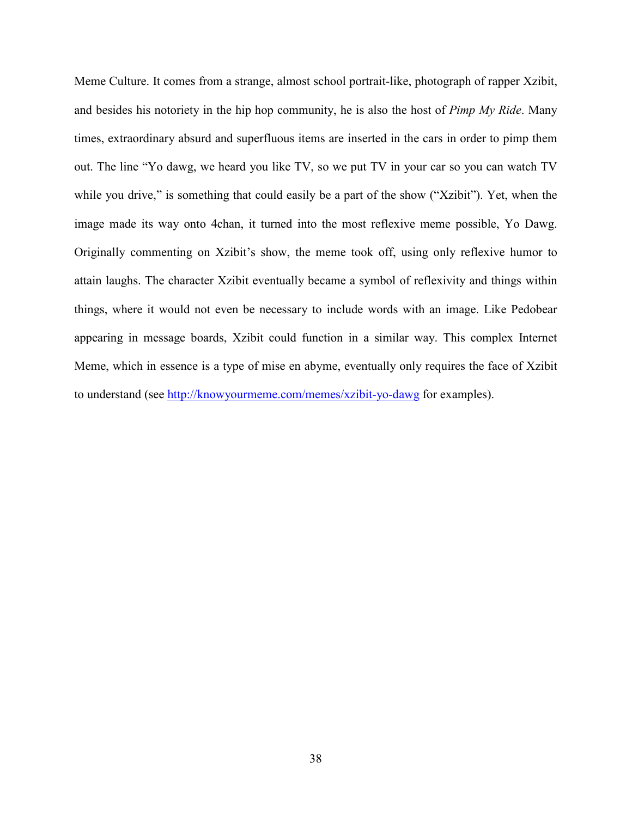Meme Culture. It comes from a strange, almost school portrait-like, photograph of rapper Xzibit, and besides his notoriety in the hip hop community, he is also the host of *Pimp My Ride*. Many times, extraordinary absurd and superfluous items are inserted in the cars in order to pimp them out. The line "Yo dawg, we heard you like TV, so we put TV in your car so you can watch TV while you drive," is something that could easily be a part of the show ("Xzibit"). Yet, when the image made its way onto 4chan, it turned into the most reflexive meme possible, Yo Dawg. Originally commenting on Xzibit's show, the meme took off, using only reflexive humor to attain laughs. The character Xzibit eventually became a symbol of reflexivity and things within things, where it would not even be necessary to include words with an image. Like Pedobear appearing in message boards, Xzibit could function in a similar way. This complex Internet Meme, which in essence is a type of mise en abyme, eventually only requires the face of Xzibit to understand (see<http://knowyourmeme.com/memes/xzibit-yo-dawg> for examples).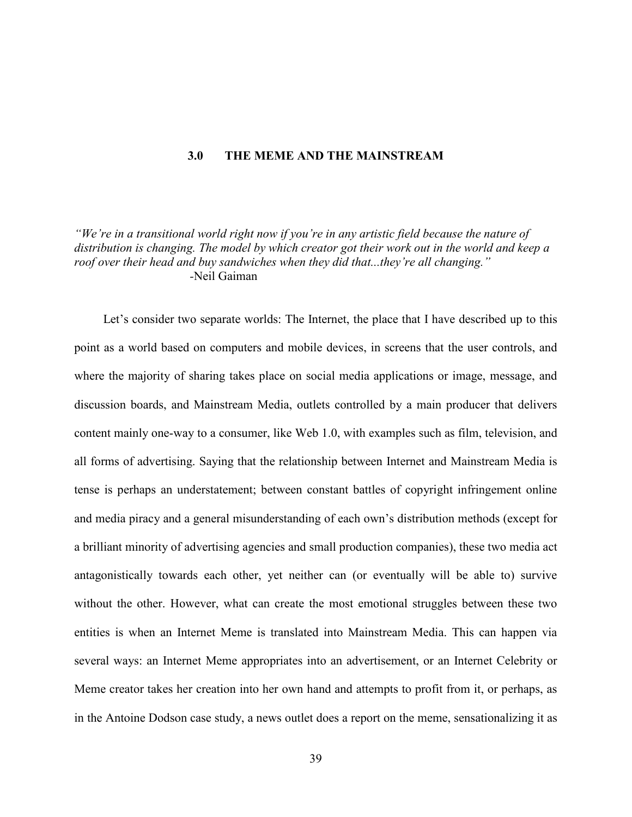### **3.0 THE MEME AND THE MAINSTREAM**

*"We're in a transitional world right now if you're in any artistic field because the nature of distribution is changing. The model by which creator got their work out in the world and keep a roof over their head and buy sandwiches when they did that...they're all changing." -*Neil Gaiman

Let's consider two separate worlds: The Internet, the place that I have described up to this point as a world based on computers and mobile devices, in screens that the user controls, and where the majority of sharing takes place on social media applications or image, message, and discussion boards, and Mainstream Media, outlets controlled by a main producer that delivers content mainly one-way to a consumer, like Web 1.0, with examples such as film, television, and all forms of advertising. Saying that the relationship between Internet and Mainstream Media is tense is perhaps an understatement; between constant battles of copyright infringement online and media piracy and a general misunderstanding of each own's distribution methods (except for a brilliant minority of advertising agencies and small production companies), these two media act antagonistically towards each other, yet neither can (or eventually will be able to) survive without the other. However, what can create the most emotional struggles between these two entities is when an Internet Meme is translated into Mainstream Media. This can happen via several ways: an Internet Meme appropriates into an advertisement, or an Internet Celebrity or Meme creator takes her creation into her own hand and attempts to profit from it, or perhaps, as in the Antoine Dodson case study, a news outlet does a report on the meme, sensationalizing it as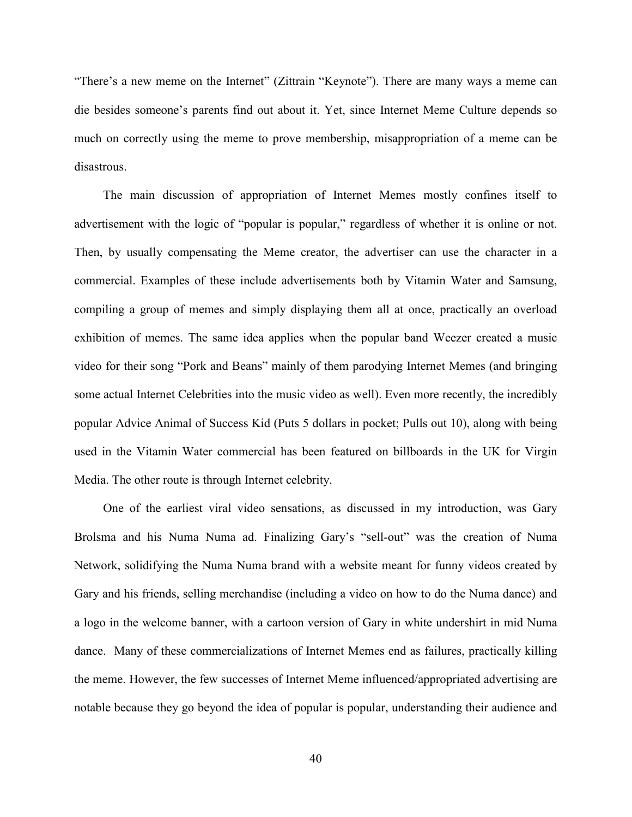"There's a new meme on the Internet" (Zittrain "Keynote"). There are many ways a meme can die besides someone's parents find out about it. Yet, since Internet Meme Culture depends so much on correctly using the meme to prove membership, misappropriation of a meme can be disastrous.

The main discussion of appropriation of Internet Memes mostly confines itself to advertisement with the logic of "popular is popular," regardless of whether it is online or not. Then, by usually compensating the Meme creator, the advertiser can use the character in a commercial. Examples of these include advertisements both by Vitamin Water and Samsung, compiling a group of memes and simply displaying them all at once, practically an overload exhibition of memes. The same idea applies when the popular band Weezer created a music video for their song "Pork and Beans" mainly of them parodying Internet Memes (and bringing some actual Internet Celebrities into the music video as well). Even more recently, the incredibly popular Advice Animal of Success Kid (Puts 5 dollars in pocket; Pulls out 10), along with being used in the Vitamin Water commercial has been featured on billboards in the UK for Virgin Media. The other route is through Internet celebrity.

One of the earliest viral video sensations, as discussed in my introduction, was Gary Brolsma and his Numa Numa ad. Finalizing Gary's "sell-out" was the creation of Numa Network, solidifying the Numa Numa brand with a website meant for funny videos created by Gary and his friends, selling merchandise (including a video on how to do the Numa dance) and a logo in the welcome banner, with a cartoon version of Gary in white undershirt in mid Numa dance. Many of these commercializations of Internet Memes end as failures, practically killing the meme. However, the few successes of Internet Meme influenced/appropriated advertising are notable because they go beyond the idea of popular is popular, understanding their audience and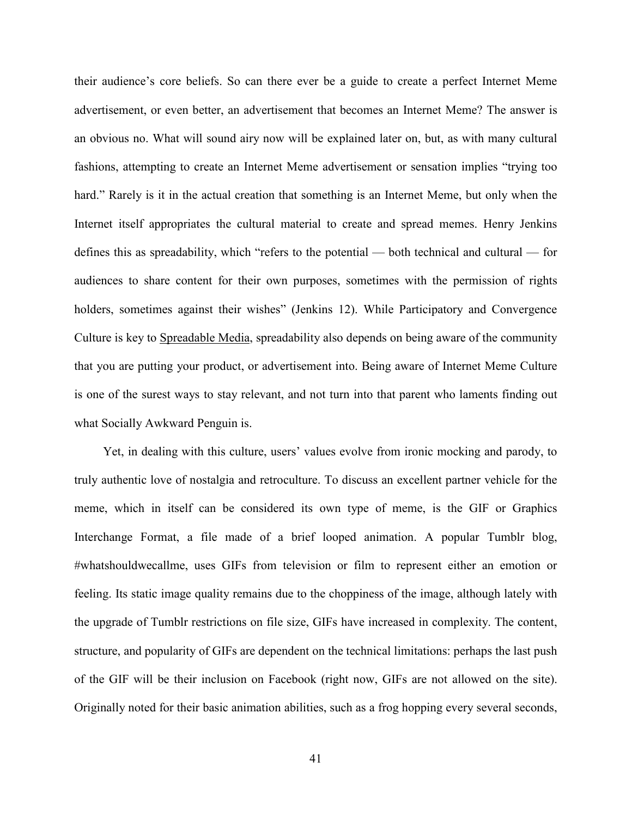their audience's core beliefs. So can there ever be a guide to create a perfect Internet Meme advertisement, or even better, an advertisement that becomes an Internet Meme? The answer is an obvious no. What will sound airy now will be explained later on, but, as with many cultural fashions, attempting to create an Internet Meme advertisement or sensation implies "trying too hard." Rarely is it in the actual creation that something is an Internet Meme, but only when the Internet itself appropriates the cultural material to create and spread memes. Henry Jenkins defines this as spreadability, which "refers to the potential — both technical and cultural — for audiences to share content for their own purposes, sometimes with the permission of rights holders, sometimes against their wishes" (Jenkins 12). While Participatory and Convergence Culture is key to Spreadable Media, spreadability also depends on being aware of the community that you are putting your product, or advertisement into. Being aware of Internet Meme Culture is one of the surest ways to stay relevant, and not turn into that parent who laments finding out what Socially Awkward Penguin is.

Yet, in dealing with this culture, users' values evolve from ironic mocking and parody, to truly authentic love of nostalgia and retroculture. To discuss an excellent partner vehicle for the meme, which in itself can be considered its own type of meme, is the GIF or Graphics Interchange Format, a file made of a brief looped animation. A popular Tumblr blog, #whatshouldwecallme, uses GIFs from television or film to represent either an emotion or feeling. Its static image quality remains due to the choppiness of the image, although lately with the upgrade of Tumblr restrictions on file size, GIFs have increased in complexity. The content, structure, and popularity of GIFs are dependent on the technical limitations: perhaps the last push of the GIF will be their inclusion on Facebook (right now, GIFs are not allowed on the site). Originally noted for their basic animation abilities, such as a frog hopping every several seconds,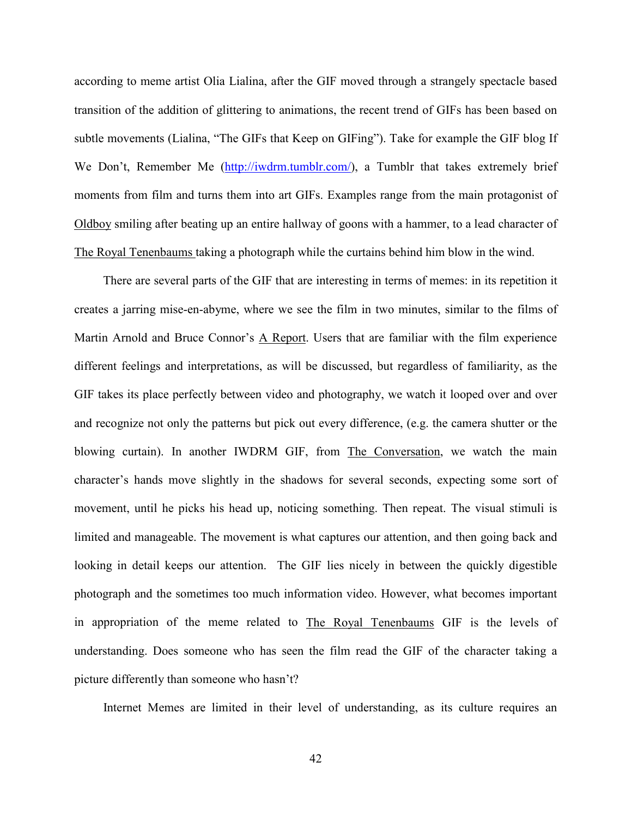according to meme artist Olia Lialina, after the GIF moved through a strangely spectacle based transition of the addition of glittering to animations, the recent trend of GIFs has been based on subtle movements (Lialina, "The GIFs that Keep on GIFing"). Take for example the GIF blog If We Don't, Remember Me [\(http://iwdrm.tumblr.com/\)](http://iwdrm.tumblr.com/), a Tumblr that takes extremely brief moments from film and turns them into art GIFs. Examples range from the main protagonist of Oldboy smiling after beating up an entire hallway of goons with a hammer, to a lead character of The Royal Tenenbaums taking a photograph while the curtains behind him blow in the wind.

There are several parts of the GIF that are interesting in terms of memes: in its repetition it creates a jarring mise-en-abyme, where we see the film in two minutes, similar to the films of Martin Arnold and Bruce Connor's A Report. Users that are familiar with the film experience different feelings and interpretations, as will be discussed, but regardless of familiarity, as the GIF takes its place perfectly between video and photography, we watch it looped over and over and recognize not only the patterns but pick out every difference, (e.g. the camera shutter or the blowing curtain). In another IWDRM GIF, from The Conversation, we watch the main character's hands move slightly in the shadows for several seconds, expecting some sort of movement, until he picks his head up, noticing something. Then repeat. The visual stimuli is limited and manageable. The movement is what captures our attention, and then going back and looking in detail keeps our attention. The GIF lies nicely in between the quickly digestible photograph and the sometimes too much information video. However, what becomes important in appropriation of the meme related to The Royal Tenenbaums GIF is the levels of understanding. Does someone who has seen the film read the GIF of the character taking a picture differently than someone who hasn't?

Internet Memes are limited in their level of understanding, as its culture requires an

42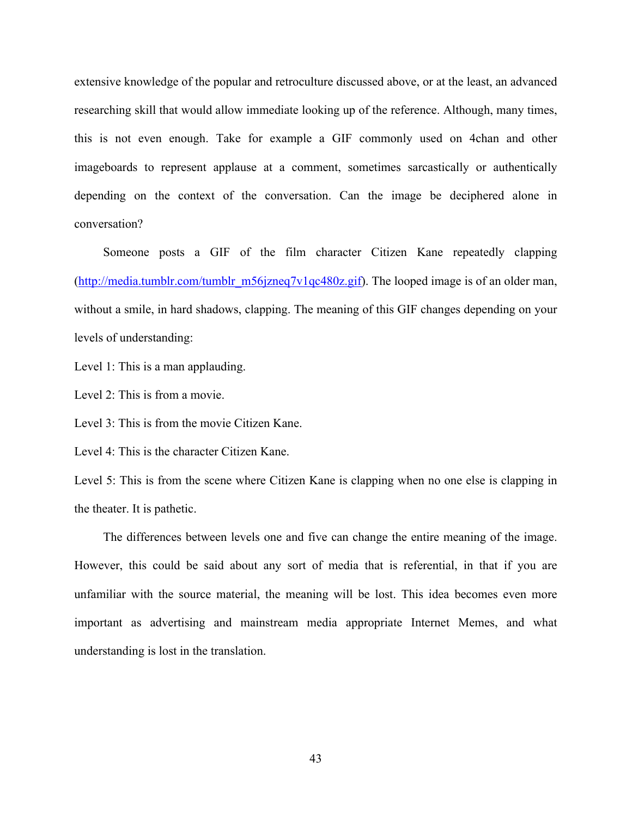extensive knowledge of the popular and retroculture discussed above, or at the least, an advanced researching skill that would allow immediate looking up of the reference. Although, many times, this is not even enough. Take for example a GIF commonly used on 4chan and other imageboards to represent applause at a comment, sometimes sarcastically or authentically depending on the context of the conversation. Can the image be deciphered alone in conversation?

Someone posts a GIF of the film character Citizen Kane repeatedly clapping (http://media.tumblr.com/tumblr\_m56jzneq7v1qc480z.gif). The looped image is of an older man, without a smile, in hard shadows, clapping. The meaning of this GIF changes depending on your levels of understanding:

Level 1: This is a man applauding.

Level 2: This is from a movie.

Level 3: This is from the movie Citizen Kane.

Level 4: This is the character Citizen Kane.

Level 5: This is from the scene where Citizen Kane is clapping when no one else is clapping in the theater. It is pathetic.

The differences between levels one and five can change the entire meaning of the image. However, this could be said about any sort of media that is referential, in that if you are unfamiliar with the source material, the meaning will be lost. This idea becomes even more important as advertising and mainstream media appropriate Internet Memes, and what understanding is lost in the translation.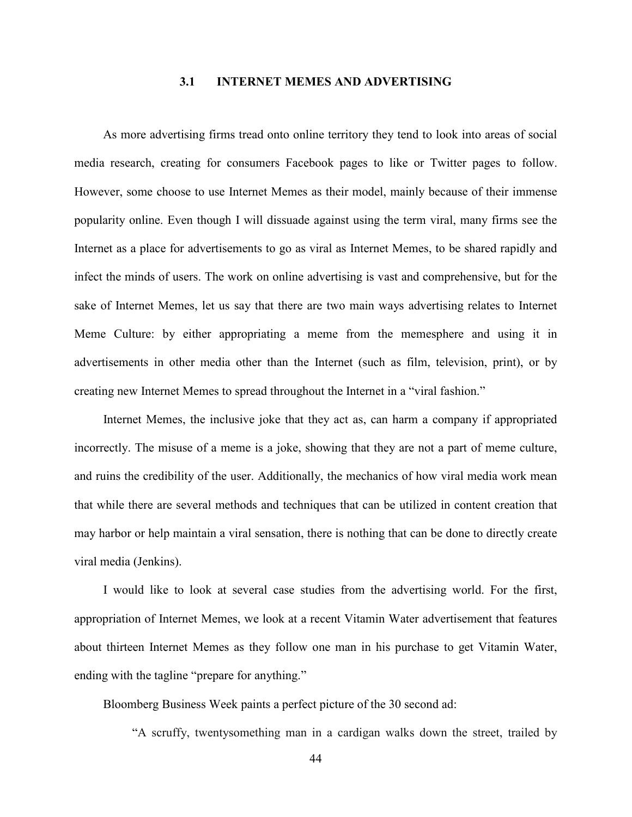### **3.1 INTERNET MEMES AND ADVERTISING**

As more advertising firms tread onto online territory they tend to look into areas of social media research, creating for consumers Facebook pages to like or Twitter pages to follow. However, some choose to use Internet Memes as their model, mainly because of their immense popularity online. Even though I will dissuade against using the term viral, many firms see the Internet as a place for advertisements to go as viral as Internet Memes, to be shared rapidly and infect the minds of users. The work on online advertising is vast and comprehensive, but for the sake of Internet Memes, let us say that there are two main ways advertising relates to Internet Meme Culture: by either appropriating a meme from the memesphere and using it in advertisements in other media other than the Internet (such as film, television, print), or by creating new Internet Memes to spread throughout the Internet in a "viral fashion."

Internet Memes, the inclusive joke that they act as, can harm a company if appropriated incorrectly. The misuse of a meme is a joke, showing that they are not a part of meme culture, and ruins the credibility of the user. Additionally, the mechanics of how viral media work mean that while there are several methods and techniques that can be utilized in content creation that may harbor or help maintain a viral sensation, there is nothing that can be done to directly create viral media (Jenkins).

I would like to look at several case studies from the advertising world. For the first, appropriation of Internet Memes, we look at a recent Vitamin Water advertisement that features about thirteen Internet Memes as they follow one man in his purchase to get Vitamin Water, ending with the tagline "prepare for anything."

Bloomberg Business Week paints a perfect picture of the 30 second ad:

"A scruffy, twentysomething man in a cardigan walks down the street, trailed by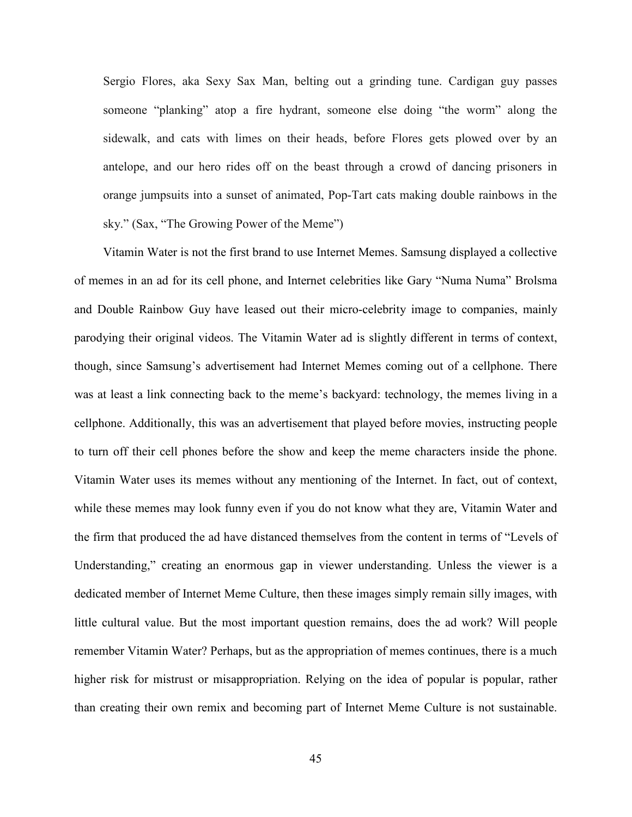Sergio Flores, aka Sexy Sax Man, belting out a grinding tune. Cardigan guy passes someone "planking" atop a fire hydrant, someone else doing "the worm" along the sidewalk, and cats with limes on their heads, before Flores gets plowed over by an antelope, and our hero rides off on the beast through a crowd of dancing prisoners in orange jumpsuits into a sunset of animated, Pop-Tart cats making double rainbows in the sky." (Sax, "The Growing Power of the Meme")

Vitamin Water is not the first brand to use Internet Memes. Samsung displayed a collective of memes in an ad for its cell phone, and Internet celebrities like Gary "Numa Numa" Brolsma and Double Rainbow Guy have leased out their micro-celebrity image to companies, mainly parodying their original videos. The Vitamin Water ad is slightly different in terms of context, though, since Samsung's advertisement had Internet Memes coming out of a cellphone. There was at least a link connecting back to the meme's backyard: technology, the memes living in a cellphone. Additionally, this was an advertisement that played before movies, instructing people to turn off their cell phones before the show and keep the meme characters inside the phone. Vitamin Water uses its memes without any mentioning of the Internet. In fact, out of context, while these memes may look funny even if you do not know what they are, Vitamin Water and the firm that produced the ad have distanced themselves from the content in terms of "Levels of Understanding," creating an enormous gap in viewer understanding. Unless the viewer is a dedicated member of Internet Meme Culture, then these images simply remain silly images, with little cultural value. But the most important question remains, does the ad work? Will people remember Vitamin Water? Perhaps, but as the appropriation of memes continues, there is a much higher risk for mistrust or misappropriation. Relying on the idea of popular is popular, rather than creating their own remix and becoming part of Internet Meme Culture is not sustainable.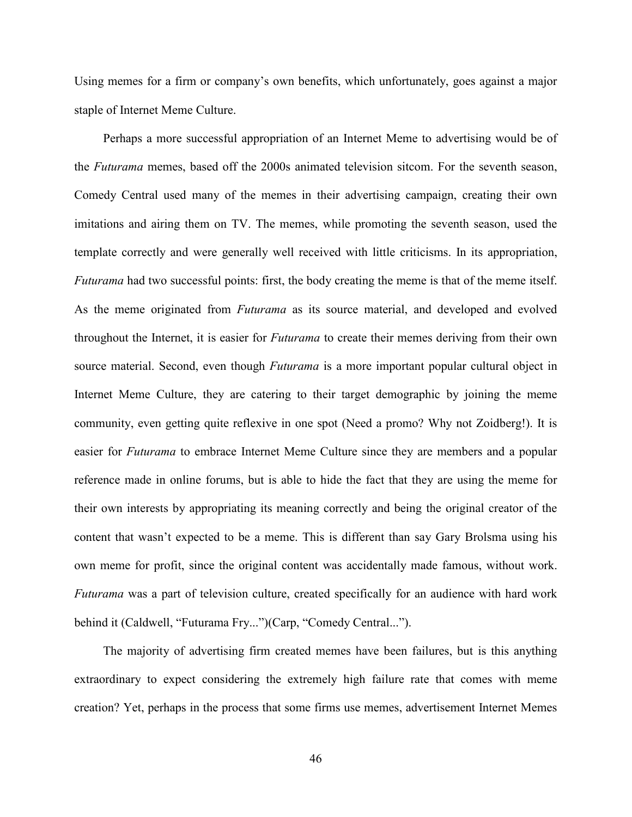Using memes for a firm or company's own benefits, which unfortunately, goes against a major staple of Internet Meme Culture.

Perhaps a more successful appropriation of an Internet Meme to advertising would be of the *Futurama* memes, based off the 2000s animated television sitcom. For the seventh season, Comedy Central used many of the memes in their advertising campaign, creating their own imitations and airing them on TV. The memes, while promoting the seventh season, used the template correctly and were generally well received with little criticisms. In its appropriation, *Futurama* had two successful points: first, the body creating the meme is that of the meme itself. As the meme originated from *Futurama* as its source material, and developed and evolved throughout the Internet, it is easier for *Futurama* to create their memes deriving from their own source material. Second, even though *Futurama* is a more important popular cultural object in Internet Meme Culture, they are catering to their target demographic by joining the meme community, even getting quite reflexive in one spot (Need a promo? Why not Zoidberg!). It is easier for *Futurama* to embrace Internet Meme Culture since they are members and a popular reference made in online forums, but is able to hide the fact that they are using the meme for their own interests by appropriating its meaning correctly and being the original creator of the content that wasn't expected to be a meme. This is different than say Gary Brolsma using his own meme for profit, since the original content was accidentally made famous, without work. *Futurama* was a part of television culture, created specifically for an audience with hard work behind it (Caldwell, "Futurama Fry...")(Carp, "Comedy Central...").

The majority of advertising firm created memes have been failures, but is this anything extraordinary to expect considering the extremely high failure rate that comes with meme creation? Yet, perhaps in the process that some firms use memes, advertisement Internet Memes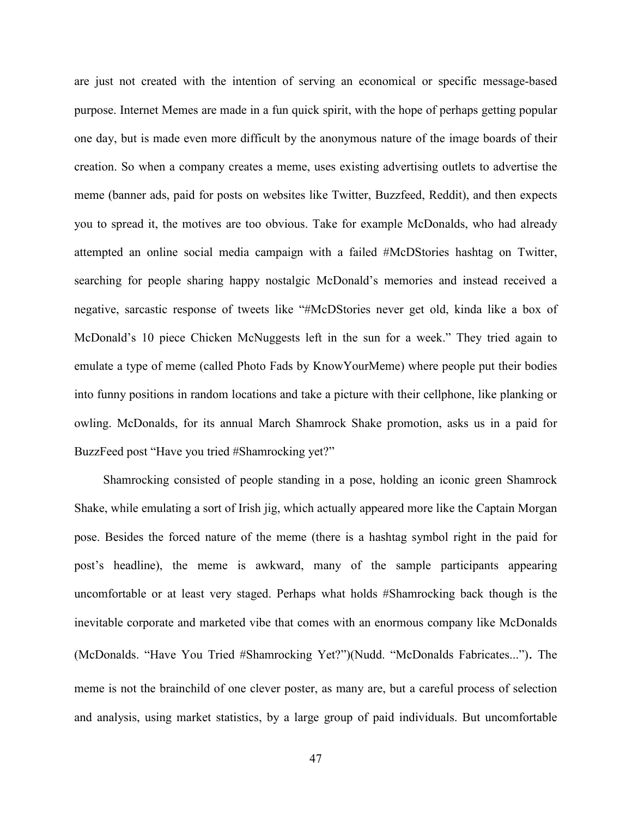are just not created with the intention of serving an economical or specific message-based purpose. Internet Memes are made in a fun quick spirit, with the hope of perhaps getting popular one day, but is made even more difficult by the anonymous nature of the image boards of their creation. So when a company creates a meme, uses existing advertising outlets to advertise the meme (banner ads, paid for posts on websites like Twitter, Buzzfeed, Reddit), and then expects you to spread it, the motives are too obvious. Take for example McDonalds, who had already attempted an online social media campaign with a failed #McDStories hashtag on Twitter, searching for people sharing happy nostalgic McDonald's memories and instead received a negative, sarcastic response of tweets like "#McDStories never get old, kinda like a box of McDonald's 10 piece Chicken McNuggests left in the sun for a week." They tried again to emulate a type of meme (called Photo Fads by KnowYourMeme) where people put their bodies into funny positions in random locations and take a picture with their cellphone, like planking or owling. McDonalds, for its annual March Shamrock Shake promotion, asks us in a paid for BuzzFeed post "Have you tried #Shamrocking yet?"

Shamrocking consisted of people standing in a pose, holding an iconic green Shamrock Shake, while emulating a sort of Irish jig, which actually appeared more like the Captain Morgan pose. Besides the forced nature of the meme (there is a hashtag symbol right in the paid for post's headline), the meme is awkward, many of the sample participants appearing uncomfortable or at least very staged. Perhaps what holds #Shamrocking back though is the inevitable corporate and marketed vibe that comes with an enormous company like McDonalds (McDonalds. "Have You Tried #Shamrocking Yet?")(Nudd. "McDonalds Fabricates..."). The meme is not the brainchild of one clever poster, as many are, but a careful process of selection and analysis, using market statistics, by a large group of paid individuals. But uncomfortable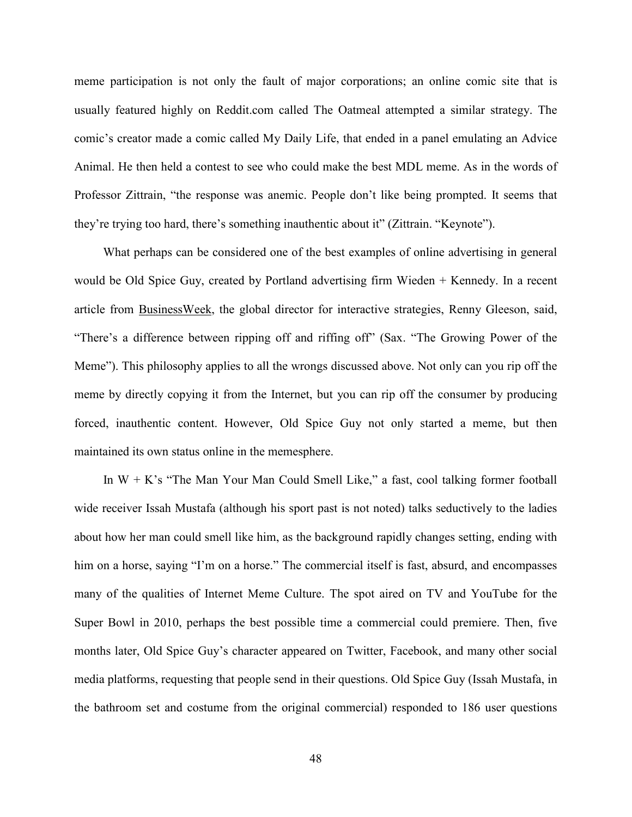meme participation is not only the fault of major corporations; an online comic site that is usually featured highly on Reddit.com called The Oatmeal attempted a similar strategy. The comic's creator made a comic called My Daily Life, that ended in a panel emulating an Advice Animal. He then held a contest to see who could make the best MDL meme. As in the words of Professor Zittrain, "the response was anemic. People don't like being prompted. It seems that they're trying too hard, there's something inauthentic about it" (Zittrain. "Keynote").

What perhaps can be considered one of the best examples of online advertising in general would be Old Spice Guy, created by Portland advertising firm Wieden + Kennedy. In a recent article from **BusinessWeek**, the global director for interactive strategies, Renny Gleeson, said, "There's a difference between ripping off and riffing off" (Sax. "The Growing Power of the Meme"). This philosophy applies to all the wrongs discussed above. Not only can you rip off the meme by directly copying it from the Internet, but you can rip off the consumer by producing forced, inauthentic content. However, Old Spice Guy not only started a meme, but then maintained its own status online in the memesphere.

In  $W + K$ 's "The Man Your Man Could Smell Like," a fast, cool talking former football wide receiver Issah Mustafa (although his sport past is not noted) talks seductively to the ladies about how her man could smell like him, as the background rapidly changes setting, ending with him on a horse, saying "I'm on a horse." The commercial itself is fast, absurd, and encompasses many of the qualities of Internet Meme Culture. The spot aired on TV and YouTube for the Super Bowl in 2010, perhaps the best possible time a commercial could premiere. Then, five months later, Old Spice Guy's character appeared on Twitter, Facebook, and many other social media platforms, requesting that people send in their questions. Old Spice Guy (Issah Mustafa, in the bathroom set and costume from the original commercial) responded to 186 user questions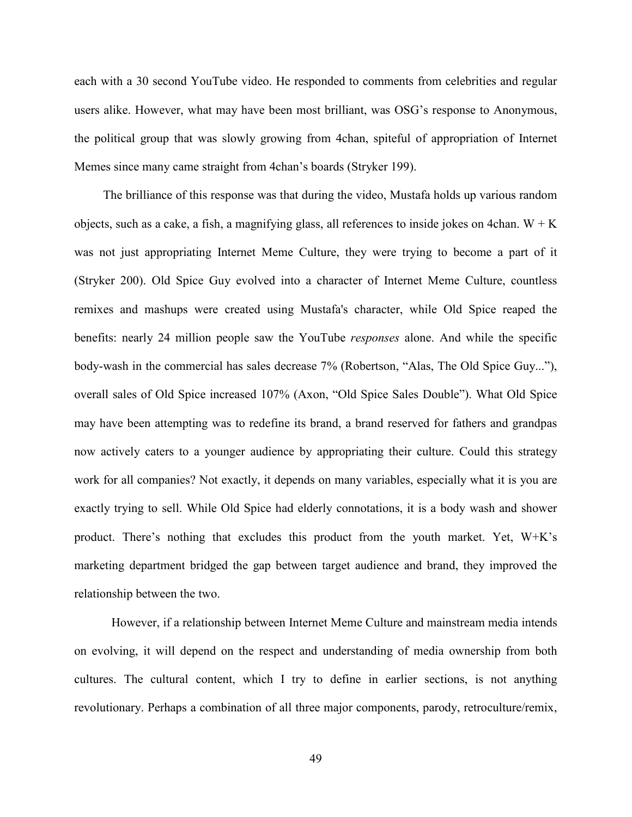each with a 30 second YouTube video. He responded to comments from celebrities and regular users alike. However, what may have been most brilliant, was OSG's response to Anonymous, the political group that was slowly growing from 4chan, spiteful of appropriation of Internet Memes since many came straight from 4chan's boards (Stryker 199).

The brilliance of this response was that during the video, Mustafa holds up various random objects, such as a cake, a fish, a magnifying glass, all references to inside jokes on 4chan.  $W + K$ was not just appropriating Internet Meme Culture, they were trying to become a part of it (Stryker 200). Old Spice Guy evolved into a character of Internet Meme Culture, countless remixes and mashups were created using Mustafa's character, while Old Spice reaped the benefits: nearly 24 million people saw the YouTube *responses* alone. And while the specific body-wash in the commercial has sales decrease 7% (Robertson, "Alas, The Old Spice Guy..."), overall sales of Old Spice increased 107% (Axon, "Old Spice Sales Double"). What Old Spice may have been attempting was to redefine its brand, a brand reserved for fathers and grandpas now actively caters to a younger audience by appropriating their culture. Could this strategy work for all companies? Not exactly, it depends on many variables, especially what it is you are exactly trying to sell. While Old Spice had elderly connotations, it is a body wash and shower product. There's nothing that excludes this product from the youth market. Yet, W+K's marketing department bridged the gap between target audience and brand, they improved the relationship between the two.

However, if a relationship between Internet Meme Culture and mainstream media intends on evolving, it will depend on the respect and understanding of media ownership from both cultures. The cultural content, which I try to define in earlier sections, is not anything revolutionary. Perhaps a combination of all three major components, parody, retroculture/remix,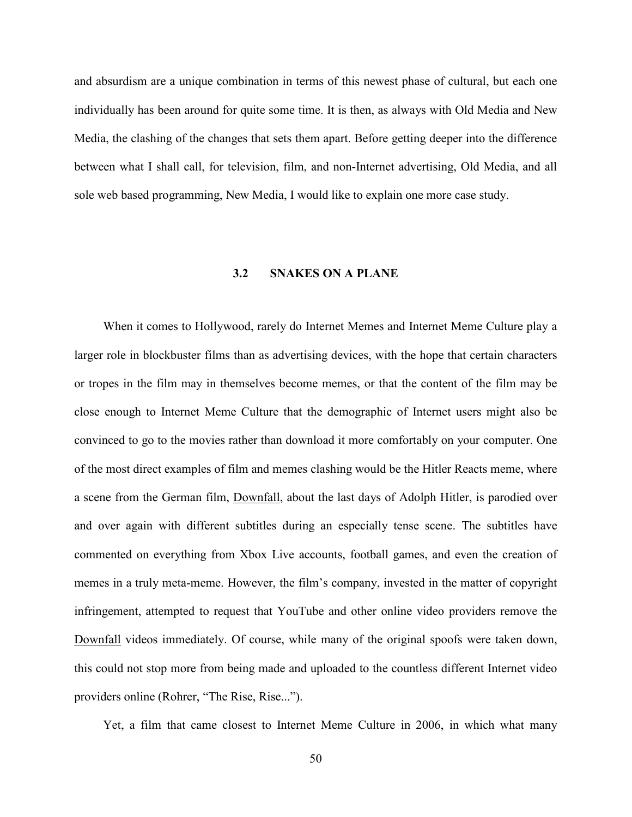and absurdism are a unique combination in terms of this newest phase of cultural, but each one individually has been around for quite some time. It is then, as always with Old Media and New Media, the clashing of the changes that sets them apart. Before getting deeper into the difference between what I shall call, for television, film, and non-Internet advertising, Old Media, and all sole web based programming, New Media, I would like to explain one more case study.

# **3.2 SNAKES ON A PLANE**

When it comes to Hollywood, rarely do Internet Memes and Internet Meme Culture play a larger role in blockbuster films than as advertising devices, with the hope that certain characters or tropes in the film may in themselves become memes, or that the content of the film may be close enough to Internet Meme Culture that the demographic of Internet users might also be convinced to go to the movies rather than download it more comfortably on your computer. One of the most direct examples of film and memes clashing would be the Hitler Reacts meme, where a scene from the German film, Downfall, about the last days of Adolph Hitler, is parodied over and over again with different subtitles during an especially tense scene. The subtitles have commented on everything from Xbox Live accounts, football games, and even the creation of memes in a truly meta-meme. However, the film's company, invested in the matter of copyright infringement, attempted to request that YouTube and other online video providers remove the Downfall videos immediately. Of course, while many of the original spoofs were taken down, this could not stop more from being made and uploaded to the countless different Internet video providers online (Rohrer, "The Rise, Rise...").

Yet, a film that came closest to Internet Meme Culture in 2006, in which what many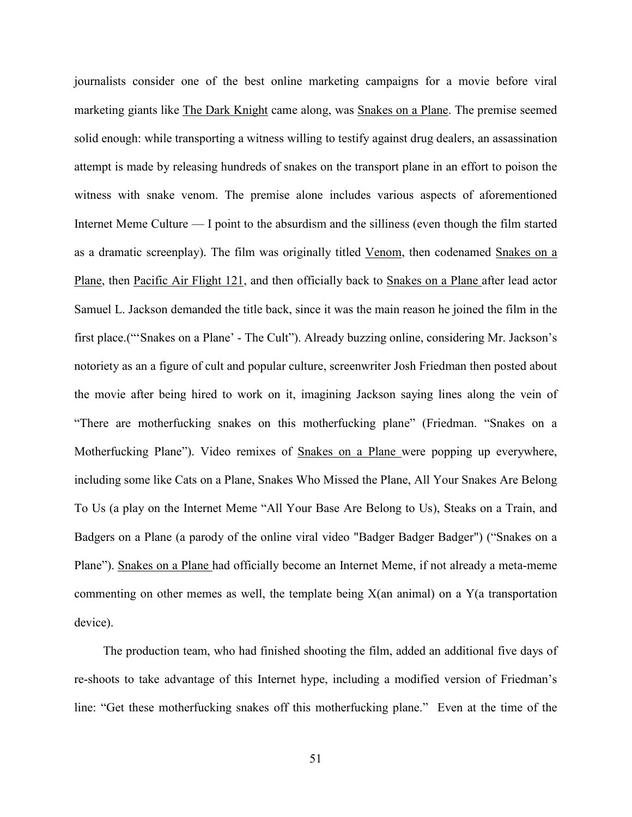journalists consider one of the best online marketing campaigns for a movie before viral marketing giants like The Dark Knight came along, was Snakes on a Plane. The premise seemed solid enough: while transporting a witness willing to testify against drug dealers, an assassination attempt is made by releasing hundreds of snakes on the transport plane in an effort to poison the witness with snake venom. The premise alone includes various aspects of aforementioned Internet Meme Culture — I point to the absurdism and the silliness (even though the film started as a dramatic screenplay). The film was originally titled Venom, then codenamed Snakes on a Plane, then Pacific Air Flight 121, and then officially back to Snakes on a Plane after lead actor Samuel L. Jackson demanded the title back, since it was the main reason he joined the film in the first place.("'Snakes on a Plane' - The Cult"). Already buzzing online, considering Mr. Jackson's notoriety as an a figure of cult and popular culture, screenwriter Josh Friedman then posted about the movie after being hired to work on it, imagining Jackson saying lines along the vein of "There are motherfucking snakes on this motherfucking plane" (Friedman. "Snakes on a Motherfucking Plane"). Video remixes of Snakes on a Plane were popping up everywhere, including some like Cats on a Plane, Snakes Who Missed the Plane, All Your Snakes Are Belong To Us (a play on the Internet Meme "All Your Base Are Belong to Us), Steaks on a Train, and Badgers on a Plane (a parody of the online viral video "Badger Badger Badger") ("Snakes on a Plane"). Snakes on a Plane had officially become an Internet Meme, if not already a meta-meme commenting on other memes as well, the template being X(an animal) on a Y(a transportation device).

The production team, who had finished shooting the film, added an additional five days of re-shoots to take advantage of this Internet hype, including a modified version of Friedman's line: "Get these motherfucking snakes off this motherfucking plane." Even at the time of the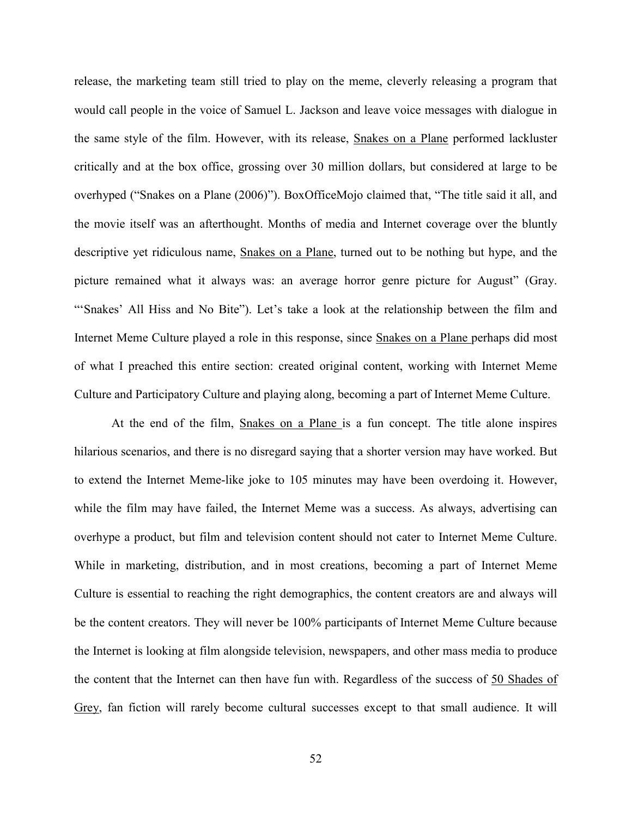release, the marketing team still tried to play on the meme, cleverly releasing a program that would call people in the voice of Samuel L. Jackson and leave voice messages with dialogue in the same style of the film. However, with its release, Snakes on a Plane performed lackluster critically and at the box office, grossing over 30 million dollars, but considered at large to be overhyped ("Snakes on a Plane (2006)"). BoxOfficeMojo claimed that, "The title said it all, and the movie itself was an afterthought. Months of media and Internet coverage over the bluntly descriptive yet ridiculous name, Snakes on a Plane, turned out to be nothing but hype, and the picture remained what it always was: an average horror genre picture for August" (Gray. "'Snakes' All Hiss and No Bite"). Let's take a look at the relationship between the film and Internet Meme Culture played a role in this response, since Snakes on a Plane perhaps did most of what I preached this entire section: created original content, working with Internet Meme Culture and Participatory Culture and playing along, becoming a part of Internet Meme Culture.

At the end of the film, Snakes on a Plane is a fun concept. The title alone inspires hilarious scenarios, and there is no disregard saying that a shorter version may have worked. But to extend the Internet Meme-like joke to 105 minutes may have been overdoing it. However, while the film may have failed, the Internet Meme was a success. As always, advertising can overhype a product, but film and television content should not cater to Internet Meme Culture. While in marketing, distribution, and in most creations, becoming a part of Internet Meme Culture is essential to reaching the right demographics, the content creators are and always will be the content creators. They will never be 100% participants of Internet Meme Culture because the Internet is looking at film alongside television, newspapers, and other mass media to produce the content that the Internet can then have fun with. Regardless of the success of 50 Shades of Grey, fan fiction will rarely become cultural successes except to that small audience. It will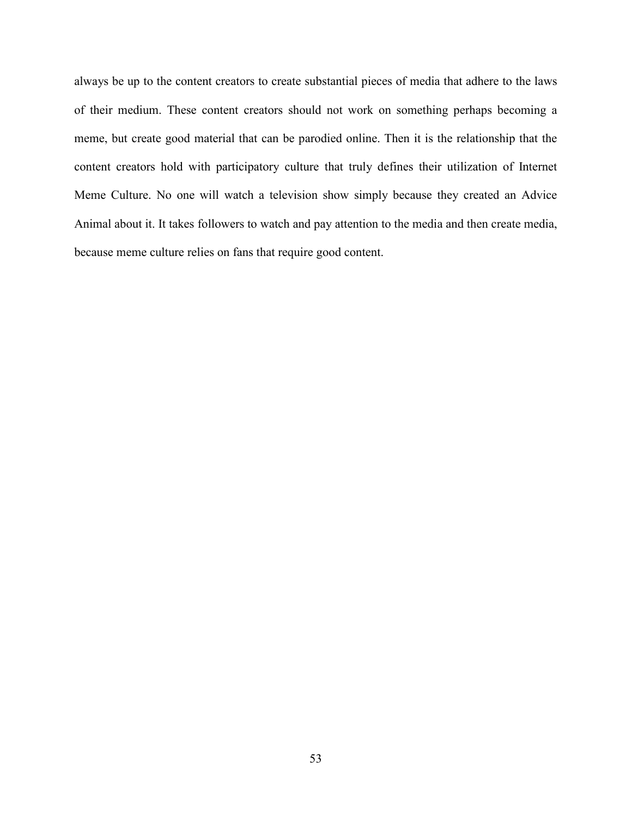always be up to the content creators to create substantial pieces of media that adhere to the laws of their medium. These content creators should not work on something perhaps becoming a meme, but create good material that can be parodied online. Then it is the relationship that the content creators hold with participatory culture that truly defines their utilization of Internet Meme Culture. No one will watch a television show simply because they created an Advice Animal about it. It takes followers to watch and pay attention to the media and then create media, because meme culture relies on fans that require good content.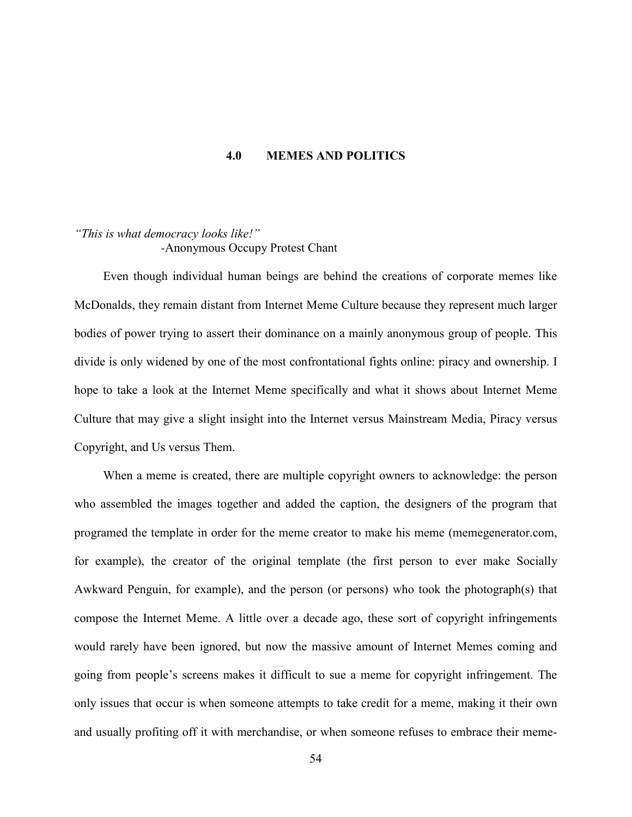#### **4.0 MEMES AND POLITICS**

# *"This is what democracy looks like!" -*Anonymous Occupy Protest Chant

Even though individual human beings are behind the creations of corporate memes like McDonalds, they remain distant from Internet Meme Culture because they represent much larger bodies of power trying to assert their dominance on a mainly anonymous group of people. This divide is only widened by one of the most confrontational fights online: piracy and ownership. I hope to take a look at the Internet Meme specifically and what it shows about Internet Meme Culture that may give a slight insight into the Internet versus Mainstream Media, Piracy versus Copyright, and Us versus Them.

When a meme is created, there are multiple copyright owners to acknowledge: the person who assembled the images together and added the caption, the designers of the program that programed the template in order for the meme creator to make his meme (memegenerator.com, for example), the creator of the original template (the first person to ever make Socially Awkward Penguin, for example), and the person (or persons) who took the photograph(s) that compose the Internet Meme. A little over a decade ago, these sort of copyright infringements would rarely have been ignored, but now the massive amount of Internet Memes coming and going from people's screens makes it difficult to sue a meme for copyright infringement. The only issues that occur is when someone attempts to take credit for a meme, making it their own and usually profiting off it with merchandise, or when someone refuses to embrace their meme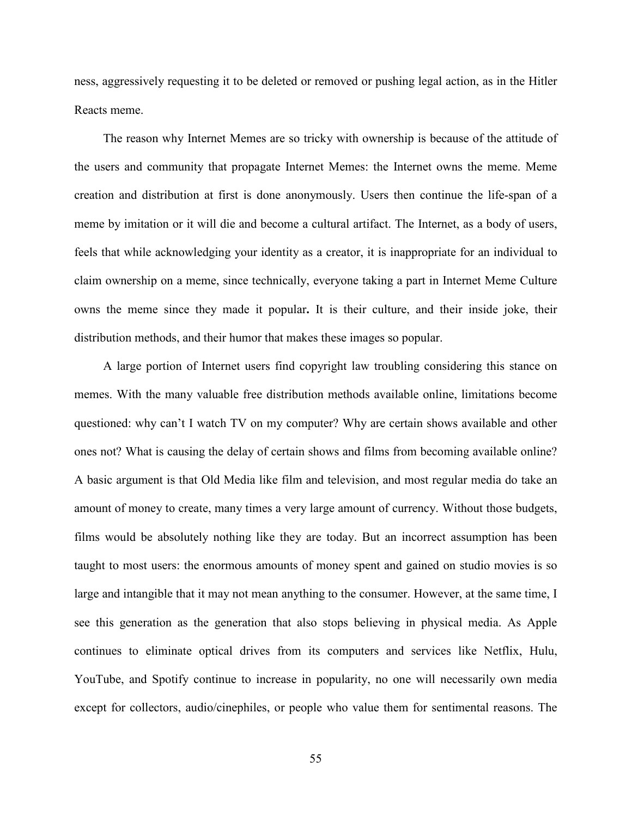ness, aggressively requesting it to be deleted or removed or pushing legal action, as in the Hitler Reacts meme.

The reason why Internet Memes are so tricky with ownership is because of the attitude of the users and community that propagate Internet Memes: the Internet owns the meme. Meme creation and distribution at first is done anonymously. Users then continue the life-span of a meme by imitation or it will die and become a cultural artifact. The Internet, as a body of users, feels that while acknowledging your identity as a creator, it is inappropriate for an individual to claim ownership on a meme, since technically, everyone taking a part in Internet Meme Culture owns the meme since they made it popular**.** It is their culture, and their inside joke, their distribution methods, and their humor that makes these images so popular.

A large portion of Internet users find copyright law troubling considering this stance on memes. With the many valuable free distribution methods available online, limitations become questioned: why can't I watch TV on my computer? Why are certain shows available and other ones not? What is causing the delay of certain shows and films from becoming available online? A basic argument is that Old Media like film and television, and most regular media do take an amount of money to create, many times a very large amount of currency. Without those budgets, films would be absolutely nothing like they are today. But an incorrect assumption has been taught to most users: the enormous amounts of money spent and gained on studio movies is so large and intangible that it may not mean anything to the consumer. However, at the same time, I see this generation as the generation that also stops believing in physical media. As Apple continues to eliminate optical drives from its computers and services like Netflix, Hulu, YouTube, and Spotify continue to increase in popularity, no one will necessarily own media except for collectors, audio/cinephiles, or people who value them for sentimental reasons. The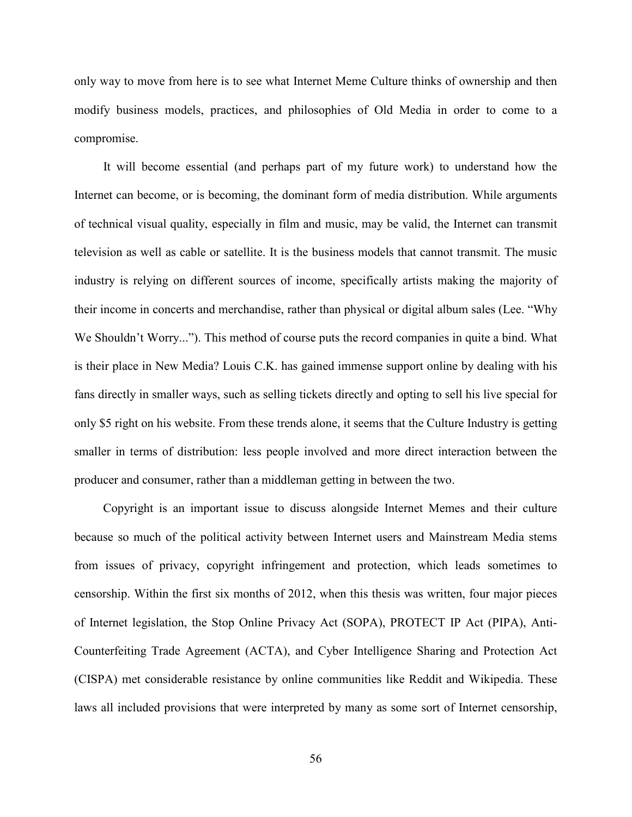only way to move from here is to see what Internet Meme Culture thinks of ownership and then modify business models, practices, and philosophies of Old Media in order to come to a compromise.

It will become essential (and perhaps part of my future work) to understand how the Internet can become, or is becoming, the dominant form of media distribution. While arguments of technical visual quality, especially in film and music, may be valid, the Internet can transmit television as well as cable or satellite. It is the business models that cannot transmit. The music industry is relying on different sources of income, specifically artists making the majority of their income in concerts and merchandise, rather than physical or digital album sales (Lee. "Why We Shouldn't Worry..."). This method of course puts the record companies in quite a bind. What is their place in New Media? Louis C.K. has gained immense support online by dealing with his fans directly in smaller ways, such as selling tickets directly and opting to sell his live special for only \$5 right on his website. From these trends alone, it seems that the Culture Industry is getting smaller in terms of distribution: less people involved and more direct interaction between the producer and consumer, rather than a middleman getting in between the two.

Copyright is an important issue to discuss alongside Internet Memes and their culture because so much of the political activity between Internet users and Mainstream Media stems from issues of privacy, copyright infringement and protection, which leads sometimes to censorship. Within the first six months of 2012, when this thesis was written, four major pieces of Internet legislation, the Stop Online Privacy Act (SOPA), PROTECT IP Act (PIPA), Anti-Counterfeiting Trade Agreement (ACTA), and Cyber Intelligence Sharing and Protection Act (CISPA) met considerable resistance by online communities like Reddit and Wikipedia. These laws all included provisions that were interpreted by many as some sort of Internet censorship,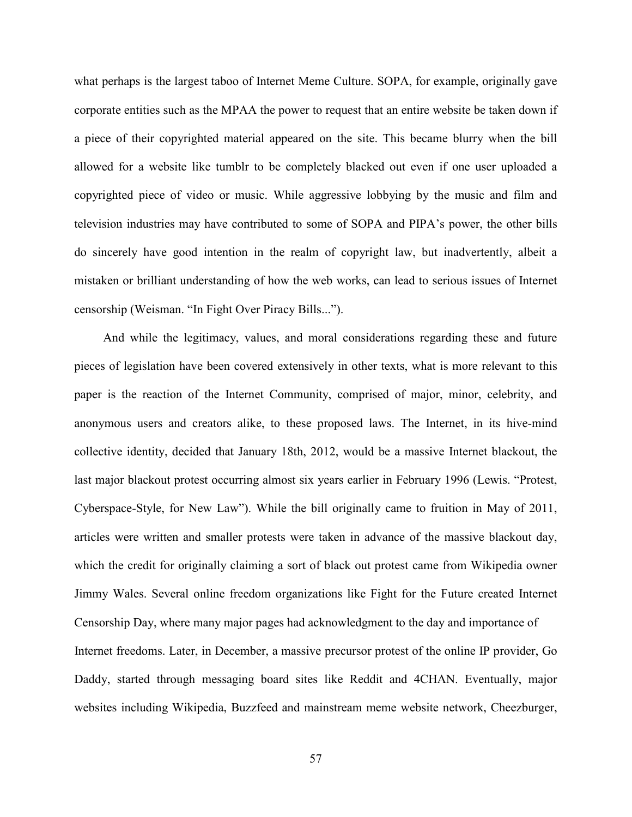what perhaps is the largest taboo of Internet Meme Culture. SOPA, for example, originally gave corporate entities such as the MPAA the power to request that an entire website be taken down if a piece of their copyrighted material appeared on the site. This became blurry when the bill allowed for a website like tumblr to be completely blacked out even if one user uploaded a copyrighted piece of video or music. While aggressive lobbying by the music and film and television industries may have contributed to some of SOPA and PIPA's power, the other bills do sincerely have good intention in the realm of copyright law, but inadvertently, albeit a mistaken or brilliant understanding of how the web works, can lead to serious issues of Internet censorship (Weisman. "In Fight Over Piracy Bills...").

And while the legitimacy, values, and moral considerations regarding these and future pieces of legislation have been covered extensively in other texts, what is more relevant to this paper is the reaction of the Internet Community, comprised of major, minor, celebrity, and anonymous users and creators alike, to these proposed laws. The Internet, in its hive-mind collective identity, decided that January 18th, 2012, would be a massive Internet blackout, the last major blackout protest occurring almost six years earlier in February 1996 (Lewis. "Protest, Cyberspace-Style, for New Law"). While the bill originally came to fruition in May of 2011, articles were written and smaller protests were taken in advance of the massive blackout day, which the credit for originally claiming a sort of black out protest came from Wikipedia owner Jimmy Wales. Several online freedom organizations like Fight for the Future created Internet Censorship Day, where many major pages had acknowledgment to the day and importance of Internet freedoms. Later, in December, a massive precursor protest of the online IP provider, Go Daddy, started through messaging board sites like Reddit and 4CHAN. Eventually, major websites including Wikipedia, Buzzfeed and mainstream meme website network, Cheezburger,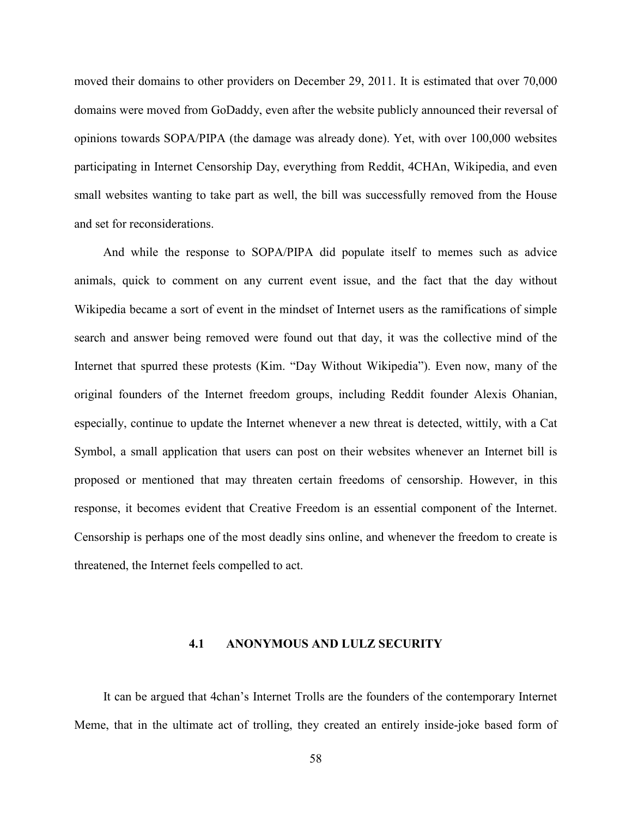moved their domains to other providers on December 29, 2011. It is estimated that over 70,000 domains were moved from GoDaddy, even after the website publicly announced their reversal of opinions towards SOPA/PIPA (the damage was already done). Yet, with over 100,000 websites participating in Internet Censorship Day, everything from Reddit, 4CHAn, Wikipedia, and even small websites wanting to take part as well, the bill was successfully removed from the House and set for reconsiderations.

And while the response to SOPA/PIPA did populate itself to memes such as advice animals, quick to comment on any current event issue, and the fact that the day without Wikipedia became a sort of event in the mindset of Internet users as the ramifications of simple search and answer being removed were found out that day, it was the collective mind of the Internet that spurred these protests (Kim. "Day Without Wikipedia"). Even now, many of the original founders of the Internet freedom groups, including Reddit founder Alexis Ohanian, especially, continue to update the Internet whenever a new threat is detected, wittily, with a Cat Symbol, a small application that users can post on their websites whenever an Internet bill is proposed or mentioned that may threaten certain freedoms of censorship. However, in this response, it becomes evident that Creative Freedom is an essential component of the Internet. Censorship is perhaps one of the most deadly sins online, and whenever the freedom to create is threatened, the Internet feels compelled to act.

#### **4.1 ANONYMOUS AND LULZ SECURITY**

It can be argued that 4chan's Internet Trolls are the founders of the contemporary Internet Meme, that in the ultimate act of trolling, they created an entirely inside-joke based form of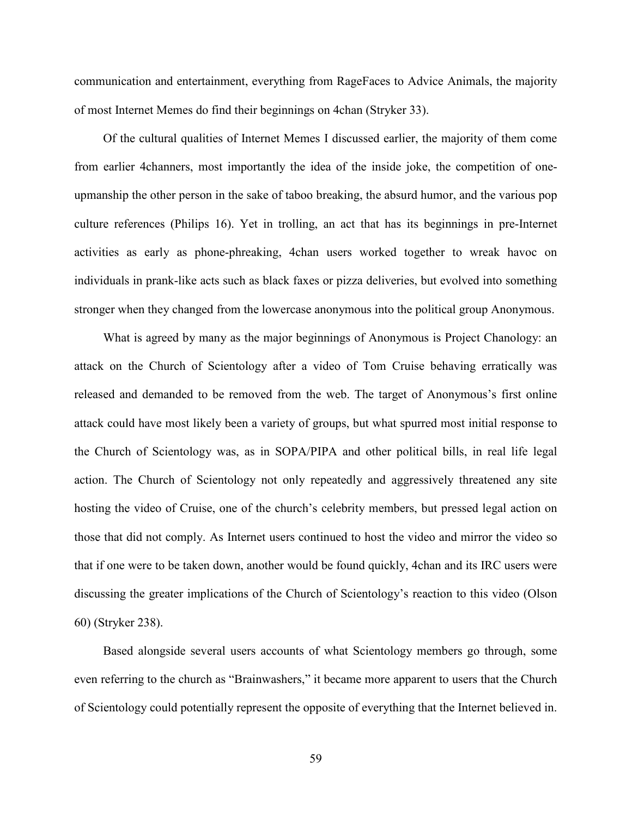communication and entertainment, everything from RageFaces to Advice Animals, the majority of most Internet Memes do find their beginnings on 4chan (Stryker 33).

Of the cultural qualities of Internet Memes I discussed earlier, the majority of them come from earlier 4channers, most importantly the idea of the inside joke, the competition of oneupmanship the other person in the sake of taboo breaking, the absurd humor, and the various pop culture references (Philips 16). Yet in trolling, an act that has its beginnings in pre-Internet activities as early as phone-phreaking, 4chan users worked together to wreak havoc on individuals in prank-like acts such as black faxes or pizza deliveries, but evolved into something stronger when they changed from the lowercase anonymous into the political group Anonymous.

What is agreed by many as the major beginnings of Anonymous is Project Chanology: an attack on the Church of Scientology after a video of Tom Cruise behaving erratically was released and demanded to be removed from the web. The target of Anonymous's first online attack could have most likely been a variety of groups, but what spurred most initial response to the Church of Scientology was, as in SOPA/PIPA and other political bills, in real life legal action. The Church of Scientology not only repeatedly and aggressively threatened any site hosting the video of Cruise, one of the church's celebrity members, but pressed legal action on those that did not comply. As Internet users continued to host the video and mirror the video so that if one were to be taken down, another would be found quickly, 4chan and its IRC users were discussing the greater implications of the Church of Scientology's reaction to this video (Olson 60) (Stryker 238).

Based alongside several users accounts of what Scientology members go through, some even referring to the church as "Brainwashers," it became more apparent to users that the Church of Scientology could potentially represent the opposite of everything that the Internet believed in.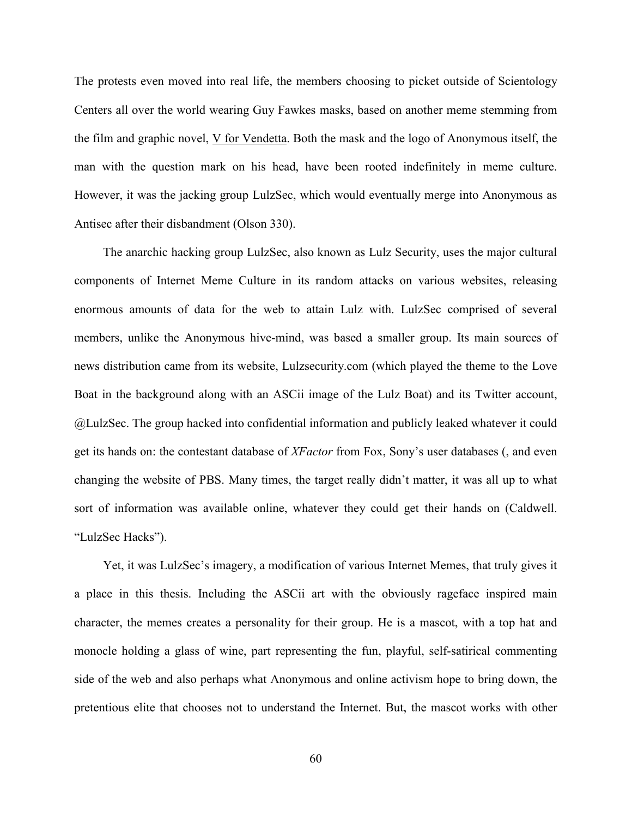The protests even moved into real life, the members choosing to picket outside of Scientology Centers all over the world wearing Guy Fawkes masks, based on another meme stemming from the film and graphic novel, V for Vendetta. Both the mask and the logo of Anonymous itself, the man with the question mark on his head, have been rooted indefinitely in meme culture. However, it was the jacking group LulzSec, which would eventually merge into Anonymous as Antisec after their disbandment (Olson 330).

The anarchic hacking group LulzSec, also known as Lulz Security, uses the major cultural components of Internet Meme Culture in its random attacks on various websites, releasing enormous amounts of data for the web to attain Lulz with. LulzSec comprised of several members, unlike the Anonymous hive-mind, was based a smaller group. Its main sources of news distribution came from its website, Lulzsecurity.com (which played the theme to the Love Boat in the background along with an ASCii image of the Lulz Boat) and its Twitter account, @LulzSec. The group hacked into confidential information and publicly leaked whatever it could get its hands on: the contestant database of *XFactor* from Fox, Sony's user databases (, and even changing the website of PBS. Many times, the target really didn't matter, it was all up to what sort of information was available online, whatever they could get their hands on (Caldwell. "LulzSec Hacks").

Yet, it was LulzSec's imagery, a modification of various Internet Memes, that truly gives it a place in this thesis. Including the ASCii art with the obviously rageface inspired main character, the memes creates a personality for their group. He is a mascot, with a top hat and monocle holding a glass of wine, part representing the fun, playful, self-satirical commenting side of the web and also perhaps what Anonymous and online activism hope to bring down, the pretentious elite that chooses not to understand the Internet. But, the mascot works with other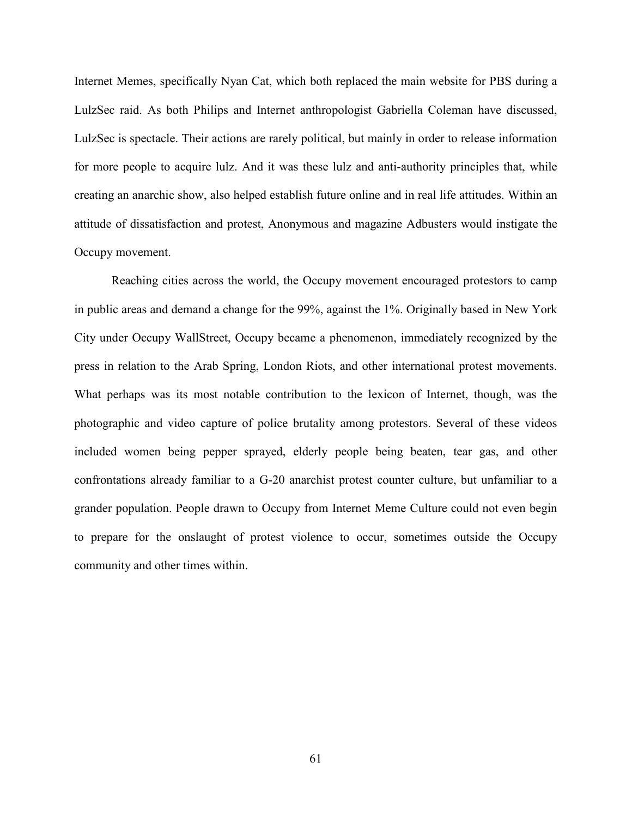Internet Memes, specifically Nyan Cat, which both replaced the main website for PBS during a LulzSec raid. As both Philips and Internet anthropologist Gabriella Coleman have discussed, LulzSec is spectacle. Their actions are rarely political, but mainly in order to release information for more people to acquire lulz. And it was these lulz and anti-authority principles that, while creating an anarchic show, also helped establish future online and in real life attitudes. Within an attitude of dissatisfaction and protest, Anonymous and magazine Adbusters would instigate the Occupy movement.

Reaching cities across the world, the Occupy movement encouraged protestors to camp in public areas and demand a change for the 99%, against the 1%. Originally based in New York City under Occupy WallStreet, Occupy became a phenomenon, immediately recognized by the press in relation to the Arab Spring, London Riots, and other international protest movements. What perhaps was its most notable contribution to the lexicon of Internet, though, was the photographic and video capture of police brutality among protestors. Several of these videos included women being pepper sprayed, elderly people being beaten, tear gas, and other confrontations already familiar to a G-20 anarchist protest counter culture, but unfamiliar to a grander population. People drawn to Occupy from Internet Meme Culture could not even begin to prepare for the onslaught of protest violence to occur, sometimes outside the Occupy community and other times within.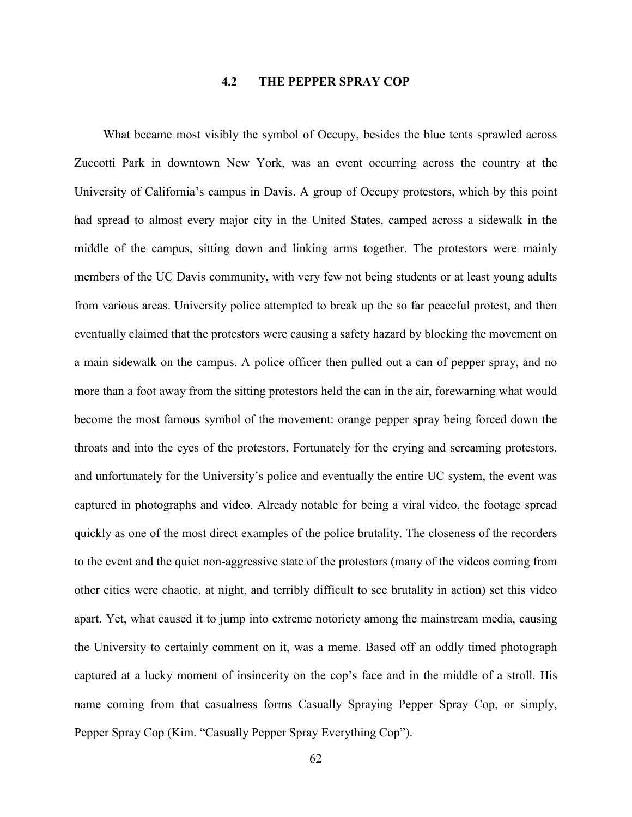# **4.2 THE PEPPER SPRAY COP**

What became most visibly the symbol of Occupy, besides the blue tents sprawled across Zuccotti Park in downtown New York, was an event occurring across the country at the University of California's campus in Davis. A group of Occupy protestors, which by this point had spread to almost every major city in the United States, camped across a sidewalk in the middle of the campus, sitting down and linking arms together. The protestors were mainly members of the UC Davis community, with very few not being students or at least young adults from various areas. University police attempted to break up the so far peaceful protest, and then eventually claimed that the protestors were causing a safety hazard by blocking the movement on a main sidewalk on the campus. A police officer then pulled out a can of pepper spray, and no more than a foot away from the sitting protestors held the can in the air, forewarning what would become the most famous symbol of the movement: orange pepper spray being forced down the throats and into the eyes of the protestors. Fortunately for the crying and screaming protestors, and unfortunately for the University's police and eventually the entire UC system, the event was captured in photographs and video. Already notable for being a viral video, the footage spread quickly as one of the most direct examples of the police brutality. The closeness of the recorders to the event and the quiet non-aggressive state of the protestors (many of the videos coming from other cities were chaotic, at night, and terribly difficult to see brutality in action) set this video apart. Yet, what caused it to jump into extreme notoriety among the mainstream media, causing the University to certainly comment on it, was a meme. Based off an oddly timed photograph captured at a lucky moment of insincerity on the cop's face and in the middle of a stroll. His name coming from that casualness forms Casually Spraying Pepper Spray Cop, or simply, Pepper Spray Cop (Kim. "Casually Pepper Spray Everything Cop").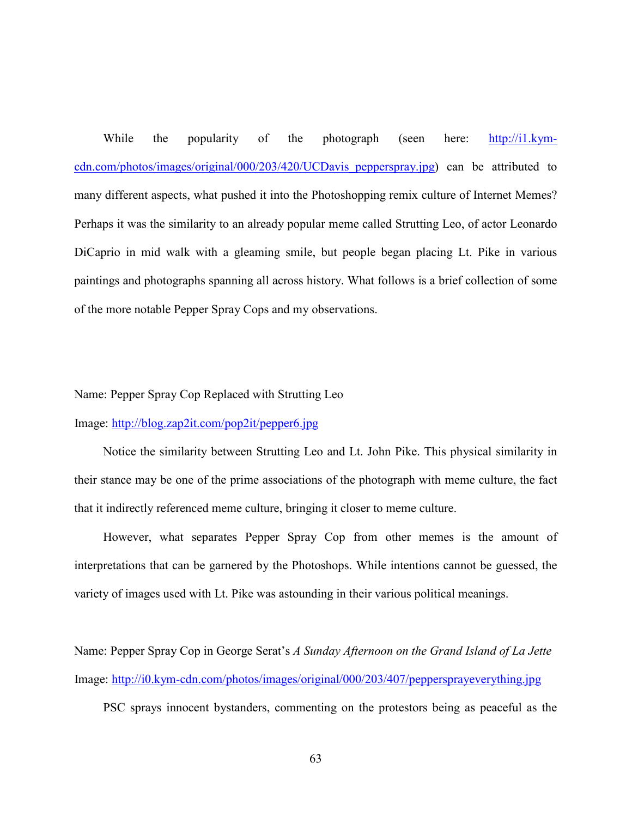While the popularity of the photograph (seen here: [http://i1.kym](http://i1.kym-cdn.com/photos/images/original/000/203/420/UCDavis_pepperspray.jpg)[cdn.com/photos/images/original/000/203/420/UCDavis\\_pepperspray.jpg\)](http://i1.kym-cdn.com/photos/images/original/000/203/420/UCDavis_pepperspray.jpg) can be attributed to many different aspects, what pushed it into the Photoshopping remix culture of Internet Memes? Perhaps it was the similarity to an already popular meme called Strutting Leo, of actor Leonardo DiCaprio in mid walk with a gleaming smile, but people began placing Lt. Pike in various paintings and photographs spanning all across history. What follows is a brief collection of some of the more notable Pepper Spray Cops and my observations.

Name: Pepper Spray Cop Replaced with Strutting Leo

Image:<http://blog.zap2it.com/pop2it/pepper6.jpg>

Notice the similarity between Strutting Leo and Lt. John Pike. This physical similarity in their stance may be one of the prime associations of the photograph with meme culture, the fact that it indirectly referenced meme culture, bringing it closer to meme culture.

However, what separates Pepper Spray Cop from other memes is the amount of interpretations that can be garnered by the Photoshops. While intentions cannot be guessed, the variety of images used with Lt. Pike was astounding in their various political meanings.

Name: Pepper Spray Cop in George Serat's *A Sunday Afternoon on the Grand Island of La Jette* Image:<http://i0.kym-cdn.com/photos/images/original/000/203/407/peppersprayeverything.jpg>

PSC sprays innocent bystanders, commenting on the protestors being as peaceful as the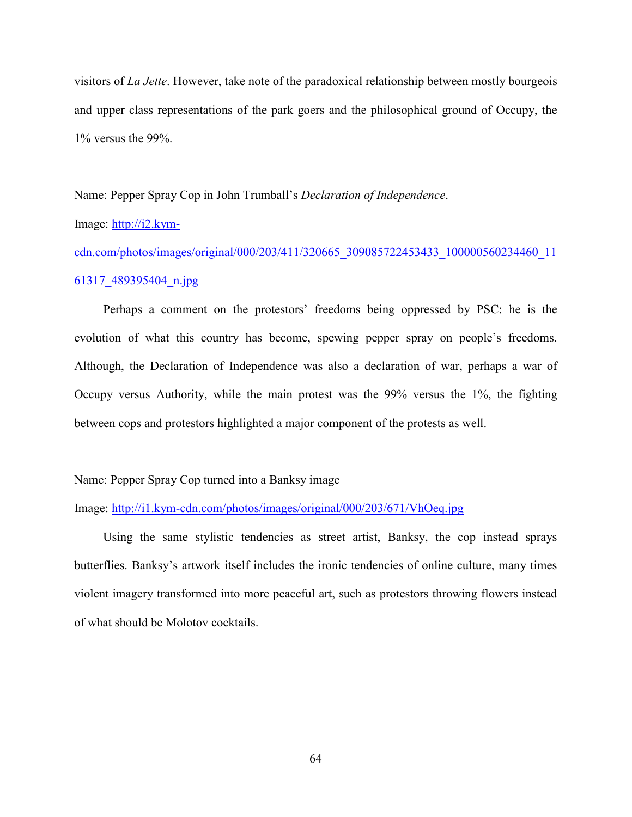visitors of *La Jette*. However, take note of the paradoxical relationship between mostly bourgeois and upper class representations of the park goers and the philosophical ground of Occupy, the 1% versus the 99%.

Name: Pepper Spray Cop in John Trumball's *Declaration of Independence*.

Image: [http://i2.kym-](http://i2.kym-cdn.com/photos/images/original/000/203/411/320665_309085722453433_100000560234460_1161317_489395404_n.jpg)

[cdn.com/photos/images/original/000/203/411/320665\\_309085722453433\\_100000560234460\\_11](http://i2.kym-cdn.com/photos/images/original/000/203/411/320665_309085722453433_100000560234460_1161317_489395404_n.jpg) [61317\\_489395404\\_n.jpg](http://i2.kym-cdn.com/photos/images/original/000/203/411/320665_309085722453433_100000560234460_1161317_489395404_n.jpg)

Perhaps a comment on the protestors' freedoms being oppressed by PSC: he is the evolution of what this country has become, spewing pepper spray on people's freedoms. Although, the Declaration of Independence was also a declaration of war, perhaps a war of Occupy versus Authority, while the main protest was the 99% versus the 1%, the fighting between cops and protestors highlighted a major component of the protests as well.

# Name: Pepper Spray Cop turned into a Banksy image

Image:<http://i1.kym-cdn.com/photos/images/original/000/203/671/VhOeq.jpg>

Using the same stylistic tendencies as street artist, Banksy, the cop instead sprays butterflies. Banksy's artwork itself includes the ironic tendencies of online culture, many times violent imagery transformed into more peaceful art, such as protestors throwing flowers instead of what should be Molotov cocktails.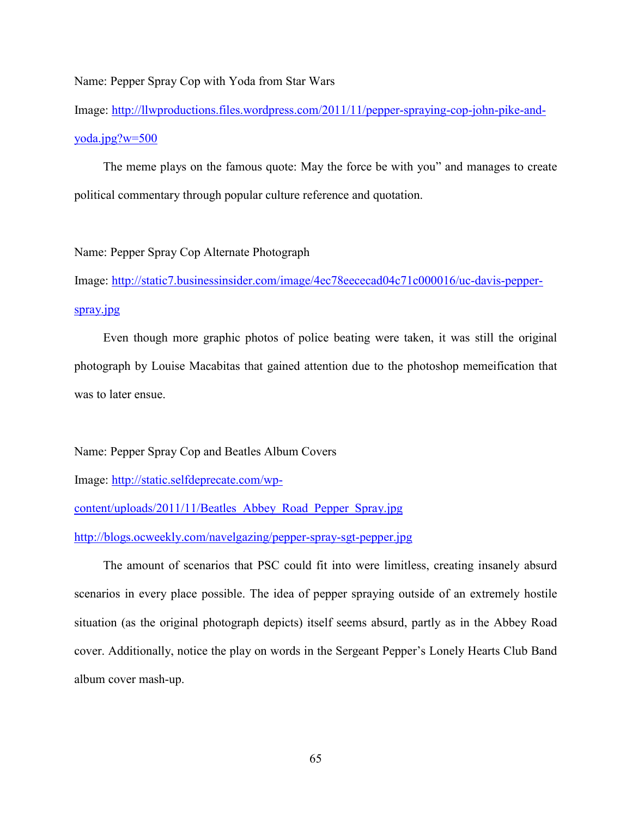Name: Pepper Spray Cop with Yoda from Star Wars

Image: [http://llwproductions.files.wordpress.com/2011/11/pepper-spraying-cop-john-pike-and](http://llwproductions.files.wordpress.com/2011/11/pepper-spraying-cop-john-pike-and-yoda.jpg?w=500)[yoda.jpg?w=500](http://llwproductions.files.wordpress.com/2011/11/pepper-spraying-cop-john-pike-and-yoda.jpg?w=500)

The meme plays on the famous quote: May the force be with you" and manages to create political commentary through popular culture reference and quotation.

## Name: Pepper Spray Cop Alternate Photograph

Image: [http://static7.businessinsider.com/image/4ec78eececad04c71c000016/uc-davis-pepper](http://static7.businessinsider.com/image/4ec78eececad04c71c000016/uc-davis-pepper-spray.jpg)[spray.jpg](http://static7.businessinsider.com/image/4ec78eececad04c71c000016/uc-davis-pepper-spray.jpg)

Even though more graphic photos of police beating were taken, it was still the original photograph by Louise Macabitas that gained attention due to the photoshop memeification that was to later ensue.

Name: Pepper Spray Cop and Beatles Album Covers

Image: [http://static.selfdeprecate.com/wp-](http://static.selfdeprecate.com/wp-content/uploads/2011/11/Beatles_Abbey_Road_Pepper_Spray.jpg)

[content/uploads/2011/11/Beatles\\_Abbey\\_Road\\_Pepper\\_Spray.jpg](http://static.selfdeprecate.com/wp-content/uploads/2011/11/Beatles_Abbey_Road_Pepper_Spray.jpg)

<http://blogs.ocweekly.com/navelgazing/pepper-spray-sgt-pepper.jpg>

The amount of scenarios that PSC could fit into were limitless, creating insanely absurd scenarios in every place possible. The idea of pepper spraying outside of an extremely hostile situation (as the original photograph depicts) itself seems absurd, partly as in the Abbey Road cover. Additionally, notice the play on words in the Sergeant Pepper's Lonely Hearts Club Band album cover mash-up.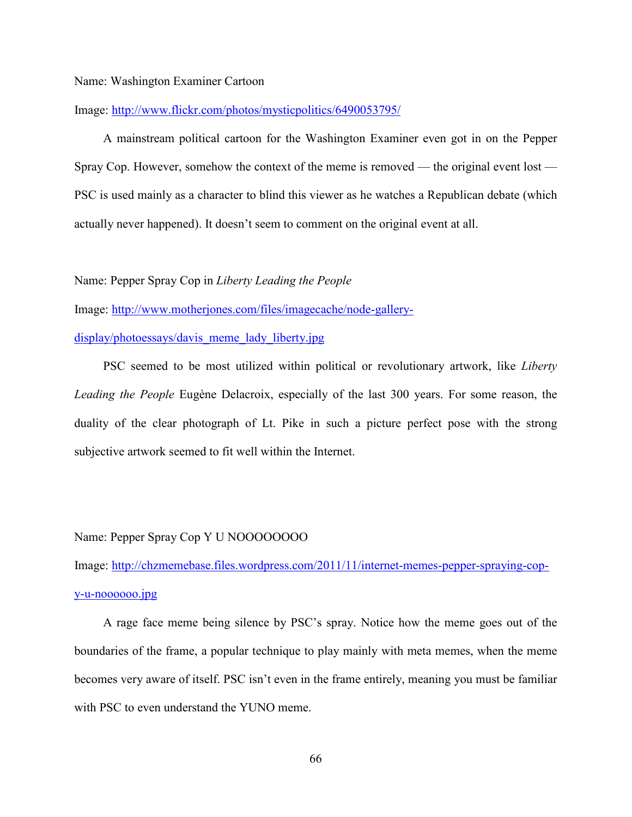### Name: Washington Examiner Cartoon

#### Image:<http://www.flickr.com/photos/mysticpolitics/6490053795/>

A mainstream political cartoon for the Washington Examiner even got in on the Pepper Spray Cop. However, somehow the context of the meme is removed — the original event lost — PSC is used mainly as a character to blind this viewer as he watches a Republican debate (which actually never happened). It doesn't seem to comment on the original event at all.

Name: Pepper Spray Cop in *Liberty Leading the People*

Image: [http://www.motherjones.com/files/imagecache/node-gallery-](http://www.motherjones.com/files/imagecache/node-gallery-display/photoessays/davis_meme_lady_liberty.jpg)

[display/photoessays/davis\\_meme\\_lady\\_liberty.jpg](http://www.motherjones.com/files/imagecache/node-gallery-display/photoessays/davis_meme_lady_liberty.jpg)

PSC seemed to be most utilized within political or revolutionary artwork, like *Liberty Leading the People* Eugène Delacroix, especially of the last 300 years. For some reason, the duality of the clear photograph of Lt. Pike in such a picture perfect pose with the strong subjective artwork seemed to fit well within the Internet.

## Name: Pepper Spray Cop Y U NOOOOOOOO

Image: [http://chzmemebase.files.wordpress.com/2011/11/internet-memes-pepper-spraying-cop](http://chzmemebase.files.wordpress.com/2011/11/internet-memes-pepper-spraying-cop-y-u-noooooo.jpg)[y-u-noooooo.jpg](http://chzmemebase.files.wordpress.com/2011/11/internet-memes-pepper-spraying-cop-y-u-noooooo.jpg)

A rage face meme being silence by PSC's spray. Notice how the meme goes out of the boundaries of the frame, a popular technique to play mainly with meta memes, when the meme becomes very aware of itself. PSC isn't even in the frame entirely, meaning you must be familiar with PSC to even understand the YUNO meme.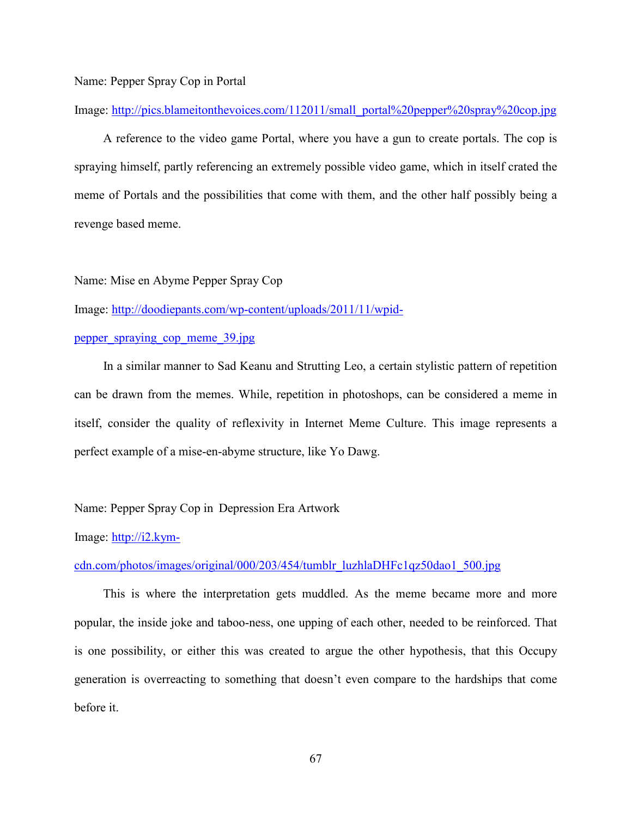## Name: Pepper Spray Cop in Portal

Image: [http://pics.blameitonthevoices.com/112011/small\\_portal%20pepper%20spray%20cop.jpg](http://pics.blameitonthevoices.com/112011/small_portal%20pepper%20spray%20cop.jpg)

A reference to the video game Portal, where you have a gun to create portals. The cop is spraying himself, partly referencing an extremely possible video game, which in itself crated the meme of Portals and the possibilities that come with them, and the other half possibly being a revenge based meme.

Name: Mise en Abyme Pepper Spray Cop

Image: [http://doodiepants.com/wp-content/uploads/2011/11/wpid-](http://doodiepants.com/wp-content/uploads/2011/11/wpid-pepper_spraying_cop_meme_39.jpg)

# [pepper\\_spraying\\_cop\\_meme\\_39.jpg](http://doodiepants.com/wp-content/uploads/2011/11/wpid-pepper_spraying_cop_meme_39.jpg)

In a similar manner to Sad Keanu and Strutting Leo, a certain stylistic pattern of repetition can be drawn from the memes. While, repetition in photoshops, can be considered a meme in itself, consider the quality of reflexivity in Internet Meme Culture. This image represents a perfect example of a mise-en-abyme structure, like Yo Dawg.

## Name: Pepper Spray Cop in Depression Era Artwork

Image: [http://i2.kym-](http://i2.kym-cdn.com/photos/images/original/000/203/454/tumblr_luzhlaDHFc1qz50dao1_500.jpg)

#### [cdn.com/photos/images/original/000/203/454/tumblr\\_luzhlaDHFc1qz50dao1\\_500.jpg](http://i2.kym-cdn.com/photos/images/original/000/203/454/tumblr_luzhlaDHFc1qz50dao1_500.jpg)

This is where the interpretation gets muddled. As the meme became more and more popular, the inside joke and taboo-ness, one upping of each other, needed to be reinforced. That is one possibility, or either this was created to argue the other hypothesis, that this Occupy generation is overreacting to something that doesn't even compare to the hardships that come before it.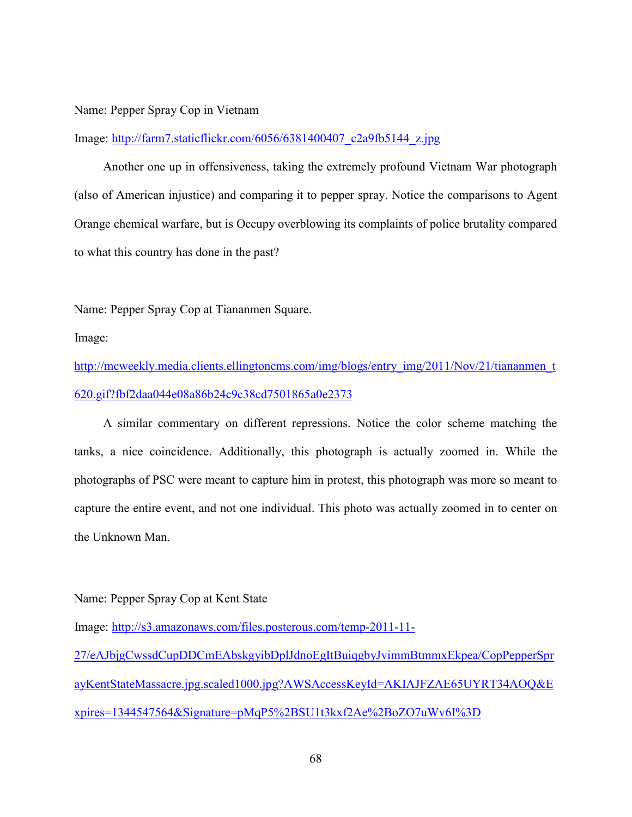#### Name: Pepper Spray Cop in Vietnam

Image: [http://farm7.staticflickr.com/6056/6381400407\\_c2a9fb5144\\_z.jpg](http://farm7.staticflickr.com/6056/6381400407_c2a9fb5144_z.jpg)

Another one up in offensiveness, taking the extremely profound Vietnam War photograph (also of American injustice) and comparing it to pepper spray. Notice the comparisons to Agent Orange chemical warfare, but is Occupy overblowing its complaints of police brutality compared to what this country has done in the past?

Name: Pepper Spray Cop at Tiananmen Square.

Image:

[http://mcweekly.media.clients.ellingtoncms.com/img/blogs/entry\\_img/2011/Nov/21/tiananmen\\_t](http://mcweekly.media.clients.ellingtoncms.com/img/blogs/entry_img/2011/Nov/21/tiananmen_t620.gif?fbf2daa044e08a86b24c9c38cd7501865a0e2373) [620.gif?fbf2daa044e08a86b24c9c38cd7501865a0e2373](http://mcweekly.media.clients.ellingtoncms.com/img/blogs/entry_img/2011/Nov/21/tiananmen_t620.gif?fbf2daa044e08a86b24c9c38cd7501865a0e2373)

A similar commentary on different repressions. Notice the color scheme matching the tanks, a nice coincidence. Additionally, this photograph is actually zoomed in. While the photographs of PSC were meant to capture him in protest, this photograph was more so meant to capture the entire event, and not one individual. This photo was actually zoomed in to center on the Unknown Man.

Name: Pepper Spray Cop at Kent State

Image: [http://s3.amazonaws.com/files.posterous.com/temp-2011-11-](http://s3.amazonaws.com/files.posterous.com/temp-2011-11-27/eAJbjgCwssdCupDDCmEAbskgyibDplJdnoEgItBuiqgbyJvimmBtmmxEkpea/CopPepperSprayKentStateMassacre.jpg.scaled1000.jpg?AWSAccessKeyId=AKIAJFZAE65UYRT34AOQ&Expires=1344547564&Signature=pMqP5%2BSU1t3kxf2Ae%2BoZO7uWv6I%3D) [27/eAJbjgCwssdCupDDCmEAbskgyibDplJdnoEgItBuiqgbyJvimmBtmmxEkpea/CopPepperSpr](http://s3.amazonaws.com/files.posterous.com/temp-2011-11-27/eAJbjgCwssdCupDDCmEAbskgyibDplJdnoEgItBuiqgbyJvimmBtmmxEkpea/CopPepperSprayKentStateMassacre.jpg.scaled1000.jpg?AWSAccessKeyId=AKIAJFZAE65UYRT34AOQ&Expires=1344547564&Signature=pMqP5%2BSU1t3kxf2Ae%2BoZO7uWv6I%3D) [ayKentStateMassacre.jpg.scaled1000.jpg?AWSAccessKeyId=AKIAJFZAE65UYRT34AOQ&E](http://s3.amazonaws.com/files.posterous.com/temp-2011-11-27/eAJbjgCwssdCupDDCmEAbskgyibDplJdnoEgItBuiqgbyJvimmBtmmxEkpea/CopPepperSprayKentStateMassacre.jpg.scaled1000.jpg?AWSAccessKeyId=AKIAJFZAE65UYRT34AOQ&Expires=1344547564&Signature=pMqP5%2BSU1t3kxf2Ae%2BoZO7uWv6I%3D) [xpires=1344547564&Signature=pMqP5%2BSU1t3kxf2Ae%2BoZO7uWv6I%3D](http://s3.amazonaws.com/files.posterous.com/temp-2011-11-27/eAJbjgCwssdCupDDCmEAbskgyibDplJdnoEgItBuiqgbyJvimmBtmmxEkpea/CopPepperSprayKentStateMassacre.jpg.scaled1000.jpg?AWSAccessKeyId=AKIAJFZAE65UYRT34AOQ&Expires=1344547564&Signature=pMqP5%2BSU1t3kxf2Ae%2BoZO7uWv6I%3D)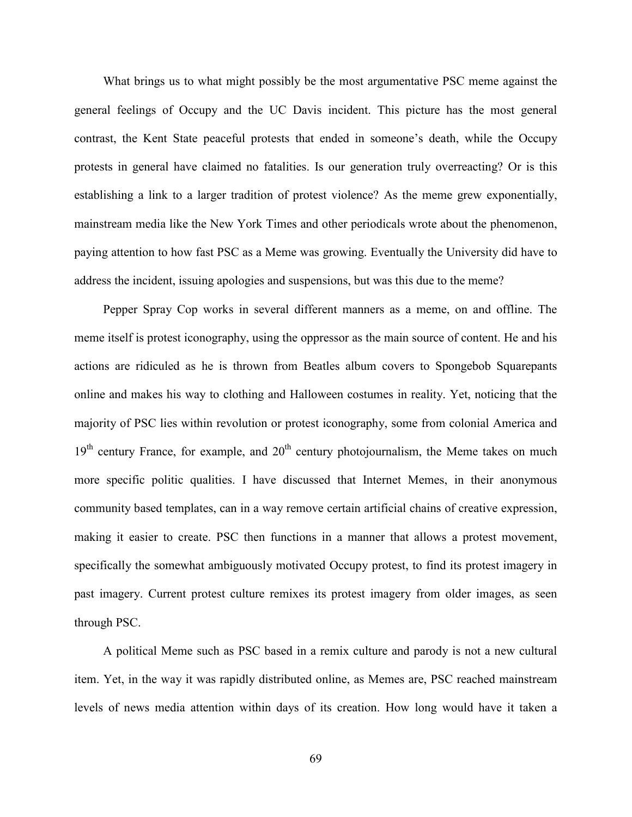What brings us to what might possibly be the most argumentative PSC meme against the general feelings of Occupy and the UC Davis incident. This picture has the most general contrast, the Kent State peaceful protests that ended in someone's death, while the Occupy protests in general have claimed no fatalities. Is our generation truly overreacting? Or is this establishing a link to a larger tradition of protest violence? As the meme grew exponentially, mainstream media like the New York Times and other periodicals wrote about the phenomenon, paying attention to how fast PSC as a Meme was growing. Eventually the University did have to address the incident, issuing apologies and suspensions, but was this due to the meme?

Pepper Spray Cop works in several different manners as a meme, on and offline. The meme itself is protest iconography, using the oppressor as the main source of content. He and his actions are ridiculed as he is thrown from Beatles album covers to Spongebob Squarepants online and makes his way to clothing and Halloween costumes in reality. Yet, noticing that the majority of PSC lies within revolution or protest iconography, some from colonial America and  $19<sup>th</sup>$  century France, for example, and  $20<sup>th</sup>$  century photojournalism, the Meme takes on much more specific politic qualities. I have discussed that Internet Memes, in their anonymous community based templates, can in a way remove certain artificial chains of creative expression, making it easier to create. PSC then functions in a manner that allows a protest movement, specifically the somewhat ambiguously motivated Occupy protest, to find its protest imagery in past imagery. Current protest culture remixes its protest imagery from older images, as seen through PSC.

A political Meme such as PSC based in a remix culture and parody is not a new cultural item. Yet, in the way it was rapidly distributed online, as Memes are, PSC reached mainstream levels of news media attention within days of its creation. How long would have it taken a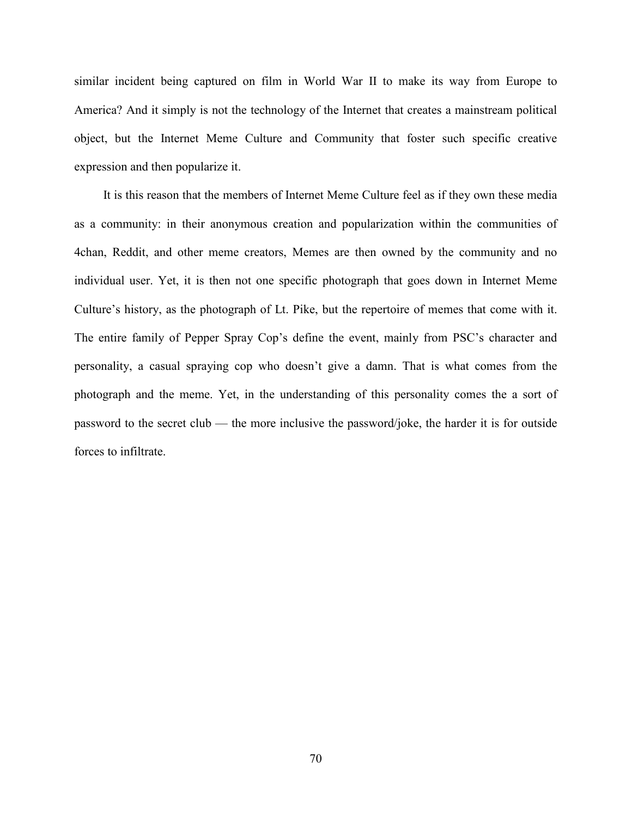similar incident being captured on film in World War II to make its way from Europe to America? And it simply is not the technology of the Internet that creates a mainstream political object, but the Internet Meme Culture and Community that foster such specific creative expression and then popularize it.

It is this reason that the members of Internet Meme Culture feel as if they own these media as a community: in their anonymous creation and popularization within the communities of 4chan, Reddit, and other meme creators, Memes are then owned by the community and no individual user. Yet, it is then not one specific photograph that goes down in Internet Meme Culture's history, as the photograph of Lt. Pike, but the repertoire of memes that come with it. The entire family of Pepper Spray Cop's define the event, mainly from PSC's character and personality, a casual spraying cop who doesn't give a damn. That is what comes from the photograph and the meme. Yet, in the understanding of this personality comes the a sort of password to the secret club — the more inclusive the password/joke, the harder it is for outside forces to infiltrate.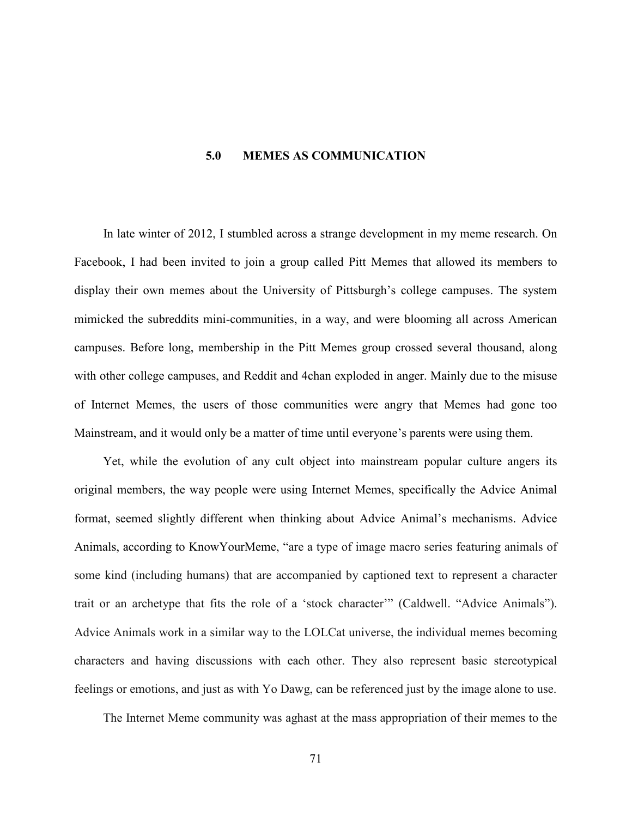## **5.0 MEMES AS COMMUNICATION**

In late winter of 2012, I stumbled across a strange development in my meme research. On Facebook, I had been invited to join a group called Pitt Memes that allowed its members to display their own memes about the University of Pittsburgh's college campuses. The system mimicked the subreddits mini-communities, in a way, and were blooming all across American campuses. Before long, membership in the Pitt Memes group crossed several thousand, along with other college campuses, and Reddit and 4chan exploded in anger. Mainly due to the misuse of Internet Memes, the users of those communities were angry that Memes had gone too Mainstream, and it would only be a matter of time until everyone's parents were using them.

Yet, while the evolution of any cult object into mainstream popular culture angers its original members, the way people were using Internet Memes, specifically the Advice Animal format, seemed slightly different when thinking about Advice Animal's mechanisms. Advice Animals, according to KnowYourMeme, "are a type of image macro series featuring animals of some kind (including humans) that are accompanied by captioned text to represent a character trait or an archetype that fits the role of a 'stock character'" (Caldwell. "Advice Animals"). Advice Animals work in a similar way to the LOLCat universe, the individual memes becoming characters and having discussions with each other. They also represent basic stereotypical feelings or emotions, and just as with Yo Dawg, can be referenced just by the image alone to use.

The Internet Meme community was aghast at the mass appropriation of their memes to the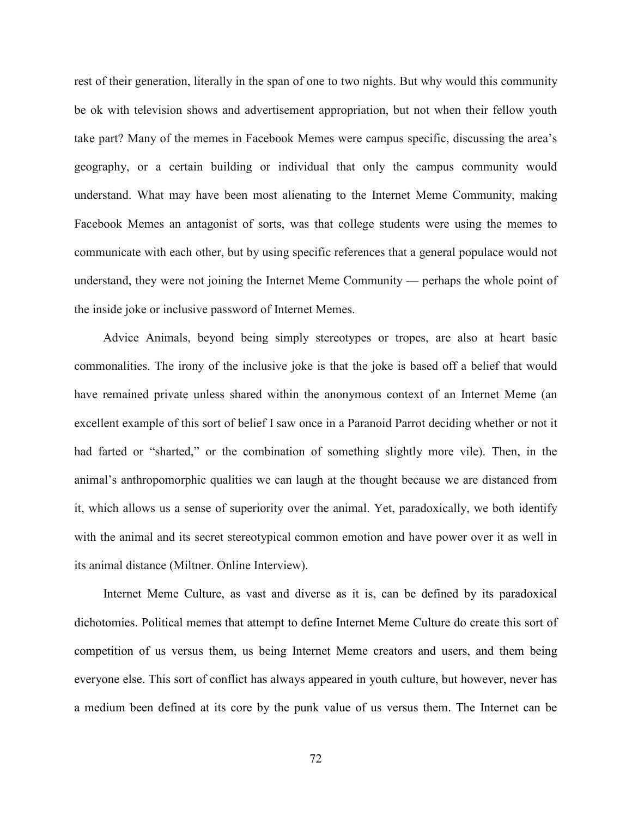rest of their generation, literally in the span of one to two nights. But why would this community be ok with television shows and advertisement appropriation, but not when their fellow youth take part? Many of the memes in Facebook Memes were campus specific, discussing the area's geography, or a certain building or individual that only the campus community would understand. What may have been most alienating to the Internet Meme Community, making Facebook Memes an antagonist of sorts, was that college students were using the memes to communicate with each other, but by using specific references that a general populace would not understand, they were not joining the Internet Meme Community — perhaps the whole point of the inside joke or inclusive password of Internet Memes.

Advice Animals, beyond being simply stereotypes or tropes, are also at heart basic commonalities. The irony of the inclusive joke is that the joke is based off a belief that would have remained private unless shared within the anonymous context of an Internet Meme (an excellent example of this sort of belief I saw once in a Paranoid Parrot deciding whether or not it had farted or "sharted," or the combination of something slightly more vile). Then, in the animal's anthropomorphic qualities we can laugh at the thought because we are distanced from it, which allows us a sense of superiority over the animal. Yet, paradoxically, we both identify with the animal and its secret stereotypical common emotion and have power over it as well in its animal distance (Miltner. Online Interview).

Internet Meme Culture, as vast and diverse as it is, can be defined by its paradoxical dichotomies. Political memes that attempt to define Internet Meme Culture do create this sort of competition of us versus them, us being Internet Meme creators and users, and them being everyone else. This sort of conflict has always appeared in youth culture, but however, never has a medium been defined at its core by the punk value of us versus them. The Internet can be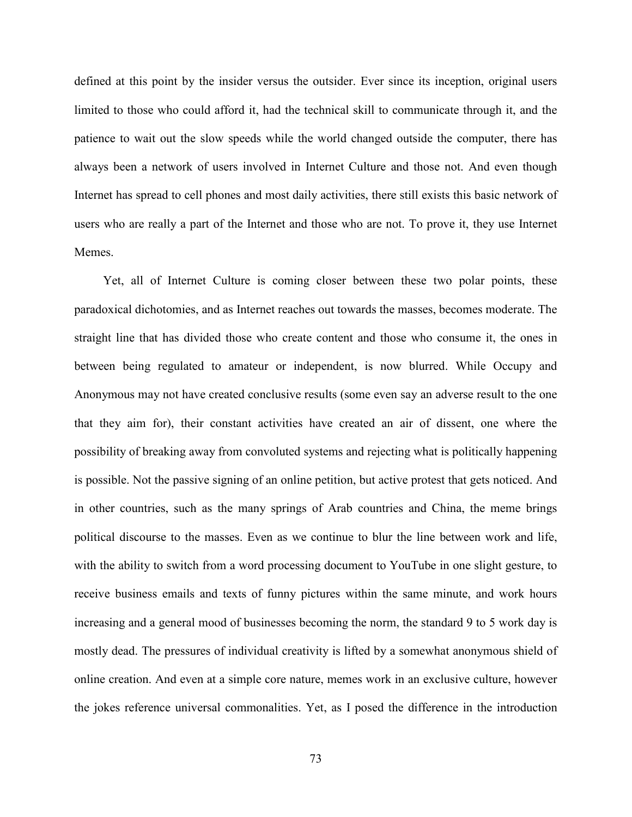defined at this point by the insider versus the outsider. Ever since its inception, original users limited to those who could afford it, had the technical skill to communicate through it, and the patience to wait out the slow speeds while the world changed outside the computer, there has always been a network of users involved in Internet Culture and those not. And even though Internet has spread to cell phones and most daily activities, there still exists this basic network of users who are really a part of the Internet and those who are not. To prove it, they use Internet Memes.

Yet, all of Internet Culture is coming closer between these two polar points, these paradoxical dichotomies, and as Internet reaches out towards the masses, becomes moderate. The straight line that has divided those who create content and those who consume it, the ones in between being regulated to amateur or independent, is now blurred. While Occupy and Anonymous may not have created conclusive results (some even say an adverse result to the one that they aim for), their constant activities have created an air of dissent, one where the possibility of breaking away from convoluted systems and rejecting what is politically happening is possible. Not the passive signing of an online petition, but active protest that gets noticed. And in other countries, such as the many springs of Arab countries and China, the meme brings political discourse to the masses. Even as we continue to blur the line between work and life, with the ability to switch from a word processing document to YouTube in one slight gesture, to receive business emails and texts of funny pictures within the same minute, and work hours increasing and a general mood of businesses becoming the norm, the standard 9 to 5 work day is mostly dead. The pressures of individual creativity is lifted by a somewhat anonymous shield of online creation. And even at a simple core nature, memes work in an exclusive culture, however the jokes reference universal commonalities. Yet, as I posed the difference in the introduction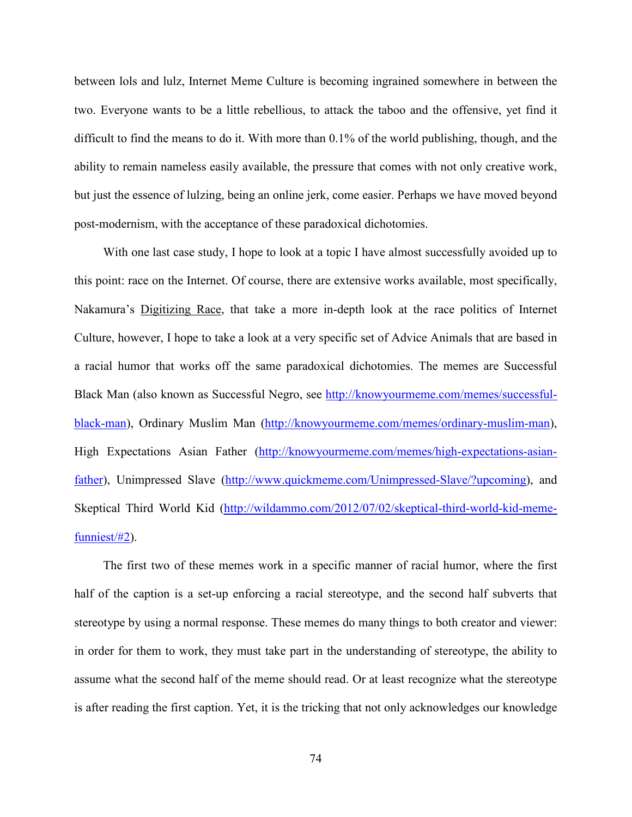between lols and lulz, Internet Meme Culture is becoming ingrained somewhere in between the two. Everyone wants to be a little rebellious, to attack the taboo and the offensive, yet find it difficult to find the means to do it. With more than 0.1% of the world publishing, though, and the ability to remain nameless easily available, the pressure that comes with not only creative work, but just the essence of lulzing, being an online jerk, come easier. Perhaps we have moved beyond post-modernism, with the acceptance of these paradoxical dichotomies.

With one last case study, I hope to look at a topic I have almost successfully avoided up to this point: race on the Internet. Of course, there are extensive works available, most specifically, Nakamura's Digitizing Race, that take a more in-depth look at the race politics of Internet Culture, however, I hope to take a look at a very specific set of Advice Animals that are based in a racial humor that works off the same paradoxical dichotomies. The memes are Successful Black Man (also known as Successful Negro, see [http://knowyourmeme.com/memes/successful](http://knowyourmeme.com/memes/successful-black-man)[black-man\)](http://knowyourmeme.com/memes/successful-black-man), Ordinary Muslim Man [\(http://knowyourmeme.com/memes/ordinary-muslim-man\)](http://knowyourmeme.com/memes/ordinary-muslim-man), High Expectations Asian Father [\(http://knowyourmeme.com/memes/high-expectations-asian](http://knowyourmeme.com/memes/high-expectations-asian-father)[father\)](http://knowyourmeme.com/memes/high-expectations-asian-father), Unimpressed Slave [\(http://www.quickmeme.com/Unimpressed-Slave/?upcoming\)](http://www.quickmeme.com/Unimpressed-Slave/?upcoming), and Skeptical Third World Kid [\(http://wildammo.com/2012/07/02/skeptical-third-world-kid-meme](http://wildammo.com/2012/07/02/skeptical-third-world-kid-meme-funniest/#2)[funniest/#2\)](http://wildammo.com/2012/07/02/skeptical-third-world-kid-meme-funniest/#2).

The first two of these memes work in a specific manner of racial humor, where the first half of the caption is a set-up enforcing a racial stereotype, and the second half subverts that stereotype by using a normal response. These memes do many things to both creator and viewer: in order for them to work, they must take part in the understanding of stereotype, the ability to assume what the second half of the meme should read. Or at least recognize what the stereotype is after reading the first caption. Yet, it is the tricking that not only acknowledges our knowledge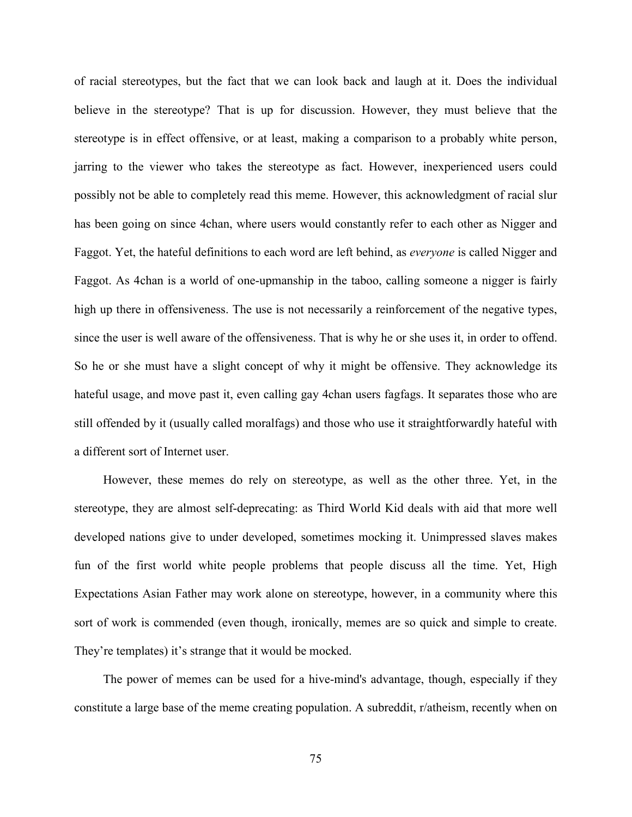of racial stereotypes, but the fact that we can look back and laugh at it. Does the individual believe in the stereotype? That is up for discussion. However, they must believe that the stereotype is in effect offensive, or at least, making a comparison to a probably white person, jarring to the viewer who takes the stereotype as fact. However, inexperienced users could possibly not be able to completely read this meme. However, this acknowledgment of racial slur has been going on since 4chan, where users would constantly refer to each other as Nigger and Faggot. Yet, the hateful definitions to each word are left behind, as *everyone* is called Nigger and Faggot. As 4chan is a world of one-upmanship in the taboo, calling someone a nigger is fairly high up there in offensiveness. The use is not necessarily a reinforcement of the negative types, since the user is well aware of the offensiveness. That is why he or she uses it, in order to offend. So he or she must have a slight concept of why it might be offensive. They acknowledge its hateful usage, and move past it, even calling gay 4chan users fagfags. It separates those who are still offended by it (usually called moralfags) and those who use it straightforwardly hateful with a different sort of Internet user.

However, these memes do rely on stereotype, as well as the other three. Yet, in the stereotype, they are almost self-deprecating: as Third World Kid deals with aid that more well developed nations give to under developed, sometimes mocking it. Unimpressed slaves makes fun of the first world white people problems that people discuss all the time. Yet, High Expectations Asian Father may work alone on stereotype, however, in a community where this sort of work is commended (even though, ironically, memes are so quick and simple to create. They're templates) it's strange that it would be mocked.

The power of memes can be used for a hive-mind's advantage, though, especially if they constitute a large base of the meme creating population. A subreddit, r/atheism, recently when on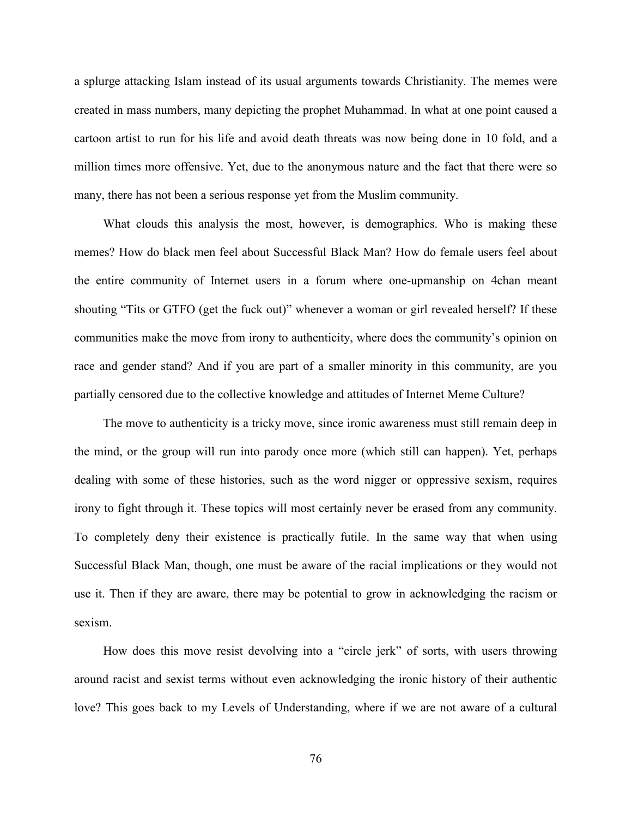a splurge attacking Islam instead of its usual arguments towards Christianity. The memes were created in mass numbers, many depicting the prophet Muhammad. In what at one point caused a cartoon artist to run for his life and avoid death threats was now being done in 10 fold, and a million times more offensive. Yet, due to the anonymous nature and the fact that there were so many, there has not been a serious response yet from the Muslim community.

What clouds this analysis the most, however, is demographics. Who is making these memes? How do black men feel about Successful Black Man? How do female users feel about the entire community of Internet users in a forum where one-upmanship on 4chan meant shouting "Tits or GTFO (get the fuck out)" whenever a woman or girl revealed herself? If these communities make the move from irony to authenticity, where does the community's opinion on race and gender stand? And if you are part of a smaller minority in this community, are you partially censored due to the collective knowledge and attitudes of Internet Meme Culture?

The move to authenticity is a tricky move, since ironic awareness must still remain deep in the mind, or the group will run into parody once more (which still can happen). Yet, perhaps dealing with some of these histories, such as the word nigger or oppressive sexism, requires irony to fight through it. These topics will most certainly never be erased from any community. To completely deny their existence is practically futile. In the same way that when using Successful Black Man, though, one must be aware of the racial implications or they would not use it. Then if they are aware, there may be potential to grow in acknowledging the racism or sexism.

How does this move resist devolving into a "circle jerk" of sorts, with users throwing around racist and sexist terms without even acknowledging the ironic history of their authentic love? This goes back to my Levels of Understanding, where if we are not aware of a cultural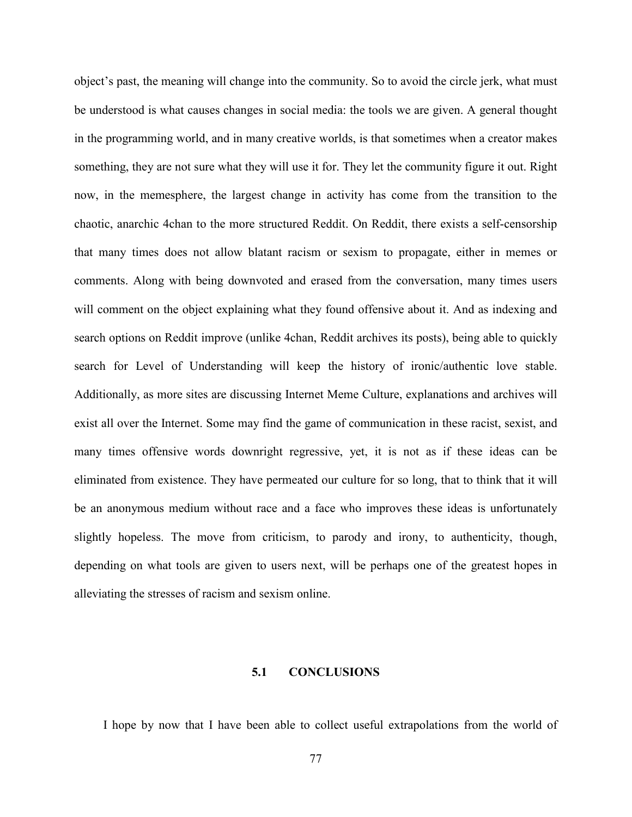object's past, the meaning will change into the community. So to avoid the circle jerk, what must be understood is what causes changes in social media: the tools we are given. A general thought in the programming world, and in many creative worlds, is that sometimes when a creator makes something, they are not sure what they will use it for. They let the community figure it out. Right now, in the memesphere, the largest change in activity has come from the transition to the chaotic, anarchic 4chan to the more structured Reddit. On Reddit, there exists a self-censorship that many times does not allow blatant racism or sexism to propagate, either in memes or comments. Along with being downvoted and erased from the conversation, many times users will comment on the object explaining what they found offensive about it. And as indexing and search options on Reddit improve (unlike 4chan, Reddit archives its posts), being able to quickly search for Level of Understanding will keep the history of ironic/authentic love stable. Additionally, as more sites are discussing Internet Meme Culture, explanations and archives will exist all over the Internet. Some may find the game of communication in these racist, sexist, and many times offensive words downright regressive, yet, it is not as if these ideas can be eliminated from existence. They have permeated our culture for so long, that to think that it will be an anonymous medium without race and a face who improves these ideas is unfortunately slightly hopeless. The move from criticism, to parody and irony, to authenticity, though, depending on what tools are given to users next, will be perhaps one of the greatest hopes in alleviating the stresses of racism and sexism online.

## **5.1 CONCLUSIONS**

I hope by now that I have been able to collect useful extrapolations from the world of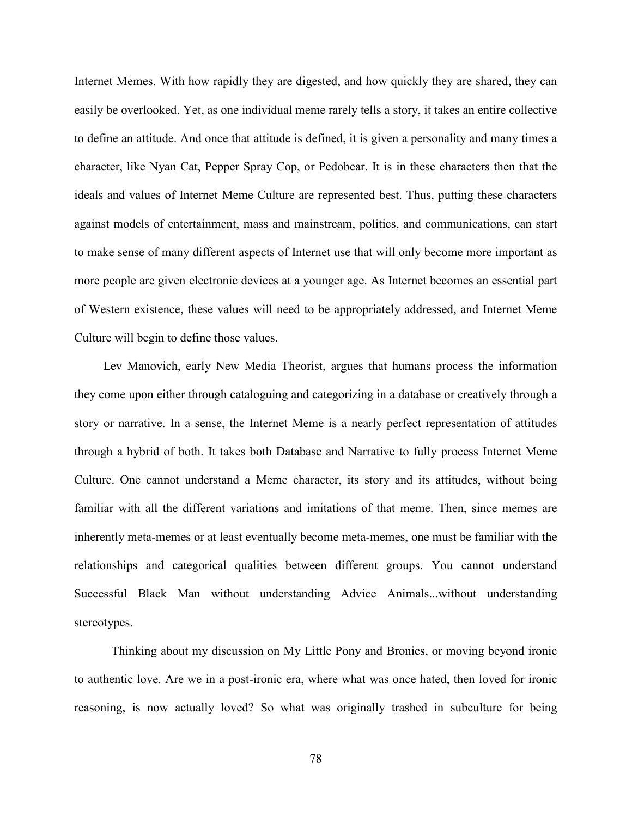Internet Memes. With how rapidly they are digested, and how quickly they are shared, they can easily be overlooked. Yet, as one individual meme rarely tells a story, it takes an entire collective to define an attitude. And once that attitude is defined, it is given a personality and many times a character, like Nyan Cat, Pepper Spray Cop, or Pedobear. It is in these characters then that the ideals and values of Internet Meme Culture are represented best. Thus, putting these characters against models of entertainment, mass and mainstream, politics, and communications, can start to make sense of many different aspects of Internet use that will only become more important as more people are given electronic devices at a younger age. As Internet becomes an essential part of Western existence, these values will need to be appropriately addressed, and Internet Meme Culture will begin to define those values.

Lev Manovich, early New Media Theorist, argues that humans process the information they come upon either through cataloguing and categorizing in a database or creatively through a story or narrative. In a sense, the Internet Meme is a nearly perfect representation of attitudes through a hybrid of both. It takes both Database and Narrative to fully process Internet Meme Culture. One cannot understand a Meme character, its story and its attitudes, without being familiar with all the different variations and imitations of that meme. Then, since memes are inherently meta-memes or at least eventually become meta-memes, one must be familiar with the relationships and categorical qualities between different groups. You cannot understand Successful Black Man without understanding Advice Animals...without understanding stereotypes.

Thinking about my discussion on My Little Pony and Bronies, or moving beyond ironic to authentic love. Are we in a post-ironic era, where what was once hated, then loved for ironic reasoning, is now actually loved? So what was originally trashed in subculture for being

78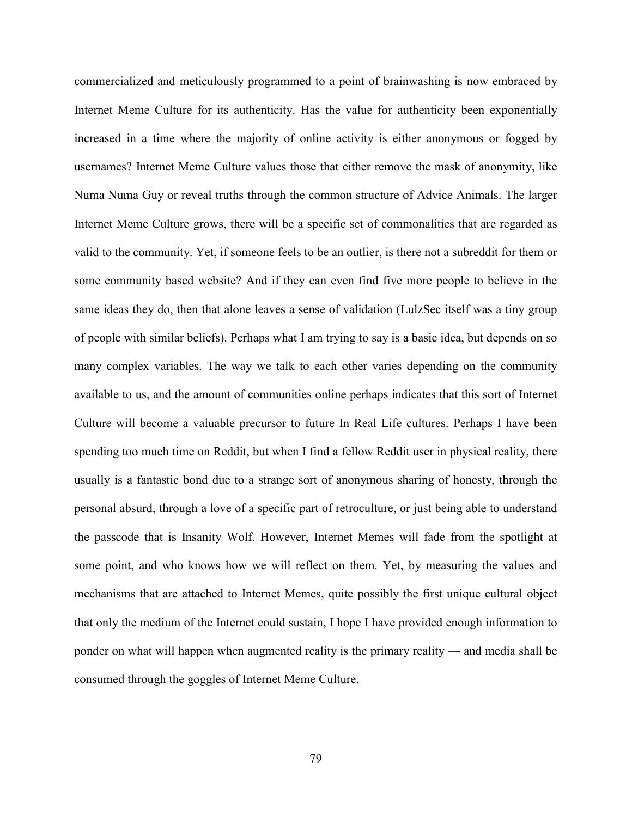commercialized and meticulously programmed to a point of brainwashing is now embraced by Internet Meme Culture for its authenticity. Has the value for authenticity been exponentially increased in a time where the majority of online activity is either anonymous or fogged by usernames? Internet Meme Culture values those that either remove the mask of anonymity, like Numa Numa Guy or reveal truths through the common structure of Advice Animals. The larger Internet Meme Culture grows, there will be a specific set of commonalities that are regarded as valid to the community. Yet, if someone feels to be an outlier, is there not a subreddit for them or some community based website? And if they can even find five more people to believe in the same ideas they do, then that alone leaves a sense of validation (LulzSec itself was a tiny group of people with similar beliefs). Perhaps what I am trying to say is a basic idea, but depends on so many complex variables. The way we talk to each other varies depending on the community available to us, and the amount of communities online perhaps indicates that this sort of Internet Culture will become a valuable precursor to future In Real Life cultures. Perhaps I have been spending too much time on Reddit, but when I find a fellow Reddit user in physical reality, there usually is a fantastic bond due to a strange sort of anonymous sharing of honesty, through the personal absurd, through a love of a specific part of retroculture, or just being able to understand the passcode that is Insanity Wolf. However, Internet Memes will fade from the spotlight at some point, and who knows how we will reflect on them. Yet, by measuring the values and mechanisms that are attached to Internet Memes, quite possibly the first unique cultural object that only the medium of the Internet could sustain, I hope I have provided enough information to ponder on what will happen when augmented reality is the primary reality — and media shall be consumed through the goggles of Internet Meme Culture.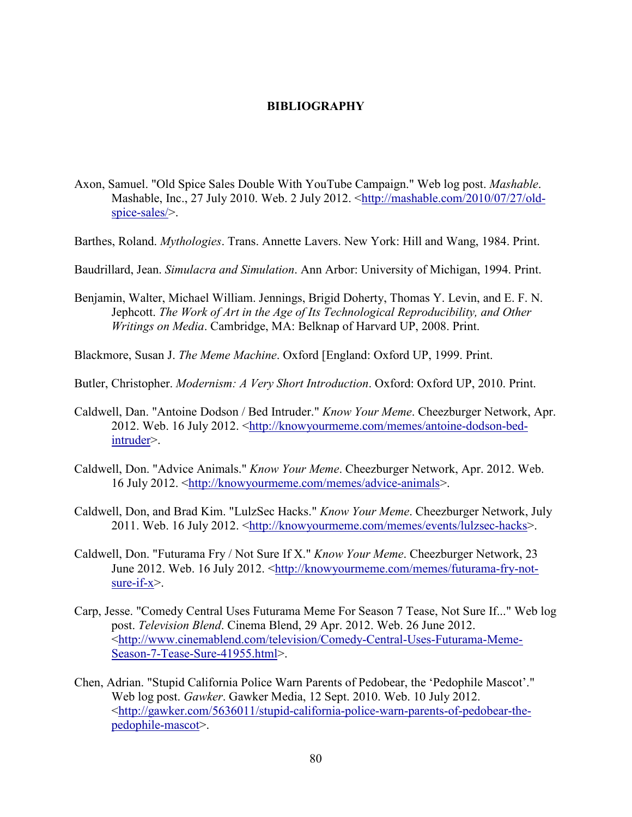## **BIBLIOGRAPHY**

- Axon, Samuel. "Old Spice Sales Double With YouTube Campaign." Web log post. *Mashable*. Mashable, Inc., 27 July 2010. Web. 2 July 2012. [<http://mashable.com/2010/07/27/old](http://mashable.com/2010/07/27/old-spice-sales/)[spice-sales/>](http://mashable.com/2010/07/27/old-spice-sales/).
- Barthes, Roland. *Mythologies*. Trans. Annette Lavers. New York: Hill and Wang, 1984. Print.
- Baudrillard, Jean. *Simulacra and Simulation*. Ann Arbor: University of Michigan, 1994. Print.
- Benjamin, Walter, Michael William. Jennings, Brigid Doherty, Thomas Y. Levin, and E. F. N. Jephcott. *The Work of Art in the Age of Its Technological Reproducibility, and Other Writings on Media*. Cambridge, MA: Belknap of Harvard UP, 2008. Print.

Blackmore, Susan J. *The Meme Machine*. Oxford [England: Oxford UP, 1999. Print.

- Butler, Christopher. *Modernism: A Very Short Introduction*. Oxford: Oxford UP, 2010. Print.
- Caldwell, Dan. "Antoine Dodson / Bed Intruder." *Know Your Meme*. Cheezburger Network, Apr. 2012. Web. 16 July 2012. [<http://knowyourmeme.com/memes/antoine-dodson-bed](http://knowyourmeme.com/memes/antoine-dodson-bed-intruder)[intruder>](http://knowyourmeme.com/memes/antoine-dodson-bed-intruder).
- Caldwell, Don. "Advice Animals." *Know Your Meme*. Cheezburger Network, Apr. 2012. Web. 16 July 2012. [<http://knowyourmeme.com/memes/advice-animals>](http://knowyourmeme.com/memes/advice-animals).
- Caldwell, Don, and Brad Kim. "LulzSec Hacks." *Know Your Meme*. Cheezburger Network, July 2011. Web. 16 July 2012. [<http://knowyourmeme.com/memes/events/lulzsec-hacks>](http://knowyourmeme.com/memes/events/lulzsec-hacks).
- Caldwell, Don. "Futurama Fry / Not Sure If X." *Know Your Meme*. Cheezburger Network, 23 June 2012. Web. 16 July 2012. [<http://knowyourmeme.com/memes/futurama-fry-not](http://knowyourmeme.com/memes/futurama-fry-not-sure-if-x)[sure-if-x>](http://knowyourmeme.com/memes/futurama-fry-not-sure-if-x).
- Carp, Jesse. "Comedy Central Uses Futurama Meme For Season 7 Tease, Not Sure If..." Web log post. *Television Blend*. Cinema Blend, 29 Apr. 2012. Web. 26 June 2012. [<http://www.cinemablend.com/television/Comedy-Central-Uses-Futurama-Meme-](http://www.cinemablend.com/television/Comedy-Central-Uses-Futurama-Meme-Season-7-Tease-Sure-41955.html)[Season-7-Tease-Sure-41955.html>](http://www.cinemablend.com/television/Comedy-Central-Uses-Futurama-Meme-Season-7-Tease-Sure-41955.html).
- Chen, Adrian. "Stupid California Police Warn Parents of Pedobear, the 'Pedophile Mascot'." Web log post. *Gawker*. Gawker Media, 12 Sept. 2010. Web. 10 July 2012. [<http://gawker.com/5636011/stupid-california-police-warn-parents-of-pedobear-the](http://gawker.com/5636011/stupid-california-police-warn-parents-of-pedobear-the-pedophile-mascot)[pedophile-mascot>](http://gawker.com/5636011/stupid-california-police-warn-parents-of-pedobear-the-pedophile-mascot).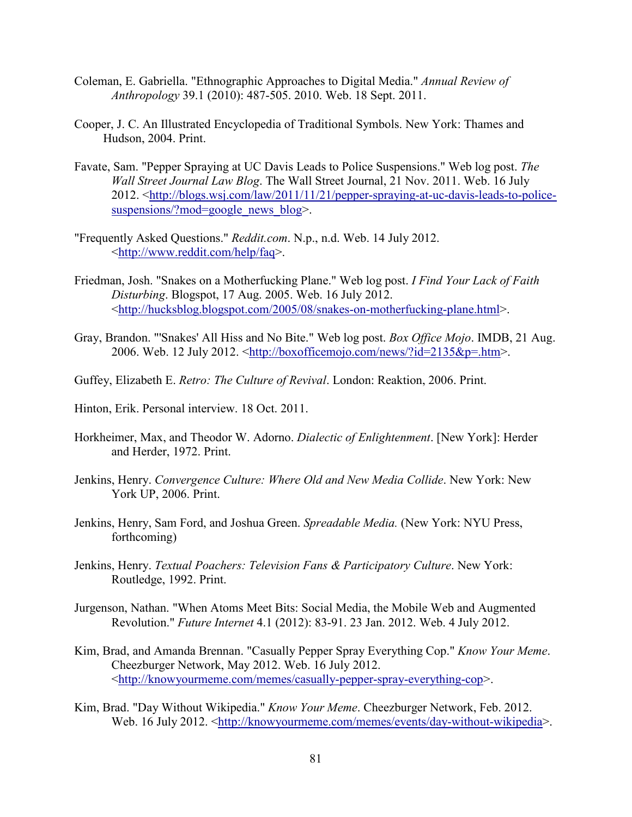- Coleman, E. Gabriella. "Ethnographic Approaches to Digital Media." *Annual Review of Anthropology* 39.1 (2010): 487-505. 2010. Web. 18 Sept. 2011.
- Cooper, J. C. An Illustrated Encyclopedia of Traditional Symbols. New York: Thames and Hudson, 2004. Print.
- Favate, Sam. "Pepper Spraying at UC Davis Leads to Police Suspensions." Web log post. *The Wall Street Journal Law Blog*. The Wall Street Journal, 21 Nov. 2011. Web. 16 July 2012. [<http://blogs.wsj.com/law/2011/11/21/pepper-spraying-at-uc-davis-leads-to-police](http://blogs.wsj.com/law/2011/11/21/pepper-spraying-at-uc-davis-leads-to-police-suspensions/?mod=google_news_blog)[suspensions/?mod=google\\_news\\_blog>](http://blogs.wsj.com/law/2011/11/21/pepper-spraying-at-uc-davis-leads-to-police-suspensions/?mod=google_news_blog).
- "Frequently Asked Questions." *Reddit.com*. N.p., n.d. Web. 14 July 2012. [<http://www.reddit.com/help/faq>](http://www.reddit.com/help/faq).
- Friedman, Josh. "Snakes on a Motherfucking Plane." Web log post. *I Find Your Lack of Faith Disturbing*. Blogspot, 17 Aug. 2005. Web. 16 July 2012. [<http://hucksblog.blogspot.com/2005/08/snakes-on-motherfucking-plane.html>](http://hucksblog.blogspot.com/2005/08/snakes-on-motherfucking-plane.html).
- Gray, Brandon. "'Snakes' All Hiss and No Bite." Web log post. *Box Office Mojo*. IMDB, 21 Aug. 2006. Web. 12 July 2012.  $\frac{\text{http://boxofficemojo.com/news/}7id=2135&p=.htm>}{\text{http://boxofficemojo.com/news/}7id=2135&p=.htm>}.$
- Guffey, Elizabeth E. *Retro: The Culture of Revival*. London: Reaktion, 2006. Print.
- Hinton, Erik. Personal interview. 18 Oct. 2011.
- Horkheimer, Max, and Theodor W. Adorno. *Dialectic of Enlightenment*. [New York]: Herder and Herder, 1972. Print.
- Jenkins, Henry. *Convergence Culture: Where Old and New Media Collide*. New York: New York UP, 2006. Print.
- Jenkins, Henry, Sam Ford, and Joshua Green. *Spreadable Media.* (New York: NYU Press, forthcoming)
- Jenkins, Henry. *Textual Poachers: Television Fans & Participatory Culture*. New York: Routledge, 1992. Print.
- Jurgenson, Nathan. "When Atoms Meet Bits: Social Media, the Mobile Web and Augmented Revolution." *Future Internet* 4.1 (2012): 83-91. 23 Jan. 2012. Web. 4 July 2012.
- Kim, Brad, and Amanda Brennan. "Casually Pepper Spray Everything Cop." *Know Your Meme*. Cheezburger Network, May 2012. Web. 16 July 2012. [<http://knowyourmeme.com/memes/casually-pepper-spray-everything-cop>](http://knowyourmeme.com/memes/casually-pepper-spray-everything-cop).
- Kim, Brad. "Day Without Wikipedia." *Know Your Meme*. Cheezburger Network, Feb. 2012. Web. 16 July 2012. [<http://knowyourmeme.com/memes/events/day-without-wikipedia>](http://knowyourmeme.com/memes/events/day-without-wikipedia).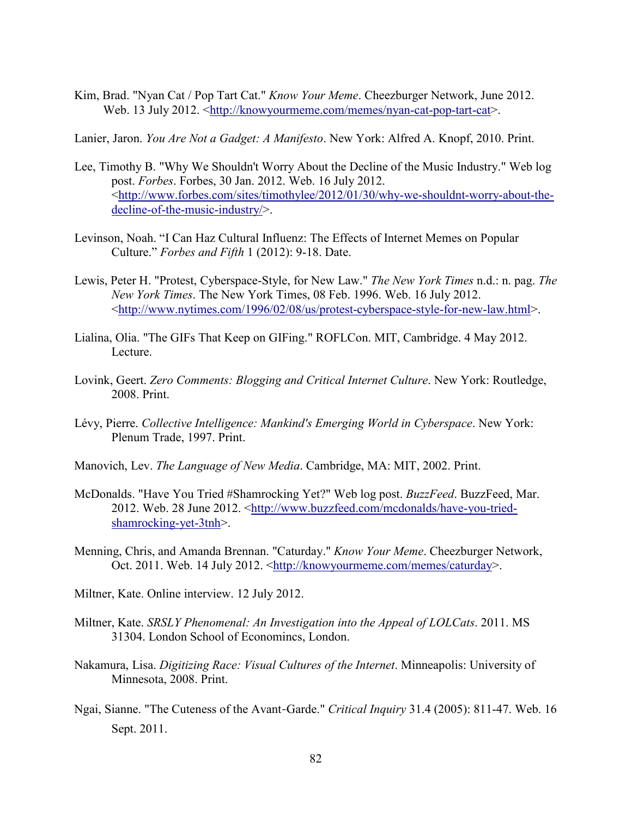Kim, Brad. "Nyan Cat / Pop Tart Cat." *Know Your Meme*. Cheezburger Network, June 2012. Web. 13 July 2012. [<http://knowyourmeme.com/memes/nyan-cat-pop-tart-cat>](http://knowyourmeme.com/memes/nyan-cat-pop-tart-cat).

Lanier, Jaron. *You Are Not a Gadget: A Manifesto*. New York: Alfred A. Knopf, 2010. Print.

- Lee, Timothy B. "Why We Shouldn't Worry About the Decline of the Music Industry." Web log post. *Forbes*. Forbes, 30 Jan. 2012. Web. 16 July 2012. [<http://www.forbes.com/sites/timothylee/2012/01/30/why-we-shouldnt-worry-about-the](http://www.forbes.com/sites/timothylee/2012/01/30/why-we-shouldnt-worry-about-the-decline-of-the-music-industry/)[decline-of-the-music-industry/>](http://www.forbes.com/sites/timothylee/2012/01/30/why-we-shouldnt-worry-about-the-decline-of-the-music-industry/).
- Levinson, Noah. "I Can Haz Cultural Influenz: The Effects of Internet Memes on Popular Culture." *Forbes and Fifth* 1 (2012): 9-18. Date.
- Lewis, Peter H. "Protest, Cyberspace-Style, for New Law." *The New York Times* n.d.: n. pag. *The New York Times*. The New York Times, 08 Feb. 1996. Web. 16 July 2012. [<http://www.nytimes.com/1996/02/08/us/protest-cyberspace-style-for-new-law.html>](http://www.nytimes.com/1996/02/08/us/protest-cyberspace-style-for-new-law.html).
- Lialina, Olia. "The GIFs That Keep on GIFing." ROFLCon. MIT, Cambridge. 4 May 2012. Lecture.
- Lovink, Geert. *Zero Comments: Blogging and Critical Internet Culture*. New York: Routledge, 2008. Print.
- Lévy, Pierre. *Collective Intelligence: Mankind's Emerging World in Cyberspace*. New York: Plenum Trade, 1997. Print.
- Manovich, Lev. *The Language of New Media*. Cambridge, MA: MIT, 2002. Print.
- McDonalds. "Have You Tried #Shamrocking Yet?" Web log post. *BuzzFeed*. BuzzFeed, Mar. 2012. Web. 28 June 2012. [<http://www.buzzfeed.com/mcdonalds/have-you-tried](http://www.buzzfeed.com/mcdonalds/have-you-tried-shamrocking-yet-3tnh)[shamrocking-yet-3tnh>](http://www.buzzfeed.com/mcdonalds/have-you-tried-shamrocking-yet-3tnh).
- Menning, Chris, and Amanda Brennan. "Caturday." *Know Your Meme*. Cheezburger Network, Oct. 2011. Web. 14 July 2012. [<http://knowyourmeme.com/memes/caturday>](http://knowyourmeme.com/memes/caturday).
- Miltner, Kate. Online interview. 12 July 2012.
- Miltner, Kate. *SRSLY Phenomenal: An Investigation into the Appeal of LOLCats*. 2011. MS 31304. London School of Economincs, London.
- Nakamura, Lisa. *Digitizing Race: Visual Cultures of the Internet*. Minneapolis: University of Minnesota, 2008. Print.
- Ngai, Sianne. "The Cuteness of the Avant‐Garde." *Critical Inquiry* 31.4 (2005): 811-47. Web. 16 Sept. 2011.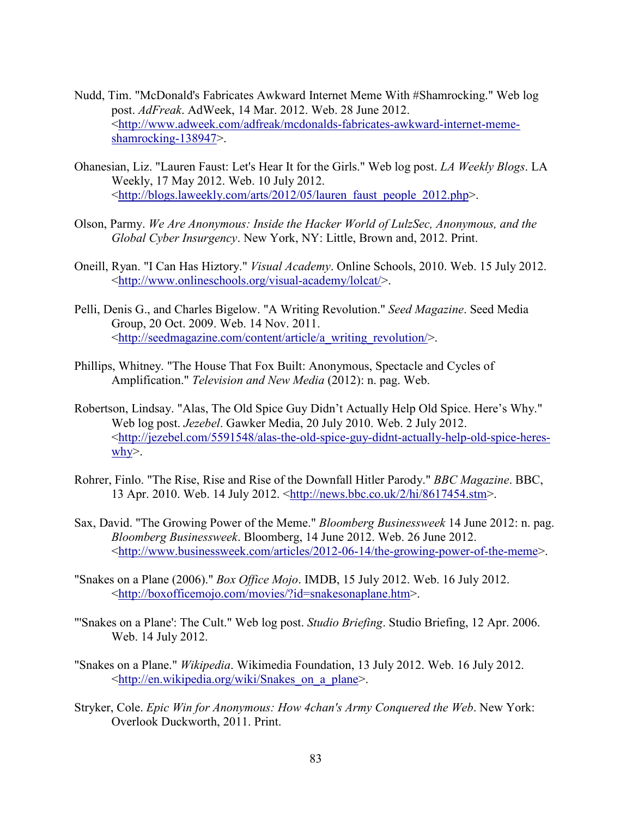- Nudd, Tim. "McDonald's Fabricates Awkward Internet Meme With #Shamrocking." Web log post. *AdFreak*. AdWeek, 14 Mar. 2012. Web. 28 June 2012. [<http://www.adweek.com/adfreak/mcdonalds-fabricates-awkward-internet-meme](http://www.adweek.com/adfreak/mcdonalds-fabricates-awkward-internet-meme-shamrocking-138947)[shamrocking-138947>](http://www.adweek.com/adfreak/mcdonalds-fabricates-awkward-internet-meme-shamrocking-138947).
- Ohanesian, Liz. "Lauren Faust: Let's Hear It for the Girls." Web log post. *LA Weekly Blogs*. LA Weekly, 17 May 2012. Web. 10 July 2012. [<http://blogs.laweekly.com/arts/2012/05/lauren\\_faust\\_people\\_2012.php>](http://blogs.laweekly.com/arts/2012/05/lauren_faust_people_2012.php).
- Olson, Parmy. *We Are Anonymous: Inside the Hacker World of LulzSec, Anonymous, and the Global Cyber Insurgency*. New York, NY: Little, Brown and, 2012. Print.
- Oneill, Ryan. "I Can Has Hiztory." *Visual Academy*. Online Schools, 2010. Web. 15 July 2012. [<http://www.onlineschools.org/visual-academy/lolcat/>](http://www.onlineschools.org/visual-academy/lolcat/).
- Pelli, Denis G., and Charles Bigelow. "A Writing Revolution." *Seed Magazine*. Seed Media Group, 20 Oct. 2009. Web. 14 Nov. 2011. [<http://seedmagazine.com/content/article/a\\_writing\\_revolution/>](http://seedmagazine.com/content/article/a_writing_revolution/).
- Phillips, Whitney. "The House That Fox Built: Anonymous, Spectacle and Cycles of Amplification." *Television and New Media* (2012): n. pag. Web.
- Robertson, Lindsay. "Alas, The Old Spice Guy Didn't Actually Help Old Spice. Here's Why." Web log post. *Jezebel*. Gawker Media, 20 July 2010. Web. 2 July 2012. [<http://jezebel.com/5591548/alas-the-old-spice-guy-didnt-actually-help-old-spice-heres](http://jezebel.com/5591548/alas-the-old-spice-guy-didnt-actually-help-old-spice-heres-why)[why>](http://jezebel.com/5591548/alas-the-old-spice-guy-didnt-actually-help-old-spice-heres-why).
- Rohrer, Finlo. "The Rise, Rise and Rise of the Downfall Hitler Parody." *BBC Magazine*. BBC, 13 Apr. 2010. Web. 14 July 2012. [<http://news.bbc.co.uk/2/hi/8617454.stm>](http://news.bbc.co.uk/2/hi/8617454.stm).
- Sax, David. "The Growing Power of the Meme." *Bloomberg Businessweek* 14 June 2012: n. pag. *Bloomberg Businessweek*. Bloomberg, 14 June 2012. Web. 26 June 2012. [<http://www.businessweek.com/articles/2012-06-14/the-growing-power-of-the-meme>](http://www.businessweek.com/articles/2012-06-14/the-growing-power-of-the-meme).
- "Snakes on a Plane (2006)." *Box Office Mojo*. IMDB, 15 July 2012. Web. 16 July 2012. [<http://boxofficemojo.com/movies/?id=snakesonaplane.htm>](http://boxofficemojo.com/movies/?id=snakesonaplane.htm).
- "'Snakes on a Plane': The Cult." Web log post. *Studio Briefing*. Studio Briefing, 12 Apr. 2006. Web. 14 July 2012.
- "Snakes on a Plane." *Wikipedia*. Wikimedia Foundation, 13 July 2012. Web. 16 July 2012. [<http://en.wikipedia.org/wiki/Snakes\\_on\\_a\\_plane>](http://en.wikipedia.org/wiki/Snakes_on_a_plane).
- Stryker, Cole. *Epic Win for Anonymous: How 4chan's Army Conquered the Web*. New York: Overlook Duckworth, 2011. Print.